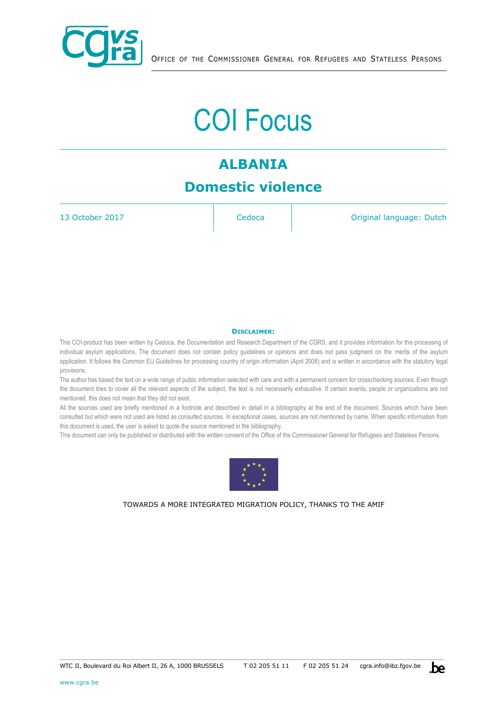

# COI Focus

# **ALBANIA Domestic violence**

13 October 2017 **Cedoca Cedoca Original language: Dutch** 

#### **DISCLAIMER:**

This COI-product has been written by Cedoca, the Documentation and Research Department of the CGRS, and it provides information for the processing of individual asylum applications. The document does not contain policy guidelines or opinions and does not pass judgment on the merits of the asylum application. It follows the Common EU Guidelines for processing country of origin information (April 2008) and is written in accordance with the statutory legal provisions.

The author has based the text on a wide range of public information selected with care and with a permanent concern for crosschecking sources. Even though the document tries to cover all the relevant aspects of the subject, the text is not necessarily exhaustive. If certain events, people or organizations are not mentioned, this does not mean that they did not exist.

All the sources used are briefly mentioned in a footnote and described in detail in a bibliography at the end of the document. Sources which have been consulted but which were not used are listed as consulted sources. In exceptional cases, sources are not mentioned by name. When specific information from this document is used, the user is asked to quote the source mentioned in the bibliography.

This document can only be published or distributed with the written consent of the Office of the Commissioner General for Refugees and Stateless Persons.



TOWARDS A MORE INTEGRATED MIGRATION POLICY, THANKS TO THE AMIF

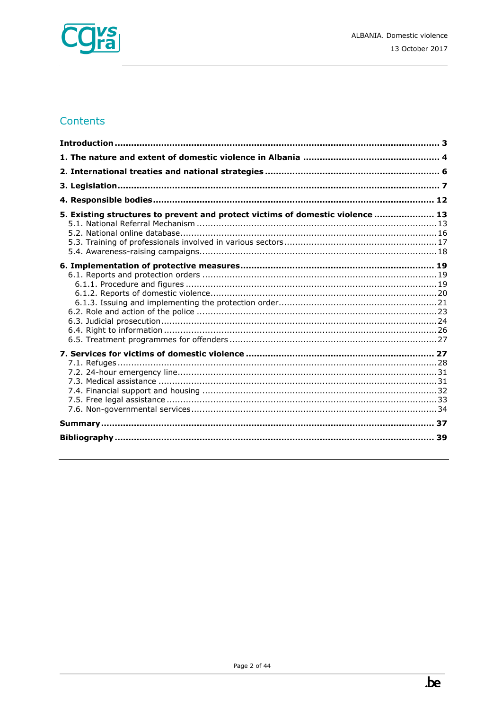

# Contents

| 5. Existing structures to prevent and protect victims of domestic violence  13 |  |
|--------------------------------------------------------------------------------|--|
|                                                                                |  |
|                                                                                |  |
|                                                                                |  |
|                                                                                |  |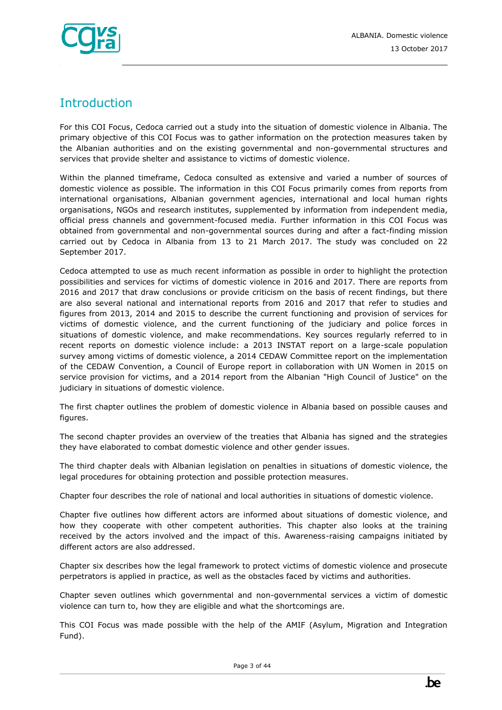

# <span id="page-2-0"></span>**Introduction**

For this COI Focus, Cedoca carried out a study into the situation of domestic violence in Albania. The primary objective of this COI Focus was to gather information on the protection measures taken by the Albanian authorities and on the existing governmental and non-governmental structures and services that provide shelter and assistance to victims of domestic violence.

Within the planned timeframe, Cedoca consulted as extensive and varied a number of sources of domestic violence as possible. The information in this COI Focus primarily comes from reports from international organisations, Albanian government agencies, international and local human rights organisations, NGOs and research institutes, supplemented by information from independent media, official press channels and government-focused media. Further information in this COI Focus was obtained from governmental and non-governmental sources during and after a fact-finding mission carried out by Cedoca in Albania from 13 to 21 March 2017. The study was concluded on 22 September 2017.

Cedoca attempted to use as much recent information as possible in order to highlight the protection possibilities and services for victims of domestic violence in 2016 and 2017. There are reports from 2016 and 2017 that draw conclusions or provide criticism on the basis of recent findings, but there are also several national and international reports from 2016 and 2017 that refer to studies and figures from 2013, 2014 and 2015 to describe the current functioning and provision of services for victims of domestic violence, and the current functioning of the judiciary and police forces in situations of domestic violence, and make recommendations. Key sources regularly referred to in recent reports on domestic violence include: a 2013 INSTAT report on a large-scale population survey among victims of domestic violence, a 2014 CEDAW Committee report on the implementation of the CEDAW Convention, a Council of Europe report in collaboration with UN Women in 2015 on service provision for victims, and a 2014 report from the Albanian "High Council of Justice" on the judiciary in situations of domestic violence.

The first chapter outlines the problem of domestic violence in Albania based on possible causes and figures.

The second chapter provides an overview of the treaties that Albania has signed and the strategies they have elaborated to combat domestic violence and other gender issues.

The third chapter deals with Albanian legislation on penalties in situations of domestic violence, the legal procedures for obtaining protection and possible protection measures.

Chapter four describes the role of national and local authorities in situations of domestic violence.

Chapter five outlines how different actors are informed about situations of domestic violence, and how they cooperate with other competent authorities. This chapter also looks at the training received by the actors involved and the impact of this. Awareness-raising campaigns initiated by different actors are also addressed.

Chapter six describes how the legal framework to protect victims of domestic violence and prosecute perpetrators is applied in practice, as well as the obstacles faced by victims and authorities.

Chapter seven outlines which governmental and non-governmental services a victim of domestic violence can turn to, how they are eligible and what the shortcomings are.

This COI Focus was made possible with the help of the AMIF (Asylum, Migration and Integration Fund).

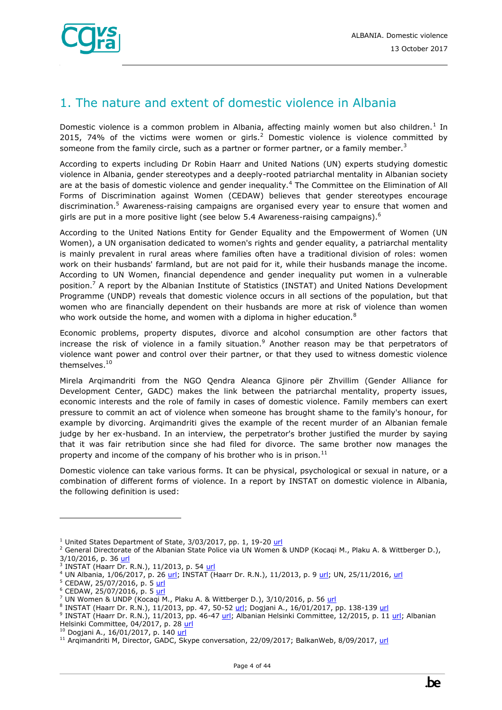

# <span id="page-3-0"></span>1. The nature and extent of domestic violence in Albania

Domestic violence is a common problem in Albania, affecting mainly women but also children.<sup>1</sup> In 2015, 74% of the victims were women or girls.<sup>2</sup> Domestic violence is violence committed by someone from the family circle, such as a partner or former partner, or a family member.<sup>3</sup>

According to experts including Dr Robin Haarr and United Nations (UN) experts studying domestic violence in Albania, gender stereotypes and a deeply-rooted patriarchal mentality in Albanian society are at the basis of domestic violence and gender inequality.<sup>4</sup> The Committee on the Elimination of All Forms of Discrimination against Women (CEDAW) believes that gender stereotypes encourage discrimination.<sup>5</sup> Awareness-raising campaigns are organised every year to ensure that women and girls are put in a more positive light (see below 5.4 Awareness-raising campaigns).<sup>6</sup>

According to the United Nations Entity for Gender Equality and the Empowerment of Women (UN Women), a UN organisation dedicated to women's rights and gender equality, a patriarchal mentality is mainly prevalent in rural areas where families often have a traditional division of roles: women work on their husbands' farmland, but are not paid for it, while their husbands manage the income. According to UN Women, financial dependence and gender inequality put women in a vulnerable position.<sup>7</sup> A report by the Albanian Institute of Statistics (INSTAT) and United Nations Development Programme (UNDP) reveals that domestic violence occurs in all sections of the population, but that women who are financially dependent on their husbands are more at risk of violence than women who work outside the home, and women with a diploma in higher education.<sup>8</sup>

Economic problems, property disputes, divorce and alcohol consumption are other factors that increase the risk of violence in a family situation.<sup>9</sup> Another reason may be that perpetrators of violence want power and control over their partner, or that they used to witness domestic violence themselves.<sup>10</sup>

Mirela Arqimandriti from the NGO Qendra Aleanca Gjinore për Zhvillim (Gender Alliance for Development Center, GADC) makes the link between the patriarchal mentality, property issues, economic interests and the role of family in cases of domestic violence. Family members can exert pressure to commit an act of violence when someone has brought shame to the family's honour, for example by divorcing. Arqimandriti gives the example of the recent murder of an Albanian female judge by her ex-husband. In an interview, the perpetrator's brother justified the murder by saying that it was fair retribution since she had filed for divorce. The same brother now manages the property and income of the company of his brother who is in prison. $^{11}$ 

Domestic violence can take various forms. It can be physical, psychological or sexual in nature, or a combination of different forms of violence. In a report by INSTAT on domestic violence in Albania, the following definition is used:

 $1$  United States Department of State,  $3/03/2017$ , pp. 1, 19-20 [url](https://www.state.gov/j/drl/rls/hrrpt/2016/eur/265388.htm)

<sup>&</sup>lt;sup>2</sup> General Directorate of the Albanian State Police via UN Women & UNDP (Kocaqi M., Plaku A. & Wittberger D.), 3/10/2016, p. 36 [url](https://un.org.al/publications/albania-gender-brief-%E2%80%93-2016)

<sup>&</sup>lt;sup>3</sup> INSTAT (Haarr Dr. R.N.), 11/2013, p. 54 <u>url</u>

<sup>4</sup> UN Albania, 1/06/2017, p. 26 [url;](http://www.instat.gov.al/en/publications/books/2013/domestic-violence-in-albania-2013.aspx) INSTAT (Haarr Dr. R.N.), 11/2013, p. 9 url; UN, 25/11/2016, url

<sup>&</sup>lt;sup>5</sup> CEDAW, 25/07/2016, p. 5 [url](http://tbinternet.ohchr.org/_layouts/treatybodyexternal/Download.aspx?symbolno=CEDAW/C/ALB/CO/4&Lang=En)

<sup>&</sup>lt;sup>6</sup> CEDAW, 25/07/2016, p. 5 [url](http://tbinternet.ohchr.org/_layouts/treatybodyexternal/Download.aspx?symbolno=CEDAW/C/ALB/CO/4&Lang=En)

<sup>7</sup> UN Women & UNDP (Kocaqi M., Plaku A. & Wittberger D.), 3/10/2016, p. 56 [url](https://un.org.al/publications/albania-gender-brief-%E2%80%93-2016)

<sup>&</sup>lt;sup>8</sup> INSTAT (Haarr Dr. R.N.), 11/2013, pp. 47, 50-52 <u>url</u>; Dogjani A., 16/01/2017, pp. 138-139 <u>url</u>

<sup>&</sup>lt;sup>9</sup> INSTAT (Haarr Dr. R.N.), 11/2013, pp. 46-47 <u>url</u>; Albanian Helsinki Committee, 12/2015, p. 11 [url;](http://www.ahc.org.al/wp-content/uploads/2016/12/Report_on_the_human_rights.pdf) Albanian Helsinki Committee, 04/2017, p. 28 [url](http://www.ahc.org.al/wp-content/uploads/2017/07/AHCAnnualReportEngPrint.pdf)

<sup>&</sup>lt;sup>10</sup> Dogjani A., 16/01/2017, p. 140 [url](http://iipccl.org/wp-content/uploads/2017/01/135-140.pdf)

<sup>&</sup>lt;sup>11</sup> Argimandriti M, Director, GADC, Skype conversation, 22/09/2017; BalkanWeb, 8/09/2017, url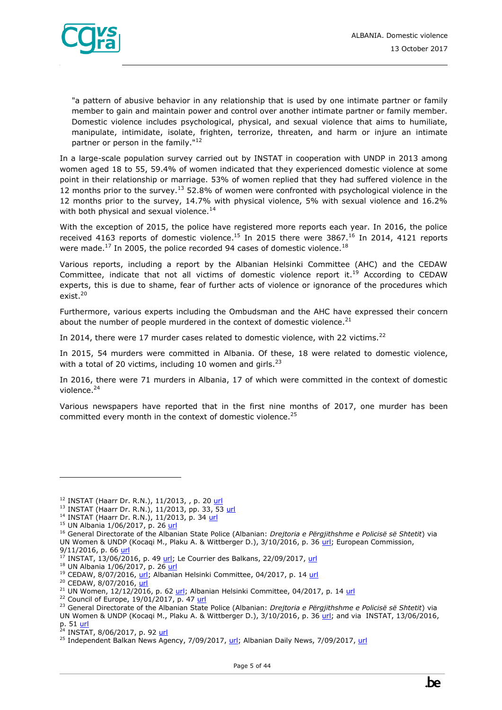

"a pattern of abusive behavior in any relationship that is used by one intimate partner or family member to gain and maintain power and control over another intimate partner or family member. Domestic violence includes psychological, physical, and sexual violence that aims to humiliate, manipulate, intimidate, isolate, frighten, terrorize, threaten, and harm or injure an intimate partner or person in the family."<sup>12</sup>

In a large-scale population survey carried out by INSTAT in cooperation with UNDP in 2013 among women aged 18 to 55, 59.4% of women indicated that they experienced domestic violence at some point in their relationship or marriage. 53% of women replied that they had suffered violence in the 12 months prior to the survey.<sup>13</sup> 52.8% of women were confronted with psychological violence in the 12 months prior to the survey, 14.7% with physical violence, 5% with sexual violence and 16.2% with both physical and sexual violence.<sup>14</sup>

With the exception of 2015, the police have registered more reports each year. In 2016, the police received 4163 reports of domestic violence.<sup>15</sup> In 2015 there were 3867.<sup>16</sup> In 2014, 4121 reports were made.<sup>17</sup> In 2005, the police recorded 94 cases of domestic violence.<sup>18</sup>

Various reports, including a report by the Albanian Helsinki Committee (AHC) and the CEDAW Committee, indicate that not all victims of domestic violence report it.<sup>19</sup> According to CEDAW experts, this is due to shame, fear of further acts of violence or ignorance of the procedures which exist.<sup>20</sup>

Furthermore, various experts including the Ombudsman and the AHC have expressed their concern about the number of people murdered in the context of domestic violence. $21$ 

In 2014, there were 17 murder cases related to domestic violence, with 22 victims.<sup>22</sup>

In 2015, 54 murders were committed in Albania. Of these, 18 were related to domestic violence, with a total of 20 victims, including 10 women and girls. $^{23}$ 

In 2016, there were 71 murders in Albania, 17 of which were committed in the context of domestic violence.<sup>24</sup>

Various newspapers have reported that in the first nine months of 2017, one murder has been committed every month in the context of domestic violence.<sup>25</sup>

ł

 $22$  Council of Europe, 19/01/2017, p. 4[7 url](https://rm.coe.int/16806dd216)

<sup>&</sup>lt;sup>12</sup> INSTAT (Haarr Dr. R.N.), 11/2013, , p. 20 [url](http://www.instat.gov.al/media/225815/domestic_violence_in_albania_2013.pdf)

<sup>&</sup>lt;sup>13</sup> INSTAT (Haarr Dr. R.N.), 11/2013, pp. 33, 53 [url](http://www.instat.gov.al/media/225815/domestic_violence_in_albania_2013.pdf)

<sup>&</sup>lt;sup>14</sup> INSTAT (Haarr Dr. R.N.), 11/2013, p. 34 [url](http://www.instat.gov.al/media/225815/domestic_violence_in_albania_2013.pdf)

<sup>&</sup>lt;sup>15</sup> UN Albania 1/06/2017, p. 26 [url](http://un.org.al/sites/default/files/UN_junweb.pdf)

<sup>16</sup> General Directorate of the Albanian State Police (Albanian: *Drejtoria e Përgjithshme e Policisë së Shtetit*) via UN Women & UNDP (Kocagi M., Plaku A. & Wittberger D.), 3/10/2016, p. 36 [url;](https://un.org.al/publications/albania-gender-brief-%E2%80%93-2016) European Commission, 9/11/2016, p. 66 [url](https://ec.europa.eu/neighbourhood-enlargement/sites/near/files/pdf/key_documents/2016/20161109_report_albania.pdf)

 $17$  INSTAT, 13/06/2016, p. 49 [url;](http://www.instat.gov.al/en/publications/books/2016/women-and-men-in-albania-2016.aspx) Le Courrier des Balkans, 22/09/2017, [url](https://www.courrierdesbalkans.fr/Albanie-l-augmentation-des-violences-conjugales-inquietent)

<sup>&</sup>lt;sup>18</sup> UN Albania 1/06/2017, p. 26 [url](http://un.org.al/sites/default/files/UN_junweb.pdf)

<sup>&</sup>lt;sup>19</sup> CEDAW, 8/07/2016[, url;](http://www.ohchr.org/EN/NewsEvents/Pages/DisplayNews.aspx?NewsID=20263&LangID=E) Albanian Helsinki Committee, 04/2017, p. 1[4 url](http://www.ahc.org.al/wp-content/uploads/2017/07/AHCAnnualReportEngPrint.pdf)

<sup>&</sup>lt;sup>20</sup> CEDAW, 8/07/2016[, url](http://www.ohchr.org/EN/NewsEvents/Pages/DisplayNews.aspx?NewsID=20263&LangID=E)

<sup>&</sup>lt;sup>21</sup> UN Women, 12/12/2016, p. 62 [url;](https://un.org.al/sites/default/files/CEDAW-Avokati-EN.PDF) Albanian Helsinki Committee, 04/2017, p. 14 [url](http://www.ahc.org.al/wp-content/uploads/2017/07/AHCAnnualReportEngPrint.pdf)

<sup>23</sup> General Directorate of the Albanian State Police (Albanian: *Drejtoria e Përgjithshme e Policisë së Shtetit*) via UN Women & UNDP (Kocaqi M., Plaku A. & Wittberger D.), 3/10/2016, p. 36 [url;](https://un.org.al/publications/albania-gender-brief-%E2%80%93-2016) and via INSTAT, 13/06/2016, p. 51 <u>url</u>

<sup>&</sup>lt;sup>24</sup> INSTAT, 8/06/2017, p. 92 <mark>url</mark>

<sup>&</sup>lt;sup>25</sup> Independent Balkan News Agency, 7/09/2017, [url;](http://balkaneu.com/cases-of-domestic-violence-in-albania-rise-one-person-dies-each-month/) Albanian Daily News, 7/09/2017[, url](http://albaniannews.com/index.php?idm=15153&mod=2)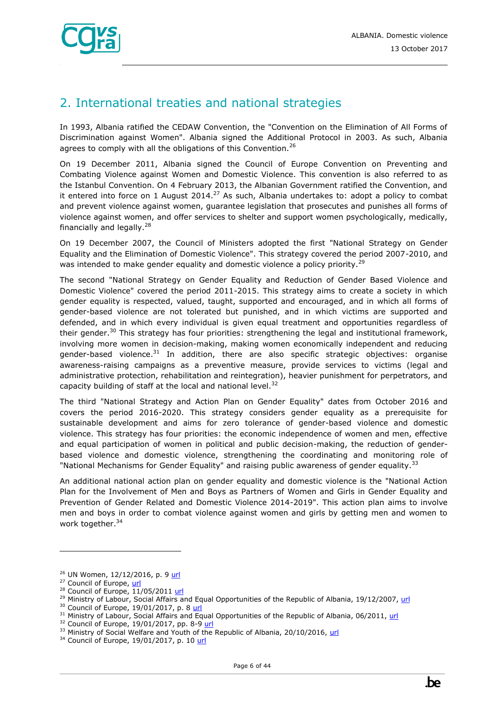

# <span id="page-5-0"></span>2. International treaties and national strategies

In 1993, Albania ratified the CEDAW Convention, the "Convention on the Elimination of All Forms of Discrimination against Women". Albania signed the Additional Protocol in 2003. As such, Albania agrees to comply with all the obligations of this Convention.<sup>26</sup>

On 19 December 2011, Albania signed the Council of Europe Convention on Preventing and Combating Violence against Women and Domestic Violence. This convention is also referred to as the Istanbul Convention. On 4 February 2013, the Albanian Government ratified the Convention, and it entered into force on 1 August 2014.<sup>27</sup> As such, Albania undertakes to: adopt a policy to combat and prevent violence against women, guarantee legislation that prosecutes and punishes all forms of violence against women, and offer services to shelter and support women psychologically, medically, financially and legally.<sup>28</sup>

On 19 December 2007, the Council of Ministers adopted the first "National Strategy on Gender Equality and the Elimination of Domestic Violence". This strategy covered the period 2007-2010, and was intended to make gender equality and domestic violence a policy priority.<sup>29</sup>

The second "National Strategy on Gender Equality and Reduction of Gender Based Violence and Domestic Violence" covered the period 2011-2015. This strategy aims to create a society in which gender equality is respected, valued, taught, supported and encouraged, and in which all forms of gender-based violence are not tolerated but punished, and in which victims are supported and defended, and in which every individual is given equal treatment and opportunities regardless of their gender.<sup>30</sup> This strategy has four priorities: strengthening the legal and institutional framework, involving more women in decision-making, making women economically independent and reducing gender-based violence.<sup>31</sup> In addition, there are also specific strategic objectives: organise awareness-raising campaigns as a preventive measure, provide services to victims (legal and administrative protection, rehabilitation and reintegration), heavier punishment for perpetrators, and capacity building of staff at the local and national level.<sup>32</sup>

The third "National Strategy and Action Plan on Gender Equality" dates from October 2016 and covers the period 2016-2020. This strategy considers gender equality as a prerequisite for sustainable development and aims for zero tolerance of gender-based violence and domestic violence. This strategy has four priorities: the economic independence of women and men, effective and equal participation of women in political and public decision-making, the reduction of genderbased violence and domestic violence, strengthening the coordinating and monitoring role of "National Mechanisms for Gender Equality" and raising public awareness of gender equality.<sup>33</sup>

An additional national action plan on gender equality and domestic violence is the "National Action Plan for the Involvement of Men and Boys as Partners of Women and Girls in Gender Equality and Prevention of Gender Related and Domestic Violence 2014-2019". This action plan aims to involve men and boys in order to combat violence against women and girls by getting men and women to work together.<sup>34</sup>

<sup>&</sup>lt;sup>26</sup> UN Women, 12/12/2016, p. 9 [url](https://un.org.al/sites/default/files/CEDAW-Avokati-EN.PDF)

<sup>&</sup>lt;sup>27</sup> Council of Europe, [url](https://www.coe.int/en/web/conventions/full-list/-/conventions/treaty/210/signatures)

 $28$  Council of Europe, 11/05/2011 [url](https://rm.coe.int/168008482e)

 $^{29}$  Ministry of Labour, Social Affairs and Equal Opportunities of the Republic of Albania, 19/12/2007, [url](http://www.osce.org/albania/32827?download=true)

<sup>&</sup>lt;sup>30</sup> Council of Europe, 19/01/2017, p. 8 [url](https://rm.coe.int/16806dd216)

 $31$  Ministry of Labour, Social Affairs and Equal Opportunities of the Republic of Albania, 06/2011[, url](http://www.legislationline.org/download/action/download/id/6709/file/Albania_National_strategy_gender_equality_gender_based_violence_2011-2015_eng.pdf)

 $32$  Council of Europe, 19/01/2017, pp. 8-9 [url](https://rm.coe.int/16806dd216)

<sup>&</sup>lt;sup>33</sup> Ministry of Social Welfare and Youth of the Republic of Albania, 20/10/2016, [url](http://www.legislationline.org/download/action/download/id/7343/file/Albania_National_strategy_action_plan_gender_equality_2016-2020_en.pdf)

<sup>&</sup>lt;sup>34</sup> Council of Europe, 19/01/2017, p. 1[0 url](https://rm.coe.int/16806dd216)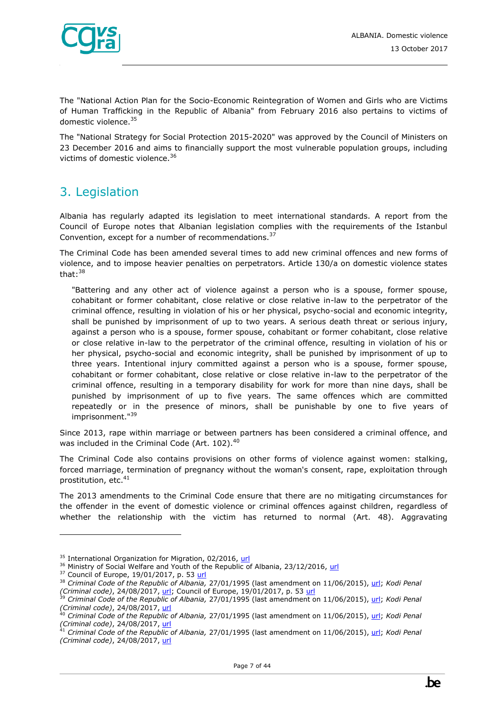

The "National Action Plan for the Socio-Economic Reintegration of Women and Girls who are Victims of Human Trafficking in the Republic of Albania" from February 2016 also pertains to victims of domestic violence.<sup>35</sup>

The "National Strategy for Social Protection 2015-2020" was approved by the Council of Ministers on 23 December 2016 and aims to financially support the most vulnerable population groups, including victims of domestic violence.<sup>36</sup>

# <span id="page-6-0"></span>3. Legislation

Albania has regularly adapted its legislation to meet international standards. A report from the Council of Europe notes that Albanian legislation complies with the requirements of the Istanbul Convention, except for a number of recommendations.<sup>37</sup>

The Criminal Code has been amended several times to add new criminal offences and new forms of violence, and to impose heavier penalties on perpetrators. Article 130/a on domestic violence states that: $38$ 

"Battering and any other act of violence against a person who is a spouse, former spouse, cohabitant or former cohabitant, close relative or close relative in-law to the perpetrator of the criminal offence, resulting in violation of his or her physical, psycho-social and economic integrity, shall be punished by imprisonment of up to two years. A serious death threat or serious injury, against a person who is a spouse, former spouse, cohabitant or former cohabitant, close relative or close relative in-law to the perpetrator of the criminal offence, resulting in violation of his or her physical, psycho-social and economic integrity, shall be punished by imprisonment of up to three years. Intentional injury committed against a person who is a spouse, former spouse, cohabitant or former cohabitant, close relative or close relative in-law to the perpetrator of the criminal offence, resulting in a temporary disability for work for more than nine days, shall be punished by imprisonment of up to five years. The same offences which are committed repeatedly or in the presence of minors, shall be punishable by one to five years of imprisonment."<sup>39</sup>

Since 2013, rape within marriage or between partners has been considered a criminal offence, and was included in the Criminal Code (Art. 102).<sup>40</sup>

The Criminal Code also contains provisions on other forms of violence against women: stalking, forced marriage, termination of pregnancy without the woman's consent, rape, exploitation through prostitution, etc.<sup>41</sup>

The 2013 amendments to the Criminal Code ensure that there are no mitigating circumstances for the offender in the event of domestic violence or criminal offences against children, regardless of whether the relationship with the victim has returned to normal (Art. 48). Aggravating

<sup>&</sup>lt;sup>35</sup> International Organization for Migration, 02/2016, [url](http://www.punetebrendshme.gov.al/files/priorities_files/16-04-19-04-28-08National_action_plan_for_the_socio-economic_re-integration_of_women_and_girls_victims_of_trafficking_in_the_Rep_of_Albania.pdf)

<sup>&</sup>lt;sup>36</sup> Ministry of Social Welfare and Youth of the Republic of Albania, 23/12/2016, [url](https://www.unicef.org/albania/National_Strategy_for_Social_Protection2015-2020_en.pdf)

 $37$  Council of Europe, 19/01/2017, p. 5[3 url](https://rm.coe.int/16806dd216)

<sup>38</sup> *Criminal Code of the Republic of Albania,* 27/01/1995 (last amendment on 11/06/2015), [url;](https://perma.cc/4M7P-E4CW) *Kodi Penal* 

*<sup>(</sup>Criminal code)*, 24/08/2017, [url;](http://www.qbz.gov.al/botime/Kodi%20Penal-2017.pdf) Council of Europe, 19/01/2017, p. 53 [url](https://rm.coe.int/16806dd216)

<sup>39</sup> *Criminal Code of the Republic of Albania,* 27/01/1995 (last amendment on 11/06/2015), [url;](https://perma.cc/4M7P-E4CW) *Kodi Penal (Criminal code)*, 24/08/2017, [url](http://www.qbz.gov.al/botime/Kodi%20Penal-2017.pdf)

<sup>40</sup> *Criminal Code of the Republic of Albania,* 27/01/1995 (last amendment on 11/06/2015), [url;](https://perma.cc/4M7P-E4CW) *Kodi Penal (Criminal code)*, 24/08/2017, [url](http://www.qbz.gov.al/botime/Kodi%20Penal-2017.pdf)

<sup>41</sup> *Criminal Code of the Republic of Albania,* 27/01/1995 (last amendment on 11/06/2015), [url;](https://perma.cc/4M7P-E4CW) *Kodi Penal (Criminal code)*, 24/08/2017, [url](http://www.qbz.gov.al/botime/Kodi%20Penal-2017.pdf)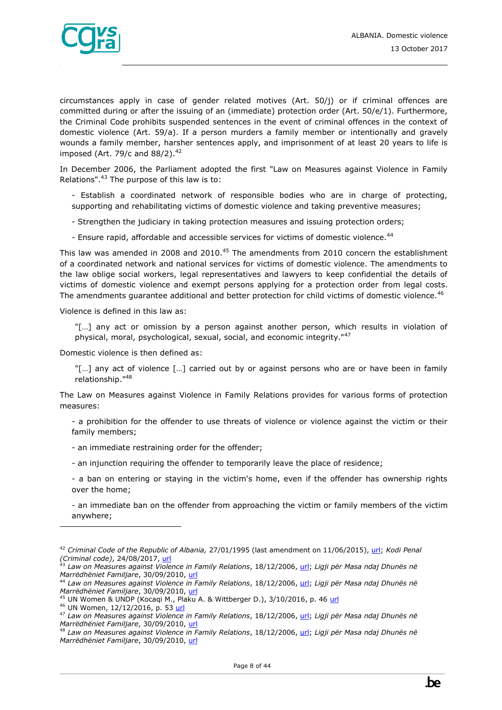

circumstances apply in case of gender related motives (Art. 50/j) or if criminal offences are committed during or after the issuing of an (immediate) protection order (Art. 50/e/1). Furthermore, the Criminal Code prohibits suspended sentences in the event of criminal offences in the context of domestic violence (Art. 59/a). If a person murders a family member or intentionally and gravely wounds a family member, harsher sentences apply, and imprisonment of at least 20 years to life is imposed (Art. 79/c and  $88/2$ ).<sup>42</sup>

In December 2006, the Parliament adopted the first "Law on Measures against Violence in Family Relations".<sup>43</sup> The purpose of this law is to:

- Establish a coordinated network of responsible bodies who are in charge of protecting, supporting and rehabilitating victims of domestic violence and taking preventive measures;
- Strengthen the judiciary in taking protection measures and issuing protection orders;
- Ensure rapid, affordable and accessible services for victims of domestic violence.<sup>44</sup>

This law was amended in 2008 and 2010.<sup>45</sup> The amendments from 2010 concern the establishment of a coordinated network and national services for victims of domestic violence. The amendments to the law oblige social workers, legal representatives and lawyers to keep confidential the details of victims of domestic violence and exempt persons applying for a protection order from legal costs. The amendments guarantee additional and better protection for child victims of domestic violence.<sup>46</sup>

Violence is defined in this law as:

"[…] any act or omission by a person against another person, which results in violation of physical, moral, psychological, sexual, social, and economic integrity."<sup>47</sup>

Domestic violence is then defined as:

"[...] any act of violence [...] carried out by or against persons who are or have been in family relationship."<sup>48</sup>

The Law on Measures against Violence in Family Relations provides for various forms of protection measures:

- a prohibition for the offender to use threats of violence or violence against the victim or their family members;
- an immediate restraining order for the offender;
- an injunction requiring the offender to temporarily leave the place of residence;
- a ban on entering or staying in the victim's home, even if the offender has ownership rights over the home;

- an immediate ban on the offender from approaching the victim or family members of the victim anywhere;

<sup>42</sup> *Criminal Code of the Republic of Albania,* 27/01/1995 (last amendment on 11/06/2015), [url;](https://perma.cc/4M7P-E4CW) *Kodi Penal (Criminal code)*, 24/08/2017, [url](http://www.qbz.gov.al/botime/Kodi%20Penal-2017.pdf)

<sup>43</sup> *Law on Measures against Violence in Family Relations*, 18/12/2006[, url;](http://www.legislationline.org/download/action/download/id/6712/file/Albania_law_measures_against_violence_in_family_relations_2006_en.pdf) *Ligji për Masa ndaj Dhunës në Marrëdhëniet Familjare*, 30/09/2010, [url](http://www.vendime.al/wp-content/uploads/2015/08/LIGJI-Nr.-9669-dt-18.12.2006-%E2%80%9CP%C3%8BR-MASA-NDAJ-DHUN%C3%8BS-N%C3%8B-MARR%C3%8BDH%C3%8BNIET-FAMILJARE%E2%80%9D.pdf)

<sup>44</sup> *Law on Measures against Violence in Family Relations*, 18/12/2006[, url;](http://www.legislationline.org/download/action/download/id/6712/file/Albania_law_measures_against_violence_in_family_relations_2006_en.pdf) *Ligji për Masa ndaj Dhunës në Marrëdhëniet Familjare*, 30/09/2010, [url](http://www.vendime.al/wp-content/uploads/2015/08/LIGJI-Nr.-9669-dt-18.12.2006-%E2%80%9CP%C3%8BR-MASA-NDAJ-DHUN%C3%8BS-N%C3%8B-MARR%C3%8BDH%C3%8BNIET-FAMILJARE%E2%80%9D.pdf)

<sup>&</sup>lt;sup>45</sup> UN Women & UNDP (Kocaqi M., Plaku A. & Wittberger D.), 3/10/2016, p. 46 [url](https://un.org.al/publications/albania-gender-brief-%E2%80%93-2016)

<sup>46</sup> UN Women, 12/12/2016, p. 53 [url](https://un.org.al/sites/default/files/CEDAW-Avokati-EN.PDF)

<sup>47</sup> *Law on Measures against Violence in Family Relations*, 18/12/2006[, url;](http://www.legislationline.org/download/action/download/id/6712/file/Albania_law_measures_against_violence_in_family_relations_2006_en.pdf) *Ligji për Masa ndaj Dhunës në Marrëdhëniet Familjare*, 30/09/2010, [url](http://www.vendime.al/wp-content/uploads/2015/08/LIGJI-Nr.-9669-dt-18.12.2006-%E2%80%9CP%C3%8BR-MASA-NDAJ-DHUN%C3%8BS-N%C3%8B-MARR%C3%8BDH%C3%8BNIET-FAMILJARE%E2%80%9D.pdf)

<sup>48</sup> *Law on Measures against Violence in Family Relations*, 18/12/2006[, url;](http://www.legislationline.org/download/action/download/id/6712/file/Albania_law_measures_against_violence_in_family_relations_2006_en.pdf) *Ligji për Masa ndaj Dhunës në Marrëdhëniet Familjare*, 30/09/2010, [url](http://www.vendime.al/wp-content/uploads/2015/08/LIGJI-Nr.-9669-dt-18.12.2006-%E2%80%9CP%C3%8BR-MASA-NDAJ-DHUN%C3%8BS-N%C3%8B-MARR%C3%8BDH%C3%8BNIET-FAMILJARE%E2%80%9D.pdf)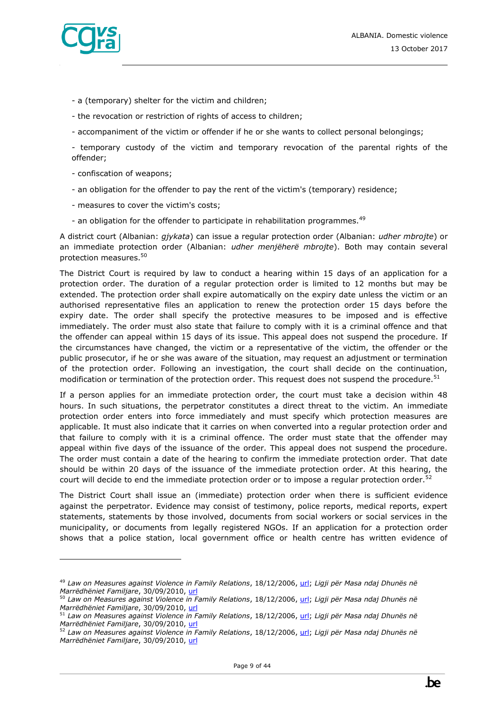- a (temporary) shelter for the victim and children;
- the revocation or restriction of rights of access to children;
- accompaniment of the victim or offender if he or she wants to collect personal belongings;

- temporary custody of the victim and temporary revocation of the parental rights of the offender;

- confiscation of weapons;
- an obligation for the offender to pay the rent of the victim's (temporary) residence;
- measures to cover the victim's costs;
- an obligation for the offender to participate in rehabilitation programmes.<sup>49</sup>

A district court (Albanian: *gjykata*) can issue a regular protection order (Albanian: *udher mbrojte*) or an immediate protection order (Albanian: *udher menjëherë mbrojte*). Both may contain several protection measures.<sup>50</sup>

The District Court is required by law to conduct a hearing within 15 days of an application for a protection order. The duration of a regular protection order is limited to 12 months but may be extended. The protection order shall expire automatically on the expiry date unless the victim or an authorised representative files an application to renew the protection order 15 days before the expiry date. The order shall specify the protective measures to be imposed and is effective immediately. The order must also state that failure to comply with it is a criminal offence and that the offender can appeal within 15 days of its issue. This appeal does not suspend the procedure. If the circumstances have changed, the victim or a representative of the victim, the offender or the public prosecutor, if he or she was aware of the situation, may request an adjustment or termination of the protection order. Following an investigation, the court shall decide on the continuation, modification or termination of the protection order. This request does not suspend the procedure.<sup>51</sup>

If a person applies for an immediate protection order, the court must take a decision within 48 hours. In such situations, the perpetrator constitutes a direct threat to the victim. An immediate protection order enters into force immediately and must specify which protection measures are applicable. It must also indicate that it carries on when converted into a regular protection order and that failure to comply with it is a criminal offence. The order must state that the offender may appeal within five days of the issuance of the order. This appeal does not suspend the procedure. The order must contain a date of the hearing to confirm the immediate protection order. That date should be within 20 days of the issuance of the immediate protection order. At this hearing, the court will decide to end the immediate protection order or to impose a regular protection order.<sup>52</sup>

The District Court shall issue an (immediate) protection order when there is sufficient evidence against the perpetrator. Evidence may consist of testimony, police reports, medical reports, expert statements, statements by those involved, documents from social workers or social services in the municipality, or documents from legally registered NGOs. If an application for a protection order shows that a police station, local government office or health centre has written evidence of

<sup>49</sup> *Law on Measures against Violence in Family Relations*, 18/12/2006[, url;](http://www.legislationline.org/download/action/download/id/6712/file/Albania_law_measures_against_violence_in_family_relations_2006_en.pdf) *Ligji për Masa ndaj Dhunës në Marrëdhëniet Familjare*, 30/09/2010, [url](http://www.vendime.al/wp-content/uploads/2015/08/LIGJI-Nr.-9669-dt-18.12.2006-%E2%80%9CP%C3%8BR-MASA-NDAJ-DHUN%C3%8BS-N%C3%8B-MARR%C3%8BDH%C3%8BNIET-FAMILJARE%E2%80%9D.pdf) 

<sup>50</sup> *Law on Measures against Violence in Family Relations*, 18/12/2006[, url;](http://www.legislationline.org/download/action/download/id/6712/file/Albania_law_measures_against_violence_in_family_relations_2006_en.pdf) *Ligji për Masa ndaj Dhunës në Marrëdhëniet Familjare*, 30/09/2010, [url](http://www.vendime.al/wp-content/uploads/2015/08/LIGJI-Nr.-9669-dt-18.12.2006-%E2%80%9CP%C3%8BR-MASA-NDAJ-DHUN%C3%8BS-N%C3%8B-MARR%C3%8BDH%C3%8BNIET-FAMILJARE%E2%80%9D.pdf)

<sup>51</sup> *Law on Measures against Violence in Family Relations*, 18/12/2006[, url;](http://www.legislationline.org/download/action/download/id/6712/file/Albania_law_measures_against_violence_in_family_relations_2006_en.pdf) *Ligji për Masa ndaj Dhunës në Marrëdhëniet Familjare*, 30/09/2010, [url](http://www.vendime.al/wp-content/uploads/2015/08/LIGJI-Nr.-9669-dt-18.12.2006-%E2%80%9CP%C3%8BR-MASA-NDAJ-DHUN%C3%8BS-N%C3%8B-MARR%C3%8BDH%C3%8BNIET-FAMILJARE%E2%80%9D.pdf)

<sup>52</sup> *Law on Measures against Violence in Family Relations*, 18/12/2006[, url;](http://www.legislationline.org/download/action/download/id/6712/file/Albania_law_measures_against_violence_in_family_relations_2006_en.pdf) *Ligji për Masa ndaj Dhunës në Marrëdhëniet Familjare*, 30/09/2010, [url](http://www.vendime.al/wp-content/uploads/2015/08/LIGJI-Nr.-9669-dt-18.12.2006-%E2%80%9CP%C3%8BR-MASA-NDAJ-DHUN%C3%8BS-N%C3%8B-MARR%C3%8BDH%C3%8BNIET-FAMILJARE%E2%80%9D.pdf)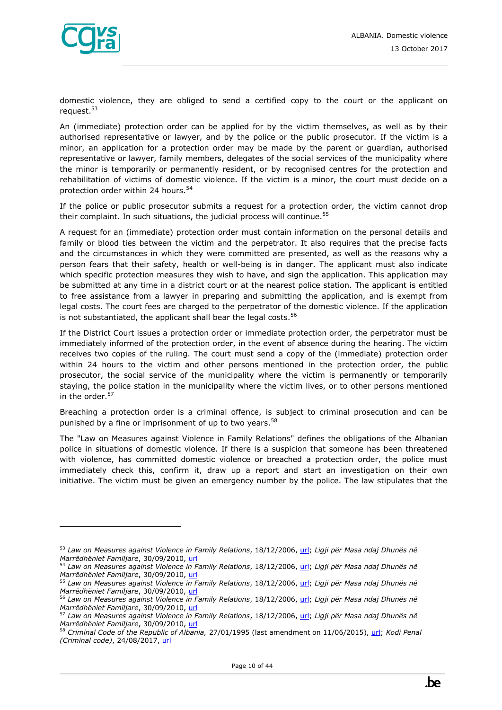

domestic violence, they are obliged to send a certified copy to the court or the applicant on request.<sup>53</sup>

An (immediate) protection order can be applied for by the victim themselves, as well as by their authorised representative or lawyer, and by the police or the public prosecutor. If the victim is a minor, an application for a protection order may be made by the parent or guardian, authorised representative or lawyer, family members, delegates of the social services of the municipality where the minor is temporarily or permanently resident, or by recognised centres for the protection and rehabilitation of victims of domestic violence. If the victim is a minor, the court must decide on a protection order within 24 hours.<sup>54</sup>

If the police or public prosecutor submits a request for a protection order, the victim cannot drop their complaint. In such situations, the judicial process will continue.<sup>55</sup>

A request for an (immediate) protection order must contain information on the personal details and family or blood ties between the victim and the perpetrator. It also requires that the precise facts and the circumstances in which they were committed are presented, as well as the reasons why a person fears that their safety, health or well-being is in danger. The applicant must also indicate which specific protection measures they wish to have, and sign the application. This application may be submitted at any time in a district court or at the nearest police station. The applicant is entitled to free assistance from a lawyer in preparing and submitting the application, and is exempt from legal costs. The court fees are charged to the perpetrator of the domestic violence. If the application is not substantiated, the applicant shall bear the legal costs.<sup>56</sup>

If the District Court issues a protection order or immediate protection order, the perpetrator must be immediately informed of the protection order, in the event of absence during the hearing. The victim receives two copies of the ruling. The court must send a copy of the (immediate) protection order within 24 hours to the victim and other persons mentioned in the protection order, the public prosecutor, the social service of the municipality where the victim is permanently or temporarily staying, the police station in the municipality where the victim lives, or to other persons mentioned in the order.<sup>57</sup>

Breaching a protection order is a criminal offence, is subject to criminal prosecution and can be punished by a fine or imprisonment of up to two years.<sup>58</sup>

The "Law on Measures against Violence in Family Relations" defines the obligations of the Albanian police in situations of domestic violence. If there is a suspicion that someone has been threatened with violence, has committed domestic violence or breached a protection order, the police must immediately check this, confirm it, draw up a report and start an investigation on their own initiative. The victim must be given an emergency number by the police. The law stipulates that the

<sup>53</sup> *Law on Measures against Violence in Family Relations*, 18/12/2006[, url;](http://www.legislationline.org/download/action/download/id/6712/file/Albania_law_measures_against_violence_in_family_relations_2006_en.pdf) *Ligji për Masa ndaj Dhunës në Marrëdhëniet Familjare*, 30/09/2010, [url](http://www.vendime.al/wp-content/uploads/2015/08/LIGJI-Nr.-9669-dt-18.12.2006-%E2%80%9CP%C3%8BR-MASA-NDAJ-DHUN%C3%8BS-N%C3%8B-MARR%C3%8BDH%C3%8BNIET-FAMILJARE%E2%80%9D.pdf)

<sup>54</sup> *Law on Measures against Violence in Family Relations*, 18/12/2006[, url;](http://www.legislationline.org/download/action/download/id/6712/file/Albania_law_measures_against_violence_in_family_relations_2006_en.pdf) *Ligji për Masa ndaj Dhunës në Marrëdhëniet Familjare*, 30/09/2010, [url](http://www.vendime.al/wp-content/uploads/2015/08/LIGJI-Nr.-9669-dt-18.12.2006-%E2%80%9CP%C3%8BR-MASA-NDAJ-DHUN%C3%8BS-N%C3%8B-MARR%C3%8BDH%C3%8BNIET-FAMILJARE%E2%80%9D.pdf)

<sup>55</sup> *Law on Measures against Violence in Family Relations*, 18/12/2006[, url;](http://www.legislationline.org/download/action/download/id/6712/file/Albania_law_measures_against_violence_in_family_relations_2006_en.pdf) *Ligji për Masa ndaj Dhunës në Marrëdhëniet Familjare*, 30/09/2010, [url](http://www.vendime.al/wp-content/uploads/2015/08/LIGJI-Nr.-9669-dt-18.12.2006-%E2%80%9CP%C3%8BR-MASA-NDAJ-DHUN%C3%8BS-N%C3%8B-MARR%C3%8BDH%C3%8BNIET-FAMILJARE%E2%80%9D.pdf)

<sup>56</sup> *Law on Measures against Violence in Family Relations*, 18/12/2006[, url;](http://www.legislationline.org/download/action/download/id/6712/file/Albania_law_measures_against_violence_in_family_relations_2006_en.pdf) *Ligji për Masa ndaj Dhunës në Marrëdhëniet Familjare*, 30/09/2010, [url](http://www.vendime.al/wp-content/uploads/2015/08/LIGJI-Nr.-9669-dt-18.12.2006-%E2%80%9CP%C3%8BR-MASA-NDAJ-DHUN%C3%8BS-N%C3%8B-MARR%C3%8BDH%C3%8BNIET-FAMILJARE%E2%80%9D.pdf)

<sup>57</sup> *Law on Measures against Violence in Family Relations*, 18/12/2006[, url;](http://www.legislationline.org/download/action/download/id/6712/file/Albania_law_measures_against_violence_in_family_relations_2006_en.pdf) *Ligji për Masa ndaj Dhunës në Marrëdhëniet Familjare*, 30/09/2010, [url](http://www.vendime.al/wp-content/uploads/2015/08/LIGJI-Nr.-9669-dt-18.12.2006-%E2%80%9CP%C3%8BR-MASA-NDAJ-DHUN%C3%8BS-N%C3%8B-MARR%C3%8BDH%C3%8BNIET-FAMILJARE%E2%80%9D.pdf)

<sup>58</sup> *Criminal Code of the Republic of Albania,* 27/01/1995 (last amendment on 11/06/2015), [url;](https://perma.cc/4M7P-E4CW) *Kodi Penal (Criminal code)*, 24/08/2017, [url](http://www.qbz.gov.al/botime/Kodi%20Penal-2017.pdf)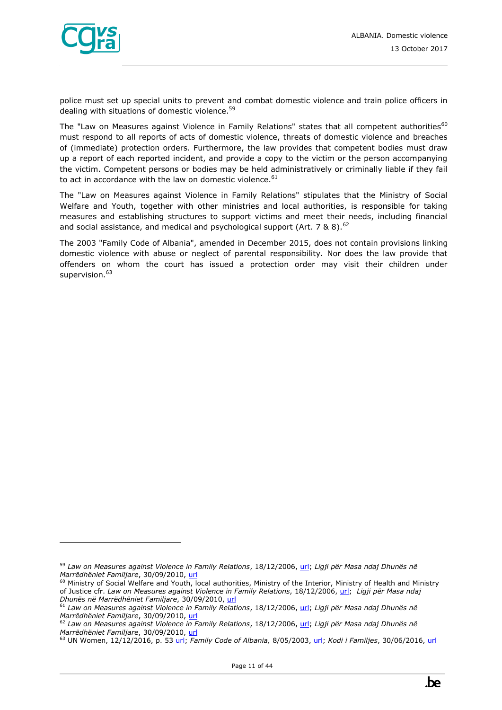

police must set up special units to prevent and combat domestic violence and train police officers in dealing with situations of domestic violence.<sup>59</sup>

The "Law on Measures against Violence in Family Relations" states that all competent authorities<sup>60</sup> must respond to all reports of acts of domestic violence, threats of domestic violence and breaches of (immediate) protection orders. Furthermore, the law provides that competent bodies must draw up a report of each reported incident, and provide a copy to the victim or the person accompanying the victim. Competent persons or bodies may be held administratively or criminally liable if they fail to act in accordance with the law on domestic violence. $61$ 

The "Law on Measures against Violence in Family Relations" stipulates that the Ministry of Social Welfare and Youth, together with other ministries and local authorities, is responsible for taking measures and establishing structures to support victims and meet their needs, including financial and social assistance, and medical and psychological support (Art.  $7 \& 8$ ).<sup>62</sup>

The 2003 "Family Code of Albania", amended in December 2015, does not contain provisions linking domestic violence with abuse or neglect of parental responsibility. Nor does the law provide that offenders on whom the court has issued a protection order may visit their children under supervision.<sup>63</sup>

<sup>59</sup> *Law on Measures against Violence in Family Relations*, 18/12/2006[, url;](http://www.legislationline.org/download/action/download/id/6712/file/Albania_law_measures_against_violence_in_family_relations_2006_en.pdf) *Ligji për Masa ndaj Dhunës në Marrëdhëniet Familjare*, 30/09/2010, [url](http://www.vendime.al/wp-content/uploads/2015/08/LIGJI-Nr.-9669-dt-18.12.2006-%E2%80%9CP%C3%8BR-MASA-NDAJ-DHUN%C3%8BS-N%C3%8B-MARR%C3%8BDH%C3%8BNIET-FAMILJARE%E2%80%9D.pdf)

 $60$  Ministry of Social Welfare and Youth, local authorities, Ministry of the Interior, Ministry of Health and Ministry of Justice cfr. *Law on Measures against Violence in Family Relations*, 18/12/2006, [url;](http://www.legislationline.org/download/action/download/id/6712/file/Albania_law_measures_against_violence_in_family_relations_2006_en.pdf) *Ligji për Masa ndaj Dhunës në Marrëdhëniet Familjare*, 30/09/2010, [url](http://www.vendime.al/wp-content/uploads/2015/08/LIGJI-Nr.-9669-dt-18.12.2006-%E2%80%9CP%C3%8BR-MASA-NDAJ-DHUN%C3%8BS-N%C3%8B-MARR%C3%8BDH%C3%8BNIET-FAMILJARE%E2%80%9D.pdf)

<sup>61</sup> *Law on Measures against Violence in Family Relations*, 18/12/2006[, url;](http://www.legislationline.org/download/action/download/id/6712/file/Albania_law_measures_against_violence_in_family_relations_2006_en.pdf) *Ligji për Masa ndaj Dhunës në Marrëdhëniet Familjare*, 30/09/2010, [url](http://www.vendime.al/wp-content/uploads/2015/08/LIGJI-Nr.-9669-dt-18.12.2006-%E2%80%9CP%C3%8BR-MASA-NDAJ-DHUN%C3%8BS-N%C3%8B-MARR%C3%8BDH%C3%8BNIET-FAMILJARE%E2%80%9D.pdf)

<sup>62</sup> *Law on Measures against Violence in Family Relations*, 18/12/2006[, url;](http://www.legislationline.org/download/action/download/id/6712/file/Albania_law_measures_against_violence_in_family_relations_2006_en.pdf) *Ligji për Masa ndaj Dhunës në Marrëdhëniet Familjare*, 30/09/2010, [url](http://www.vendime.al/wp-content/uploads/2015/08/LIGJI-Nr.-9669-dt-18.12.2006-%E2%80%9CP%C3%8BR-MASA-NDAJ-DHUN%C3%8BS-N%C3%8B-MARR%C3%8BDH%C3%8BNIET-FAMILJARE%E2%80%9D.pdf)

<sup>63</sup> UN Women, 12/12/2016, p. 53 [url;](https://un.org.al/sites/default/files/CEDAW-Avokati-EN.PDF) *Family Code of Albania,* 8/05/2003[, url;](https://www.ilo.org/dyn/natlex/docs/ELECTRONIC/65148/89474/F1958881334/ALB65148%20(English).pdf) *Kodi i Familjes*, 30/06/2016, [url](http://www.qbz.gov.al/botime/Kodi%20i%20Familjes-%20i%20azhurnuar%202016.pdf)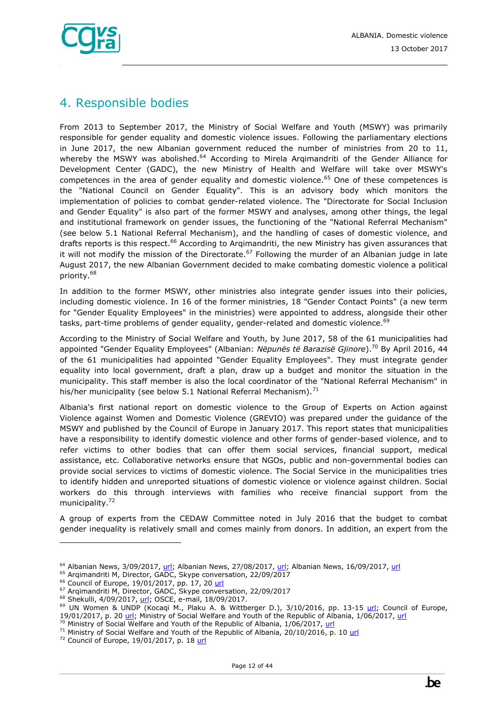

# <span id="page-11-0"></span>4. Responsible bodies

From 2013 to September 2017, the Ministry of Social Welfare and Youth (MSWY) was primarily responsible for gender equality and domestic violence issues. Following the parliamentary elections in June 2017, the new Albanian government reduced the number of ministries from 20 to 11, whereby the MSWY was abolished.<sup>64</sup> According to Mirela Argimandriti of the Gender Alliance for Development Center (GADC), the new Ministry of Health and Welfare will take over MSWY's competences in the area of gender equality and domestic violence.<sup>65</sup> One of these competences is the "National Council on Gender Equality". This is an advisory body which monitors the implementation of policies to combat gender-related violence. The "Directorate for Social Inclusion and Gender Equality" is also part of the former MSWY and analyses, among other things, the legal and institutional framework on gender issues, the functioning of the "National Referral Mechanism" (see below 5.1 National Referral Mechanism), and the handling of cases of domestic violence, and drafts reports is this respect.<sup>66</sup> According to Argimandriti, the new Ministry has given assurances that it will not modify the mission of the Directorate.<sup>67</sup> Following the murder of an Albanian judge in late August 2017, the new Albanian Government decided to make combating domestic violence a political priority.<sup>68</sup>

In addition to the former MSWY, other ministries also integrate gender issues into their policies, including domestic violence. In 16 of the former ministries, 18 "Gender Contact Points" (a new term for "Gender Equality Employees" in the ministries) were appointed to address, alongside their other tasks, part-time problems of gender equality, gender-related and domestic violence.<sup>69</sup>

According to the Ministry of Social Welfare and Youth, by June 2017, 58 of the 61 municipalities had appointed "Gender Equality Employees" (Albanian: *Nëpunës të Barazisë Gjinore*).<sup>70</sup> By April 2016, 44 of the 61 municipalities had appointed "Gender Equality Employees". They must integrate gender equality into local government, draft a plan, draw up a budget and monitor the situation in the municipality. This staff member is also the local coordinator of the "National Referral Mechanism" in his/her municipality (see below 5.1 National Referral Mechanism). $71$ 

Albania's first national report on domestic violence to the Group of Experts on Action against Violence against Women and Domestic Violence (GREVIO) was prepared under the guidance of the MSWY and published by the Council of Europe in January 2017. This report states that municipalities have a responsibility to identify domestic violence and other forms of gender-based violence, and to refer victims to other bodies that can offer them social services, financial support, medical assistance, etc. Collaborative networks ensure that NGOs, public and non-governmental bodies can provide social services to victims of domestic violence. The Social Service in the municipalities tries to identify hidden and unreported situations of domestic violence or violence against children. Social workers do this through interviews with families who receive financial support from the municipality.<sup>72</sup>

A group of experts from the CEDAW Committee noted in July 2016 that the budget to combat gender inequality is relatively small and comes mainly from donors. In addition, an expert from the

<sup>&</sup>lt;sup>64</sup> Albanian News, 3/09/2017, [url;](http://www.albaniannews.com/index.php?idm=15081&mod=2) Albanian News, 27/08/2017[, url;](http://www.albaniannews.com/index.php?idm=14955&mod=2) Albanian News, 16/09/2017, [url](http://www.albaniannews.com/index.php?idm=15339&mod=2)

<sup>65</sup> Arqimandriti M, Director, GADC, Skype conversation, 22/09/2017

<sup>&</sup>lt;sup>66</sup> Council of Europe, 19/01/2017, pp. 17, 20 [url](https://rm.coe.int/16806dd216)

<sup>67</sup> Arqimandriti M, Director, GADC, Skype conversation, 22/09/2017

<sup>&</sup>lt;sup>68</sup> Shekulli, 4/09/2017, [url;](http://shekulli.com.al/presidenti-meta-merr-masat-e-para-ndaj-fenomenit-te-dhunes-ne-familje-ja-per-cfare-behet-fjale/) OSCE, e-mail, 18/09/2017.

<sup>&</sup>lt;sup>69</sup> UN Women & UNDP (Kocaqi M., Plaku A. & Wittberger D.), 3/10/2016, pp. 13-15 [url;](https://un.org.al/publications/albania-gender-brief-%E2%80%93-2016) Council of Europe, 19/01/2017, p. 20 [url;](https://rm.coe.int/16806dd216) Ministry of Social Welfare and Youth of the Republic of Albania, 1/06/2017, [url](http://eurogender.eige.europa.eu/sites/default/files/events-files/al_1-2june17.pdf)

 $70$  Ministry of Social Welfare and Youth of the Republic of Albania, 1/06/2017, [url](http://eurogender.eige.europa.eu/sites/default/files/events-files/al_1-2june17.pdf)

<sup>&</sup>lt;sup>71</sup> Ministry of Social Welfare and Youth of the Republic of Albania, 20/10/2016, p. 10 [url](http://www.legislationline.org/download/action/download/id/7343/file/Albania_National_strategy_action_plan_gender_equality_2016-2020_en.pdf)

 $72$  Council of Europe, 19/01/2017, p. 1[8 url](https://rm.coe.int/16806dd216)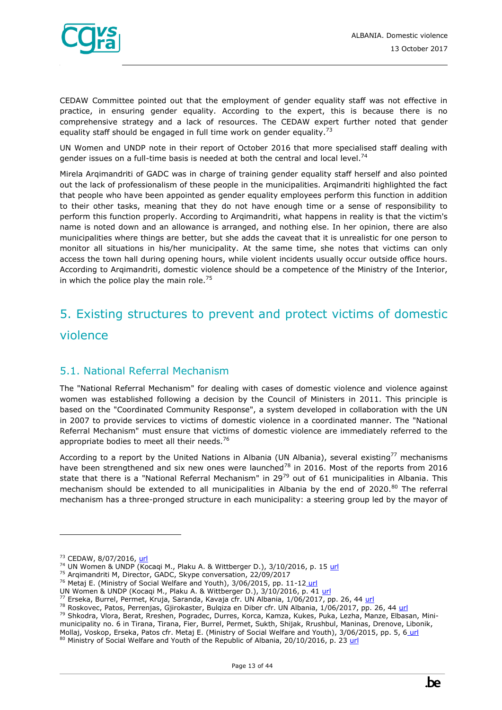

CEDAW Committee pointed out that the employment of gender equality staff was not effective in practice, in ensuring gender equality. According to the expert, this is because there is no comprehensive strategy and a lack of resources. The CEDAW expert further noted that gender equality staff should be engaged in full time work on gender equality.<sup>73</sup>

UN Women and UNDP note in their report of October 2016 that more specialised staff dealing with gender issues on a full-time basis is needed at both the central and local level.<sup>74</sup>

Mirela Arqimandriti of GADC was in charge of training gender equality staff herself and also pointed out the lack of professionalism of these people in the municipalities. Arqimandriti highlighted the fact that people who have been appointed as gender equality employees perform this function in addition to their other tasks, meaning that they do not have enough time or a sense of responsibility to perform this function properly. According to Arqimandriti, what happens in reality is that the victim's name is noted down and an allowance is arranged, and nothing else. In her opinion, there are also municipalities where things are better, but she adds the caveat that it is unrealistic for one person to monitor all situations in his/her municipality. At the same time, she notes that victims can only access the town hall during opening hours, while violent incidents usually occur outside office hours. According to Arqimandriti, domestic violence should be a competence of the Ministry of the Interior, in which the police play the main role.<sup>75</sup>

# <span id="page-12-0"></span>5. Existing structures to prevent and protect victims of domestic violence

## <span id="page-12-1"></span>5.1. National Referral Mechanism

The "National Referral Mechanism" for dealing with cases of domestic violence and violence against women was established following a decision by the Council of Ministers in 2011. This principle is based on the "Coordinated Community Response", a system developed in collaboration with the UN in 2007 to provide services to victims of domestic violence in a coordinated manner. The "National Referral Mechanism" must ensure that victims of domestic violence are immediately referred to the appropriate bodies to meet all their needs.<sup>76</sup>

According to a report by the United Nations in Albania (UN Albania), several existing<sup>77</sup> mechanisms have been strengthened and six new ones were launched<sup>78</sup> in 2016. Most of the reports from 2016 state that there is a "National Referral Mechanism" in 29<sup>79</sup> out of 61 municipalities in Albania. This mechanism should be extended to all municipalities in Albania by the end of 2020.<sup>80</sup> The referral mechanism has a three-pronged structure in each municipality: a steering group led by the mayor of

- $74$  UN Women & UNDP (Kocaqi M., Plaku A. & Wittberger D.), 3/10/2016, p. 15 [url](https://un.org.al/publications/albania-gender-brief-%E2%80%93-2016)
- <sup>75</sup> Arqimandriti M, Director, GADC, Skype conversation, 22/09/2017
- <sup>76</sup> Metaj E. (Ministry of Social Welfare and Youth), 3/06/2015, pp. 11-12 [url](http://www.al.undp.org/content/dam/albania/docs/misc/Final%20CCR%20Report%20June%202015%20engl.pdf?download)
- UN Women & UNDP (Kocaqi M., Plaku A. & Wittberger D.), 3/10/2016, p. 41 [url](https://un.org.al/publications/albania-gender-brief-%E2%80%93-2016)

<sup>&</sup>lt;sup>73</sup> CEDAW, 8/07/2016[, url](http://www.ohchr.org/EN/NewsEvents/Pages/DisplayNews.aspx?NewsID=20263&LangID=E)

<sup>77</sup> Erseka, Burrel, Permet, Kruja, Saranda, Kavaja cfr. UN Albania, 1/06/2017, pp. 26, 44 [url](http://un.org.al/sites/default/files/UN_junweb.pdf)

<sup>&</sup>lt;sup>78</sup> Roskovec, Patos, Perrenjas, Gjirokaster, Bulqiza en Diber cfr. UN Albania, 1/06/2017, pp. 26, 44 [url](http://un.org.al/sites/default/files/UN_junweb.pdf)

<sup>79</sup> Shkodra, Vlora, Berat, Rreshen, Pogradec, Durres, Korca, Kamza, Kukes, Puka, Lezha, Manze, Elbasan, Minimunicipality no. 6 in Tirana, Tirana, Fier, Burrel, Permet, Sukth, Shijak, Rrushbul, Maninas, Drenove, Libonik, Mollaj, Voskop, Erseka, Patos cfr. Metaj E. (Ministry of Social Welfare and Youth), 3/06/2015, pp. 5, 6 [url](http://www.al.undp.org/content/dam/albania/docs/misc/Final%20CCR%20Report%20June%202015%20engl.pdf?download) 80 Ministry of Social Welfare and Youth of the Republic of Albania, 20/10/2016, p. 23 [url](http://www.legislationline.org/download/action/download/id/7343/file/Albania_National_strategy_action_plan_gender_equality_2016-2020_en.pdf)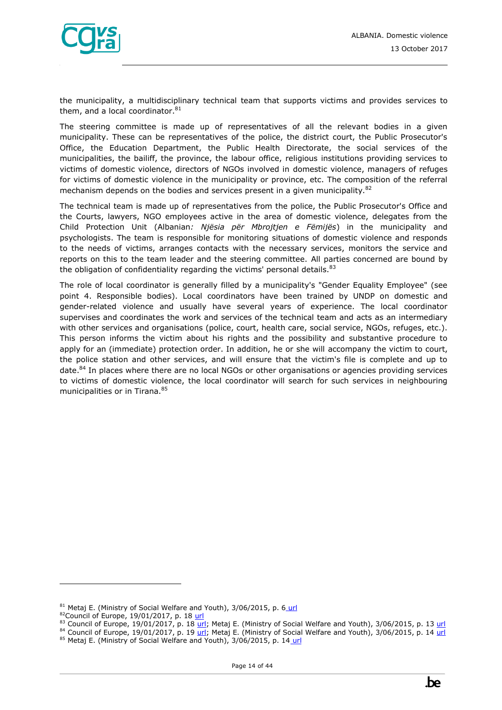

the municipality, a multidisciplinary technical team that supports victims and provides services to them, and a local coordinator. $81$ 

The steering committee is made up of representatives of all the relevant bodies in a given municipality. These can be representatives of the police, the district court, the Public Prosecutor's Office, the Education Department, the Public Health Directorate, the social services of the municipalities, the bailiff, the province, the labour office, religious institutions providing services to victims of domestic violence, directors of NGOs involved in domestic violence, managers of refuges for victims of domestic violence in the municipality or province, etc. The composition of the referral mechanism depends on the bodies and services present in a given municipality. $82$ 

The technical team is made up of representatives from the police, the Public Prosecutor's Office and the Courts, lawyers, NGO employees active in the area of domestic violence, delegates from the Child Protection Unit (Albanian*: Njësia për Mbrojtjen e Fëmijës*) in the municipality and psychologists. The team is responsible for monitoring situations of domestic violence and responds to the needs of victims, arranges contacts with the necessary services, monitors the service and reports on this to the team leader and the steering committee. All parties concerned are bound by the obligation of confidentiality regarding the victims' personal details. $83$ 

The role of local coordinator is generally filled by a municipality's "Gender Equality Employee" (see point 4. Responsible bodies). Local coordinators have been trained by UNDP on domestic and gender-related violence and usually have several years of experience. The local coordinator supervises and coordinates the work and services of the technical team and acts as an intermediary with other services and organisations (police, court, health care, social service, NGOs, refuges, etc.). This person informs the victim about his rights and the possibility and substantive procedure to apply for an (immediate) protection order. In addition, he or she will accompany the victim to court, the police station and other services, and will ensure that the victim's file is complete and up to date.<sup>84</sup> In places where there are no local NGOs or other organisations or agencies providing services to victims of domestic violence, the local coordinator will search for such services in neighbouring municipalities or in Tirana.<sup>85</sup>

<sup>81</sup> Metaj E. (Ministry of Social Welfare and Youth), 3/06/2015, p. 6 [url](http://www.al.undp.org/content/dam/albania/docs/misc/Final%20CCR%20Report%20June%202015%20engl.pdf?download)

<sup>82</sup>Council of Europe, 19/01/2017, p. 18 [url](https://rm.coe.int/16806dd216)

<sup>83</sup> Council of Europe,  $19/01/2017$ , p. 18  $url$ ; Metaj E. (Ministry of Social Welfare and Youth), 3/06/2015, p. 13  $url$ </u></u>

 $84$  Council of Europe, 19/01/2017, p. 19  $\overline{uri}$ ; Metaj E. (Ministry of Social Welfare and Youth), 3/06/2015, p. 14  $\overline{uri}$ 

<sup>85</sup> Metaj E. (Ministry of Social Welfare and Youth), 3/06/2015, p. 14 [url](http://www.al.undp.org/content/dam/albania/docs/misc/Final%20CCR%20Report%20June%202015%20engl.pdf?download)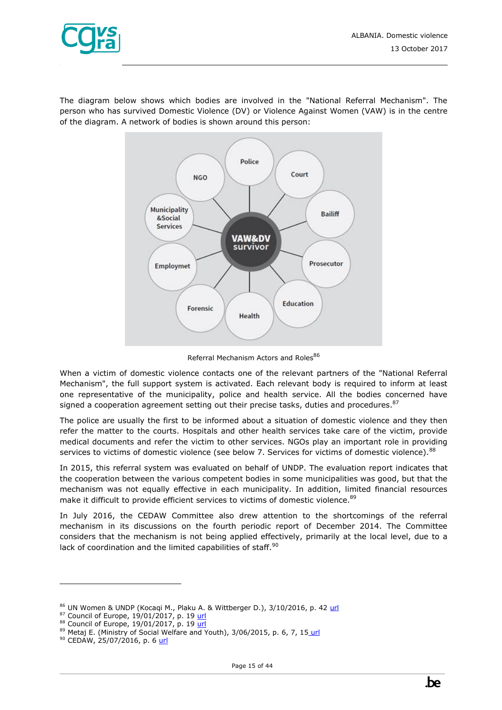

The diagram below shows which bodies are involved in the "National Referral Mechanism". The person who has survived Domestic Violence (DV) or Violence Against Women (VAW) is in the centre of the diagram. A network of bodies is shown around this person:



Referral Mechanism Actors and Roles<sup>86</sup>

When a victim of domestic violence contacts one of the relevant partners of the "National Referral Mechanism", the full support system is activated. Each relevant body is required to inform at least one representative of the municipality, police and health service. All the bodies concerned have signed a cooperation agreement setting out their precise tasks, duties and procedures. $87$ 

The police are usually the first to be informed about a situation of domestic violence and they then refer the matter to the courts. Hospitals and other health services take care of the victim, provide medical documents and refer the victim to other services. NGOs play an important role in providing services to victims of domestic violence (see below 7. Services for victims of domestic violence).  $^{88}$ 

In 2015, this referral system was evaluated on behalf of UNDP. The evaluation report indicates that the cooperation between the various competent bodies in some municipalities was good, but that the mechanism was not equally effective in each municipality. In addition, limited financial resources make it difficult to provide efficient services to victims of domestic violence.<sup>89</sup>

In July 2016, the CEDAW Committee also drew attention to the shortcomings of the referral mechanism in its discussions on the fourth periodic report of December 2014. The Committee considers that the mechanism is not being applied effectively, primarily at the local level, due to a lack of coordination and the limited capabilities of staff.<sup>90</sup>

<sup>86</sup> UN Women & UNDP (Kocaqi M., Plaku A. & Wittberger D.), 3/10/2016, p. 42 [url](https://un.org.al/publications/albania-gender-brief-%E2%80%93-2016)

<sup>87</sup> Council of Europe, 19/01/2017, p. 1[9 url](https://rm.coe.int/16806dd216)

<sup>88</sup> Council of Europe, 19/01/2017, p. 1[9 url](https://rm.coe.int/16806dd216)

<sup>89</sup> Metaj E. (Ministry of Social Welfare and Youth), 3/06/2015, p. 6, 7, 15 [url](http://www.al.undp.org/content/dam/albania/docs/misc/Final%20CCR%20Report%20June%202015%20engl.pdf?download)

<sup>90</sup> CEDAW, 25/07/2016, p. 6 [url](http://tbinternet.ohchr.org/_layouts/treatybodyexternal/Download.aspx?symbolno=CEDAW/C/ALB/CO/4&Lang=En)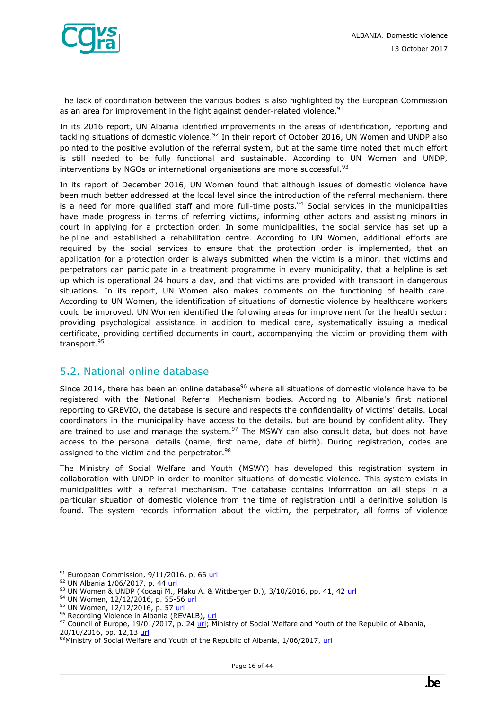

The lack of coordination between the various bodies is also highlighted by the European Commission as an area for improvement in the fight against gender-related violence.<sup>91</sup>

In its 2016 report, UN Albania identified improvements in the areas of identification, reporting and tackling situations of domestic violence.<sup>92</sup> In their report of October 2016, UN Women and UNDP also pointed to the positive evolution of the referral system, but at the same time noted that much effort is still needed to be fully functional and sustainable. According to UN Women and UNDP, interventions by NGOs or international organisations are more successful. $93$ 

In its report of December 2016, UN Women found that although issues of domestic violence have been much better addressed at the local level since the introduction of the referral mechanism, there is a need for more qualified staff and more full-time posts.<sup>94</sup> Social services in the municipalities have made progress in terms of referring victims, informing other actors and assisting minors in court in applying for a protection order. In some municipalities, the social service has set up a helpline and established a rehabilitation centre. According to UN Women, additional efforts are required by the social services to ensure that the protection order is implemented, that an application for a protection order is always submitted when the victim is a minor, that victims and perpetrators can participate in a treatment programme in every municipality, that a helpline is set up which is operational 24 hours a day, and that victims are provided with transport in dangerous situations. In its report, UN Women also makes comments on the functioning of health care. According to UN Women, the identification of situations of domestic violence by healthcare workers could be improved. UN Women identified the following areas for improvement for the health sector: providing psychological assistance in addition to medical care, systematically issuing a medical certificate, providing certified documents in court, accompanying the victim or providing them with transport.<sup>95</sup>

## <span id="page-15-0"></span>5.2. National online database

Since 2014, there has been an online database<sup>96</sup> where all situations of domestic violence have to be registered with the National Referral Mechanism bodies. According to Albania's first national reporting to GREVIO, the database is secure and respects the confidentiality of victims' details. Local coordinators in the municipality have access to the details, but are bound by confidentiality. They are trained to use and manage the system. $97$  The MSWY can also consult data, but does not have access to the personal details (name, first name, date of birth). During registration, codes are assigned to the victim and the perpetrator.<sup>98</sup>

The Ministry of Social Welfare and Youth (MSWY) has developed this registration system in collaboration with UNDP in order to monitor situations of domestic violence. This system exists in municipalities with a referral mechanism. The database contains information on all steps in a particular situation of domestic violence from the time of registration until a definitive solution is found. The system records information about the victim, the perpetrator, all forms of violence

 $91$  European Commission, 9/11/2016, p. 66 [url](https://ec.europa.eu/neighbourhood-enlargement/sites/near/files/pdf/key_documents/2016/20161109_report_albania.pdf)

<sup>92</sup> UN Albania 1/06/2017, p. 44 [url](http://un.org.al/sites/default/files/UN_junweb.pdf)

<sup>93</sup> UN Women & UNDP (Kocaqi M., Plaku A. & Wittberger D.), 3/10/2016, pp. 41, 42 [url](https://un.org.al/publications/albania-gender-brief-%E2%80%93-2016)

<sup>94</sup> UN Women, 12/12/2016, p. 55-56 [url](https://un.org.al/sites/default/files/CEDAW-Avokati-EN.PDF)

<sup>95</sup> UN Women, 12/12/2016, p. 57 [url](https://un.org.al/sites/default/files/CEDAW-Avokati-EN.PDF)

<sup>96</sup> Recording Violence in Albania (REVALB), [url](http://www.revalb.org/)

<sup>&</sup>lt;sup>97</sup> Council of Europe, 19/01/2017, p. 2[4 url;](https://rm.coe.int/16806dd216) Ministry of Social Welfare and Youth of the Republic of Albania, 20/10/2016, pp. 12,13 [url](http://www.legislationline.org/download/action/download/id/7343/file/Albania_National_strategy_action_plan_gender_equality_2016-2020_en.pdf)

<sup>98</sup>Ministry of Social Welfare and Youth of the Republic of Albania, 1/06/2017, [url](http://eurogender.eige.europa.eu/sites/default/files/events-files/al_1-2june17.pdf)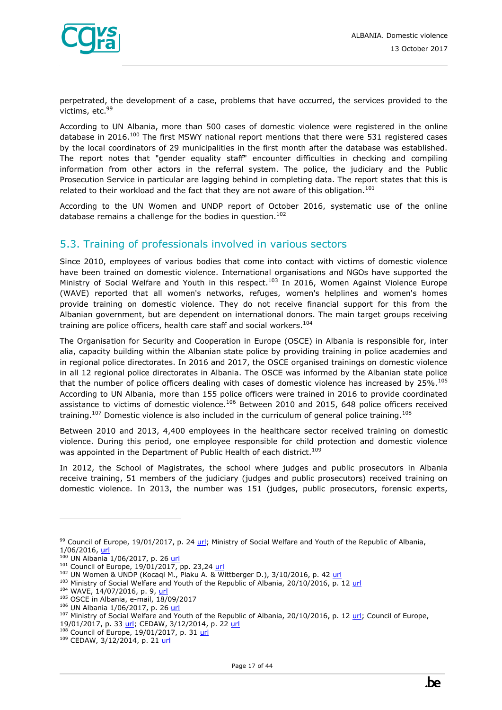

perpetrated, the development of a case, problems that have occurred, the services provided to the victims, etc.<sup>99</sup>

According to UN Albania, more than 500 cases of domestic violence were registered in the online database in 2016.<sup>100</sup> The first MSWY national report mentions that there were 531 registered cases by the local coordinators of 29 municipalities in the first month after the database was established. The report notes that "gender equality staff" encounter difficulties in checking and compiling information from other actors in the referral system. The police, the judiciary and the Public Prosecution Service in particular are lagging behind in completing data. The report states that this is related to their workload and the fact that they are not aware of this obligation.<sup>101</sup>

According to the UN Women and UNDP report of October 2016, systematic use of the online database remains a challenge for the bodies in question.<sup>102</sup>

## <span id="page-16-0"></span>5.3. Training of professionals involved in various sectors

Since 2010, employees of various bodies that come into contact with victims of domestic violence have been trained on domestic violence. International organisations and NGOs have supported the Ministry of Social Welfare and Youth in this respect.<sup>103</sup> In 2016, Women Against Violence Europe (WAVE) reported that all women's networks, refuges, women's helplines and women's homes provide training on domestic violence. They do not receive financial support for this from the Albanian government, but are dependent on international donors. The main target groups receiving training are police officers, health care staff and social workers.<sup>104</sup>

The Organisation for Security and Cooperation in Europe (OSCE) in Albania is responsible for, inter alia, capacity building within the Albanian state police by providing training in police academies and in regional police directorates. In 2016 and 2017, the OSCE organised trainings on domestic violence in all 12 regional police directorates in Albania. The OSCE was informed by the Albanian state police that the number of police officers dealing with cases of domestic violence has increased by  $25\%$ .<sup>105</sup> According to UN Albania, more than 155 police officers were trained in 2016 to provide coordinated assistance to victims of domestic violence.<sup>106</sup> Between 2010 and 2015, 648 police officers received training.<sup>107</sup> Domestic violence is also included in the curriculum of general police training.<sup>108</sup>

Between 2010 and 2013, 4,400 employees in the healthcare sector received training on domestic violence. During this period, one employee responsible for child protection and domestic violence was appointed in the Department of Public Health of each district.<sup>109</sup>

In 2012, the School of Magistrates, the school where judges and public prosecutors in Albania receive training, 51 members of the judiciary (judges and public prosecutors) received training on domestic violence. In 2013, the number was 151 (judges, public prosecutors, forensic experts,

<sup>&</sup>lt;sup>99</sup> Council of Europe, 19/01/2017, p. 2[4 url;](https://rm.coe.int/16806dd216) Ministry of Social Welfare and Youth of the Republic of Albania, 1/06/2016, [url](http://eurogender.eige.europa.eu/sites/default/files/events-files/al_1-2june17.pdf)

 $100$  UN Albania 1/06/2017, p. 26 [url](http://un.org.al/sites/default/files/UN_junweb.pdf)

 $101$  Council of Europe, 19/01/2017, pp. 23,24 [url](https://rm.coe.int/16806dd216)

 $102$  UN Women & UNDP (Kocaqi M., Plaku A. & Wittberger D.), 3/10/2016, p. 42 [url](https://un.org.al/publications/albania-gender-brief-%E2%80%93-2016)

<sup>&</sup>lt;sup>103</sup> Ministry of Social Welfare and Youth of the Republic of Albania, 20/10/2016, p. 12 [url](http://www.legislationline.org/download/action/download/id/7343/file/Albania_National_strategy_action_plan_gender_equality_2016-2020_en.pdf)

<sup>&</sup>lt;sup>104</sup> WAVE, 14/07/2016, p. 9, [url](http://fileserver.wave-network.org/researchreports/WAVEReport2015_Compilation_Country_Profiles.pdf)

<sup>105</sup> OSCE in Albania, e-mail, 18/09/2017

<sup>106</sup> UN Albania 1/06/2017, p. 26 [url](http://un.org.al/sites/default/files/UN_junweb.pdf)

<sup>&</sup>lt;sup>107</sup> Ministry of Social Welfare and Youth of the Republic of Albania, 20/10/2016, p. 12 [url;](http://www.legislationline.org/download/action/download/id/7343/file/Albania_National_strategy_action_plan_gender_equality_2016-2020_en.pdf) Council of Europe, 19/01/2017, p. 33 [url;](https://rm.coe.int/16806dd216) CEDAW, 3/12/2014, p. 22 [url](http://undocs.org/CEDAW/C/ALB/4)

Council of Europe, 19/01/2017, p. 31 [url](https://rm.coe.int/16806dd216)

<sup>109</sup> CEDAW, 3/12/2014, p. 21 [url](http://undocs.org/CEDAW/C/ALB/4)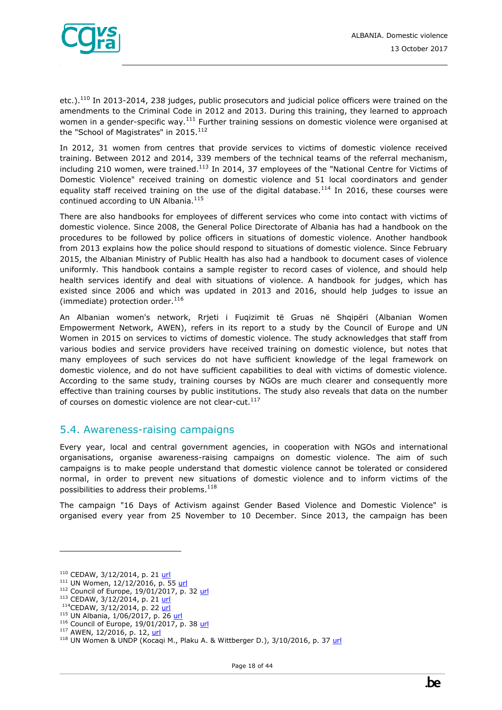

etc.). $^{110}$  In 2013-2014, 238 judges, public prosecutors and judicial police officers were trained on the amendments to the Criminal Code in 2012 and 2013. During this training, they learned to approach women in a gender-specific way.<sup>111</sup> Further training sessions on domestic violence were organised at the "School of Magistrates" in 2015.<sup>112</sup>

In 2012, 31 women from centres that provide services to victims of domestic violence received training. Between 2012 and 2014, 339 members of the technical teams of the referral mechanism, including 210 women, were trained.<sup>113</sup> In 2014, 37 employees of the "National Centre for Victims of Domestic Violence" received training on domestic violence and 51 local coordinators and gender equality staff received training on the use of the digital database.<sup>114</sup> In 2016, these courses were continued according to UN Albania.<sup>115</sup>

There are also handbooks for employees of different services who come into contact with victims of domestic violence. Since 2008, the General Police Directorate of Albania has had a handbook on the procedures to be followed by police officers in situations of domestic violence. Another handbook from 2013 explains how the police should respond to situations of domestic violence. Since February 2015, the Albanian Ministry of Public Health has also had a handbook to document cases of violence uniformly. This handbook contains a sample register to record cases of violence, and should help health services identify and deal with situations of violence. A handbook for judges, which has existed since 2006 and which was updated in 2013 and 2016, should help judges to issue an (immediate) protection order. $^{116}$ 

An Albanian women's network, Rrjeti i Fuqizimit të Gruas në Shqipëri (Albanian Women Empowerment Network, AWEN), refers in its report to a study by the Council of Europe and UN Women in 2015 on services to victims of domestic violence. The study acknowledges that staff from various bodies and service providers have received training on domestic violence, but notes that many employees of such services do not have sufficient knowledge of the legal framework on domestic violence, and do not have sufficient capabilities to deal with victims of domestic violence. According to the same study, training courses by NGOs are much clearer and consequently more effective than training courses by public institutions. The study also reveals that data on the number of courses on domestic violence are not clear-cut.<sup>117</sup>

## <span id="page-17-0"></span>5.4. Awareness-raising campaigns

Every year, local and central government agencies, in cooperation with NGOs and international organisations, organise awareness-raising campaigns on domestic violence. The aim of such campaigns is to make people understand that domestic violence cannot be tolerated or considered normal, in order to prevent new situations of domestic violence and to inform victims of the possibilities to address their problems.<sup>118</sup>

The campaign "16 Days of Activism against Gender Based Violence and Domestic Violence" is organised every year from 25 November to 10 December. Since 2013, the campaign has been

 $110$  CEDAW, 3/12/2014, p. 21 [url](http://undocs.org/CEDAW/C/ALB/4)

<sup>111</sup> UN Women, 12/12/2016, p. 55 [url](https://un.org.al/sites/default/files/CEDAW-Avokati-EN.PDF)

<sup>112</sup> Council of Europe, 19/01/2017, p. 32 [url](https://rm.coe.int/16806dd216)

<sup>113</sup> CEDAW, 3/12/2014, p. 21 [url](http://undocs.org/CEDAW/C/ALB/4)

<sup>&</sup>lt;sup>114</sup>CEDAW, 3/12/2014, p. 22 [url](http://undocs.org/CEDAW/C/ALB/4)

<sup>115</sup> UN Albania, 1/06/2017, p. 26 [url](http://un.org.al/sites/default/files/UN_junweb.pdf)

<sup>&</sup>lt;sup>116</sup> Council of Europe, 19/01/2017, p. 38 [url](https://rm.coe.int/16806dd216)

<sup>117</sup> AWEN, 12/2016, p. 12, [url](http://awenetwork.org/wp-content/uploads/2017/01/Draft-Istanbul-Convention-Monitoring-Report.pdf)

<sup>118</sup> UN Women & UNDP (Kocaqi M., Plaku A. & Wittberger D.), 3/10/2016, p. 37 [url](https://un.org.al/publications/albania-gender-brief-%E2%80%93-2016)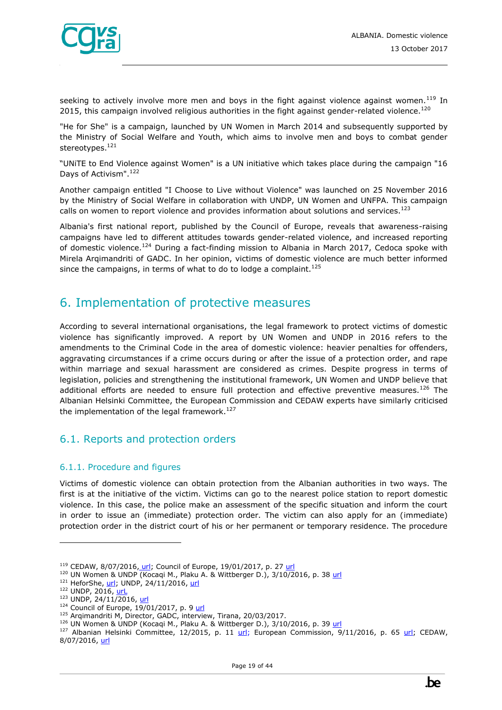

seeking to actively involve more men and boys in the fight against violence against women.<sup>119</sup> In 2015, this campaign involved religious authorities in the fight against gender-related violence.<sup>120</sup>

"He for She" is a campaign, launched by UN Women in March 2014 and subsequently supported by the Ministry of Social Welfare and Youth, which aims to involve men and boys to combat gender stereotypes.<sup>121</sup>

"UNiTE to End Violence against Women" is a UN initiative which takes place during the campaign "16 Days of Activism".<sup>122</sup>

Another campaign entitled "I Choose to Live without Violence" was launched on 25 November 2016 by the Ministry of Social Welfare in collaboration with UNDP, UN Women and UNFPA. This campaign calls on women to report violence and provides information about solutions and services.<sup>123</sup>

Albania's first national report, published by the Council of Europe, reveals that awareness-raising campaigns have led to different attitudes towards gender-related violence, and increased reporting of domestic violence.<sup>124</sup> During a fact-finding mission to Albania in March 2017, Cedoca spoke with Mirela Arqimandriti of GADC. In her opinion, victims of domestic violence are much better informed since the campaigns, in terms of what to do to lodge a complaint.  $^{125}$ 

# <span id="page-18-0"></span>6. Implementation of protective measures

According to several international organisations, the legal framework to protect victims of domestic violence has significantly improved. A report by UN Women and UNDP in 2016 refers to the amendments to the Criminal Code in the area of domestic violence: heavier penalties for offenders, aggravating circumstances if a crime occurs during or after the issue of a protection order, and rape within marriage and sexual harassment are considered as crimes. Despite progress in terms of legislation, policies and strengthening the institutional framework, UN Women and UNDP believe that additional efforts are needed to ensure full protection and effective preventive measures.<sup>126</sup> The Albanian Helsinki Committee, the European Commission and CEDAW experts have similarly criticised the implementation of the legal framework.<sup>127</sup>

## <span id="page-18-1"></span>6.1. Reports and protection orders

#### <span id="page-18-2"></span>6.1.1. Procedure and figures

Victims of domestic violence can obtain protection from the Albanian authorities in two ways. The first is at the initiative of the victim. Victims can go to the nearest police station to report domestic violence. In this case, the police make an assessment of the specific situation and inform the court in order to issue an (immediate) protection order. The victim can also apply for an (immediate) protection order in the district court of his or her permanent or temporary residence. The procedure

<sup>119</sup> CEDAW, 8/07/2016, [url;](http://www.ohchr.org/EN/NewsEvents/Pages/DisplayNews.aspx?NewsID=20263&LangID=E) Council of Europe, 19/01/2017, p. 2[7 url](https://rm.coe.int/16806dd216)

<sup>&</sup>lt;sup>120</sup> UN Women & UNDP (Kocaqi M., Plaku A. & Wittberger D.), 3/10/2016, p. 38 [url](https://un.org.al/publications/albania-gender-brief-%E2%80%93-2016)

<sup>&</sup>lt;sup>121</sup> HeforShe, [url;](http://www.heforshe.org/en) UNDP, 24/11/2016, [url](http://www.al.undp.org/content/albania/en/home/presscenter/articles/2016/11/24/-i-choose-to-live-without-violence-campaign-launched-in-tirana.html)

<sup>122</sup> UNDP, 2016, url

 $123$  UNDP, 24/11/2016, [url](http://www.al.undp.org/content/albania/en/home/presscenter/articles/2016/11/24/-i-choose-to-live-without-violence-campaign-launched-in-tirana.html)

 $124$  Council of Europe,  $19/01/2017$ , p. 9 [url](https://rm.coe.int/16806dd216)

<sup>&</sup>lt;sup>125</sup> Arqimandriti M, Director, GADC, interview, Tirana, 20/03/2017.

<sup>&</sup>lt;sup>126</sup> UN Women & UNDP (Kocaqi M., Plaku A. & Wittberger D.), 3/10/2016, p. 39 [url](https://un.org.al/publications/albania-gender-brief-%E2%80%93-2016)

<sup>&</sup>lt;sup>127</sup> Albanian Helsinki Committee, 12/2015, p. 11 [url;](https://ec.europa.eu/neighbourhood-enlargement/sites/near/files/pdf/key_documents/2016/20161109_report_albania.pdf) European Commission,  $9/11/2016$ , p. 65 url; CEDAW, 8/07/2016, [url](http://www.ohchr.org/EN/NewsEvents/Pages/DisplayNews.aspx?NewsID=20263&LangID=E)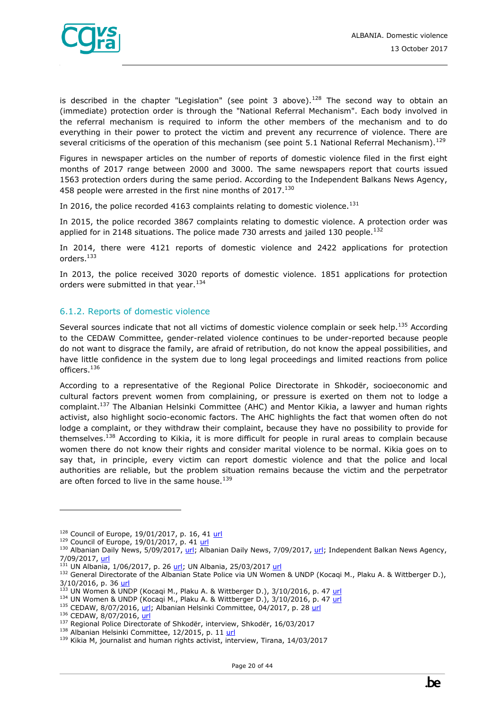

is described in the chapter "Legislation" (see point 3 above).<sup>128</sup> The second way to obtain an (immediate) protection order is through the "National Referral Mechanism". Each body involved in the referral mechanism is required to inform the other members of the mechanism and to do everything in their power to protect the victim and prevent any recurrence of violence. There are several criticisms of the operation of this mechanism (see point 5.1 National Referral Mechanism).<sup>129</sup>

Figures in newspaper articles on the number of reports of domestic violence filed in the first eight months of 2017 range between 2000 and 3000. The same newspapers report that courts issued 1563 protection orders during the same period. According to the Independent Balkans News Agency, 458 people were arrested in the first nine months of 2017.<sup>130</sup>

In 2016, the police recorded 4163 complaints relating to domestic violence.<sup>131</sup>

In 2015, the police recorded 3867 complaints relating to domestic violence. A protection order was applied for in 2148 situations. The police made 730 arrests and jailed 130 people.<sup>132</sup>

In 2014, there were 4121 reports of domestic violence and 2422 applications for protection orders.<sup>133</sup>

In 2013, the police received 3020 reports of domestic violence. 1851 applications for protection orders were submitted in that year.<sup>134</sup>

#### <span id="page-19-0"></span>6.1.2. Reports of domestic violence

Several sources indicate that not all victims of domestic violence complain or seek help.<sup>135</sup> According to the CEDAW Committee, gender-related violence continues to be under-reported because people do not want to disgrace the family, are afraid of retribution, do not know the appeal possibilities, and have little confidence in the system due to long legal proceedings and limited reactions from police officers.<sup>136</sup>

According to a representative of the Regional Police Directorate in Shkodër, socioeconomic and cultural factors prevent women from complaining, or pressure is exerted on them not to lodge a complaint.<sup>137</sup> The Albanian Helsinki Committee (AHC) and Mentor Kikia, a lawyer and human rights activist, also highlight socio-economic factors. The AHC highlights the fact that women often do not lodge a complaint, or they withdraw their complaint, because they have no possibility to provide for themselves.<sup>138</sup> According to Kikia, it is more difficult for people in rural areas to complain because women there do not know their rights and consider marital violence to be normal. Kikia goes on to say that, in principle, every victim can report domestic violence and that the police and local authorities are reliable, but the problem situation remains because the victim and the perpetrator are often forced to live in the same house. $139$ 

<sup>128</sup> Council of Europe, 19/01/2017, p. 16, 41 [url](https://rm.coe.int/16806dd216)

 $129$  Council of Europe, 19/01/2017, p. 41 [url](https://rm.coe.int/16806dd216)

<sup>&</sup>lt;sup>130</sup> Albanian Daily News, 5/09/2017, [url;](http://www.albaniannews.com/index.php?idm=15118&mod=2) Albanian Daily News, 7/09/2017[, url;](http://albaniannews.com/index.php?idm=15153&mod=2) Independent Balkan News Agency, 7/09/2017, [url](http://balkaneu.com/cases-of-domestic-violence-in-albania-rise-one-person-dies-each-month/)

 $1^{31}$  UN Albania, 1/06/2017, p. 26 [url;](http://un.org.al/sites/default/files/UN_junweb.pdf) UN Albania, 25/03/2017 [url](http://www.un.org.al/stories/sweden-helps-make-homes-violence-free-albania)

<sup>&</sup>lt;sup>132</sup> General Directorate of the Albanian State Police via UN Women & UNDP (Kocaqi M., Plaku A. & Wittberger D.), 3/10/2016, p. 36 [url](https://un.org.al/publications/albania-gender-brief-%E2%80%93-2016)

 $133$  UN Women & UNDP (Kocaqi M., Plaku A. & Wittberger D.), 3/10/2016, p. 47 [url](https://un.org.al/publications/albania-gender-brief-%E2%80%93-2016)

<sup>134</sup> UN Women & UNDP (Kocaqi M., Plaku A. & Wittberger D.), 3/10/2016, p. 47 [url](https://un.org.al/publications/albania-gender-brief-%E2%80%93-2016)

<sup>&</sup>lt;sup>135</sup> CEDAW, 8/07/2016, [url;](http://www.ohchr.org/EN/NewsEvents/Pages/DisplayNews.aspx?NewsID=20263&LangID=E) Albanian Helsinki Committee, 04/2017, p. 2[8 url](http://www.ahc.org.al/wp-content/uploads/2017/07/AHCAnnualReportEngPrint.pdf)

<sup>136</sup> CEDAW, 8/07/2016, [url](http://www.ohchr.org/EN/NewsEvents/Pages/DisplayNews.aspx?NewsID=20263&LangID=E)

<sup>137</sup> Regional Police Directorate of Shkodër, interview, Shkodër, 16/03/2017

<sup>138</sup> Albanian Helsinki Committee, 12/2015, p. 11 [url](http://www.ahc.org.al/wp-content/uploads/2016/12/Report_on_the_human_rights.pdf)

<sup>139</sup> Kikia M, journalist and human rights activist, interview, Tirana, 14/03/2017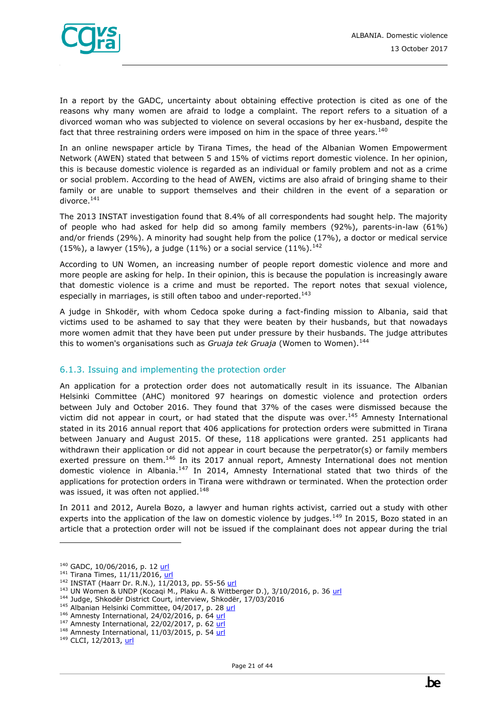

In a report by the GADC, uncertainty about obtaining effective protection is cited as one of the reasons why many women are afraid to lodge a complaint. The report refers to a situation of a divorced woman who was subjected to violence on several occasions by her ex-husband, despite the fact that three restraining orders were imposed on him in the space of three years.<sup>140</sup>

In an online newspaper article by Tirana Times, the head of the Albanian Women Empowerment Network (AWEN) stated that between 5 and 15% of victims report domestic violence. In her opinion, this is because domestic violence is regarded as an individual or family problem and not as a crime or social problem. According to the head of AWEN, victims are also afraid of bringing shame to their family or are unable to support themselves and their children in the event of a separation or divorce.<sup>141</sup>

The 2013 INSTAT investigation found that 8.4% of all correspondents had sought help. The majority of people who had asked for help did so among family members (92%), parents-in-law (61%) and/or friends (29%). A minority had sought help from the police (17%), a doctor or medical service (15%), a lawyer (15%), a judge (11%) or a social service (11%).<sup>142</sup>

According to UN Women, an increasing number of people report domestic violence and more and more people are asking for help. In their opinion, this is because the population is increasingly aware that domestic violence is a crime and must be reported. The report notes that sexual violence, especially in marriages, is still often taboo and under-reported.<sup>143</sup>

A judge in Shkodër, with whom Cedoca spoke during a fact-finding mission to Albania, said that victims used to be ashamed to say that they were beaten by their husbands, but that nowadays more women admit that they have been put under pressure by their husbands. The judge attributes this to women's organisations such as *Gruaja tek Gruaja* (Women to Women).<sup>144</sup>

#### <span id="page-20-0"></span>6.1.3. Issuing and implementing the protection order

An application for a protection order does not automatically result in its issuance. The Albanian Helsinki Committee (AHC) monitored 97 hearings on domestic violence and protection orders between July and October 2016. They found that 37% of the cases were dismissed because the victim did not appear in court, or had stated that the dispute was over.<sup>145</sup> Amnesty International stated in its 2016 annual report that 406 applications for protection orders were submitted in Tirana between January and August 2015. Of these, 118 applications were granted. 251 applicants had withdrawn their application or did not appear in court because the perpetrator(s) or family members exerted pressure on them.<sup>146</sup> In its 2017 annual report, Amnesty International does not mention domestic violence in Albania.<sup>147</sup> In 2014, Amnesty International stated that two thirds of the applications for protection orders in Tirana were withdrawn or terminated. When the protection order was issued, it was often not applied.<sup>148</sup>

In 2011 and 2012, Aurela Bozo, a lawyer and human rights activist, carried out a study with other experts into the application of the law on domestic violence by judges.<sup>149</sup> In 2015, Bozo stated in an article that a protection order will not be issued if the complainant does not appear during the trial

<sup>&</sup>lt;sup>140</sup> GADC, 10/06/2016, p. 12 [url](http://tbinternet.ohchr.org/Treaties/CEDAW/Shared%20Documents/ALB/INT_CEDAW_NGO_ALB_24256_E.pdf)

 $141$  Tirana Times,  $11/11/2016$ [, url](http://www.tiranatimes.com/?p=129869)

<sup>142</sup> INSTAT (Haarr Dr. R.N.), 11/2013, pp. 55-56 [url](http://www.instat.gov.al/media/225815/domestic_violence_in_albania_2013.pdf)

<sup>&</sup>lt;sup>143</sup> UN Women & UNDP (Kocaqi M., Plaku A. & Wittberger D.), 3/10/2016, p. 36 [url](https://un.org.al/publications/albania-gender-brief-%E2%80%93-2016)

<sup>144</sup> Judge, Shkodër District Court, interview, Shkodër, 17/03/2016

<sup>&</sup>lt;sup>145</sup> Albanian Helsinki Committee, 04/2017, p. 28 [url](http://www.ahc.org.al/wp-content/uploads/2017/07/AHCAnnualReportEngPrint.pdf)

 $146$  Amnesty International, 24/02/2016, p. 64 [url](https://www.amnesty.org/en/latest/research/2016/02/annual-report-201516/)

 $147$  Amnesty International, 22/02/2017, p. 62 [url](https://www.amnesty.org/download/Documents/POL1048002017ENGLISH.PDF)

<sup>148</sup> Amnesty International, 11/03/2015, p. 54 [url](https://www.amnesty.org/download/Documents/POL1000012015ENGLISH.PDF)

<sup>&</sup>lt;sup>149</sup> CLCI, 12/2013, [url](http://www.qag-al.org/ang/html/2014/raporti_english.pdf)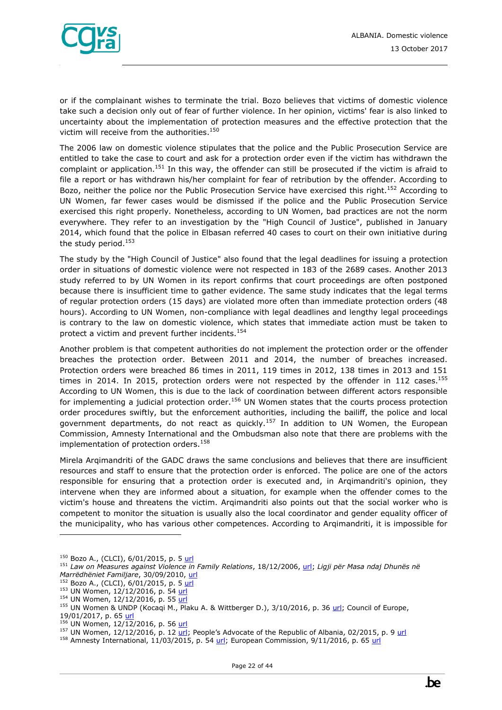

or if the complainant wishes to terminate the trial. Bozo believes that victims of domestic violence take such a decision only out of fear of further violence. In her opinion, victims' fear is also linked to uncertainty about the implementation of protection measures and the effective protection that the victim will receive from the authorities.<sup>150</sup>

The 2006 law on domestic violence stipulates that the police and the Public Prosecution Service are entitled to take the case to court and ask for a protection order even if the victim has withdrawn the complaint or application.<sup>151</sup> In this way, the offender can still be prosecuted if the victim is afraid to file a report or has withdrawn his/her complaint for fear of retribution by the offender. According to Bozo, neither the police nor the Public Prosecution Service have exercised this right.<sup>152</sup> According to UN Women, far fewer cases would be dismissed if the police and the Public Prosecution Service exercised this right properly. Nonetheless, according to UN Women, bad practices are not the norm everywhere. They refer to an investigation by the "High Council of Justice", published in January 2014, which found that the police in Elbasan referred 40 cases to court on their own initiative during the study period. $153$ 

The study by the "High Council of Justice" also found that the legal deadlines for issuing a protection order in situations of domestic violence were not respected in 183 of the 2689 cases. Another 2013 study referred to by UN Women in its report confirms that court proceedings are often postponed because there is insufficient time to gather evidence. The same study indicates that the legal terms of regular protection orders (15 days) are violated more often than immediate protection orders (48 hours). According to UN Women, non-compliance with legal deadlines and lengthy legal proceedings is contrary to the law on domestic violence, which states that immediate action must be taken to protect a victim and prevent further incidents.<sup>154</sup>

Another problem is that competent authorities do not implement the protection order or the offender breaches the protection order. Between 2011 and 2014, the number of breaches increased. Protection orders were breached 86 times in 2011, 119 times in 2012, 138 times in 2013 and 151 times in 2014. In 2015, protection orders were not respected by the offender in 112 cases.<sup>155</sup> According to UN Women, this is due to the lack of coordination between different actors responsible for implementing a judicial protection order.<sup>156</sup> UN Women states that the courts process protection order procedures swiftly, but the enforcement authorities, including the bailiff, the police and local government departments, do not react as quickly.<sup>157</sup> In addition to UN Women, the European Commission, Amnesty International and the Ombudsman also note that there are problems with the implementation of protection orders.<sup>158</sup>

Mirela Arqimandriti of the GADC draws the same conclusions and believes that there are insufficient resources and staff to ensure that the protection order is enforced. The police are one of the actors responsible for ensuring that a protection order is executed and, in Arqimandriti's opinion, they intervene when they are informed about a situation, for example when the offender comes to the victim's house and threatens the victim. Arqimandriti also points out that the social worker who is competent to monitor the situation is usually also the local coordinator and gender equality officer of the municipality, who has various other competences. According to Arqimandriti, it is impossible for

<sup>&</sup>lt;sup>150</sup> Bozo A., (CLCI), 6/01/2015, p. [5 url](http://www.mcser.org/journal/index.php/mjss/article/download/5560/5363)

<sup>151</sup> *Law on Measures against Violence in Family Relations*, 18/12/2006, [url;](http://www.legislationline.org/download/action/download/id/6712/file/Albania_law_measures_against_violence_in_family_relations_2006_en.pdf) *Ligji për Masa ndaj Dhunës në Marrëdhëniet Familjare*, 30/09/2010, [url](http://www.vendime.al/wp-content/uploads/2015/08/LIGJI-Nr.-9669-dt-18.12.2006-%E2%80%9CP%C3%8BR-MASA-NDAJ-DHUN%C3%8BS-N%C3%8B-MARR%C3%8BDH%C3%8BNIET-FAMILJARE%E2%80%9D.pdf)

<sup>152</sup> Bozo A., (CLCI), 6/01/2015, p. [5 url](http://www.mcser.org/journal/index.php/mjss/article/download/5560/5363)

<sup>153</sup> UN Women, 12/12/2016, p. 54 [url](https://un.org.al/sites/default/files/CEDAW-Avokati-EN.PDF)

<sup>154</sup> UN Women, 12/12/2016, p. 55 [url](https://un.org.al/sites/default/files/CEDAW-Avokati-EN.PDF)

<sup>&</sup>lt;sup>155</sup> UN Women & UNDP (Kocaqi M., Plaku A. & Wittberger D.), 3/10/2016, p. 36 [url;](https://un.org.al/publications/albania-gender-brief-%E2%80%93-2016) Council of Europe, 19/01/2017, p. 65 [url](https://rm.coe.int/16806dd216)

 $156$  UN Women, 12/12/2016, p. 56 [url](https://un.org.al/sites/default/files/CEDAW-Avokati-EN.PDF)

<sup>&</sup>lt;sup>157</sup> UN Women, 12/12/2016, p. 12  $url$  $url$  $url$ ; People's Advocate of the Republic of Albania, 02/2015, p. 9  $url$ </u></u>

<sup>&</sup>lt;sup>158</sup> Amnesty International, 11/03/2015, p. 54  $url$ ; European Commission, 9/11/2016, p. 65  $url$ </u></u>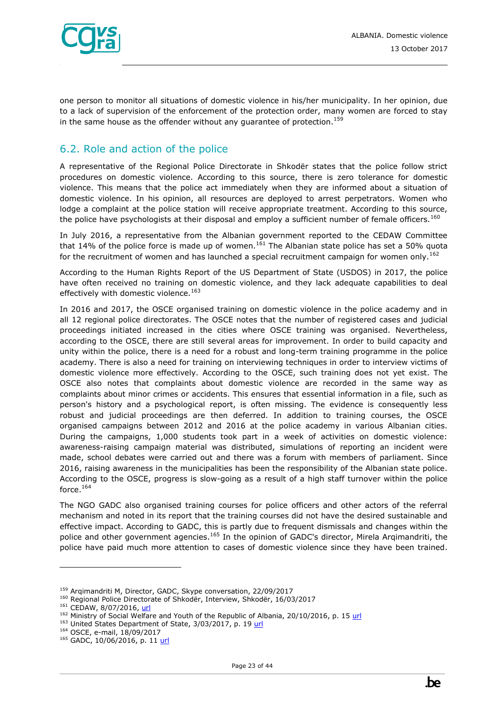

one person to monitor all situations of domestic violence in his/her municipality. In her opinion, due to a lack of supervision of the enforcement of the protection order, many women are forced to stay in the same house as the offender without any quarantee of protection.<sup>159</sup>

## <span id="page-22-0"></span>6.2. Role and action of the police

A representative of the Regional Police Directorate in Shkodër states that the police follow strict procedures on domestic violence. According to this source, there is zero tolerance for domestic violence. This means that the police act immediately when they are informed about a situation of domestic violence. In his opinion, all resources are deployed to arrest perpetrators. Women who lodge a complaint at the police station will receive appropriate treatment. According to this source, the police have psychologists at their disposal and employ a sufficient number of female officers.<sup>160</sup>

In July 2016, a representative from the Albanian government reported to the CEDAW Committee that 14% of the police force is made up of women.<sup>161</sup> The Albanian state police has set a 50% quota for the recruitment of women and has launched a special recruitment campaign for women only.<sup>162</sup>

According to the Human Rights Report of the US Department of State (USDOS) in 2017, the police have often received no training on domestic violence, and they lack adequate capabilities to deal effectively with domestic violence.<sup>163</sup>

In 2016 and 2017, the OSCE organised training on domestic violence in the police academy and in all 12 regional police directorates. The OSCE notes that the number of registered cases and judicial proceedings initiated increased in the cities where OSCE training was organised. Nevertheless, according to the OSCE, there are still several areas for improvement. In order to build capacity and unity within the police, there is a need for a robust and long-term training programme in the police academy. There is also a need for training on interviewing techniques in order to interview victims of domestic violence more effectively. According to the OSCE, such training does not yet exist. The OSCE also notes that complaints about domestic violence are recorded in the same way as complaints about minor crimes or accidents. This ensures that essential information in a file, such as person's history and a psychological report, is often missing. The evidence is consequently less robust and judicial proceedings are then deferred. In addition to training courses, the OSCE organised campaigns between 2012 and 2016 at the police academy in various Albanian cities. During the campaigns, 1,000 students took part in a week of activities on domestic violence: awareness-raising campaign material was distributed, simulations of reporting an incident were made, school debates were carried out and there was a forum with members of parliament. Since 2016, raising awareness in the municipalities has been the responsibility of the Albanian state police. According to the OSCE, progress is slow-going as a result of a high staff turnover within the police force. $^{164}$ 

The NGO GADC also organised training courses for police officers and other actors of the referral mechanism and noted in its report that the training courses did not have the desired sustainable and effective impact. According to GADC, this is partly due to frequent dismissals and changes within the police and other government agencies.<sup>165</sup> In the opinion of GADC's director, Mirela Arqimandriti, the police have paid much more attention to cases of domestic violence since they have been trained.

<sup>159</sup> Arqimandriti M, Director, GADC, Skype conversation, 22/09/2017

<sup>&</sup>lt;sup>160</sup> Regional Police Directorate of Shkodër, Interview, Shkodër, 16/03/2017

<sup>&</sup>lt;sup>161</sup> CEDAW, 8/07/2016, [url](http://www.ohchr.org/EN/NewsEvents/Pages/DisplayNews.aspx?NewsID=20263&LangID=E)

<sup>&</sup>lt;sup>162</sup> Ministry of Social Welfare and Youth of the Republic of Albania, 20/10/2016, p. 15 [url](http://www.legislationline.org/download/action/download/id/7343/file/Albania_National_strategy_action_plan_gender_equality_2016-2020_en.pdf)

<sup>163</sup> United States Department of State, 3/03/2017, p. 19 [url](https://www.state.gov/j/drl/rls/hrrpt/2016/eur/265388.htm)

<sup>164</sup> OSCE, e-mail, 18/09/2017

<sup>&</sup>lt;sup>165</sup> GADC, 10/06/2016, p. 11 [url](http://tbinternet.ohchr.org/Treaties/CEDAW/Shared%20Documents/ALB/INT_CEDAW_NGO_ALB_24256_E.pdf)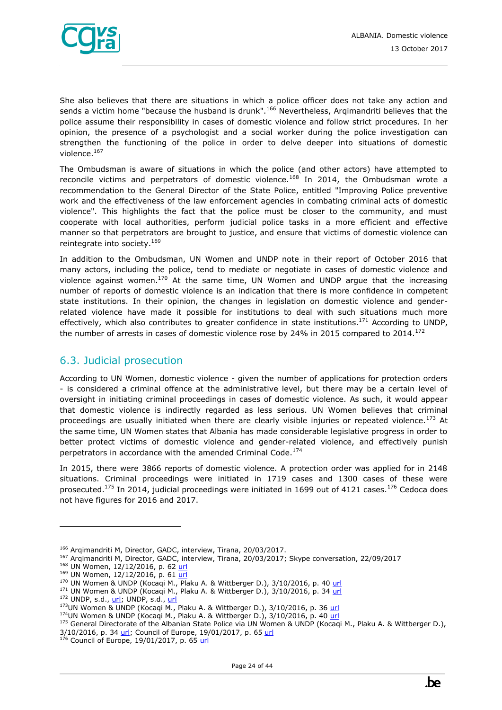

She also believes that there are situations in which a police officer does not take any action and sends a victim home "because the husband is drunk".<sup>166</sup> Nevertheless, Argimandriti believes that the police assume their responsibility in cases of domestic violence and follow strict procedures. In her opinion, the presence of a psychologist and a social worker during the police investigation can strengthen the functioning of the police in order to delve deeper into situations of domestic violence.<sup>167</sup>

The Ombudsman is aware of situations in which the police (and other actors) have attempted to reconcile victims and perpetrators of domestic violence.<sup>168</sup> In 2014, the Ombudsman wrote a recommendation to the General Director of the State Police, entitled "Improving Police preventive work and the effectiveness of the law enforcement agencies in combating criminal acts of domestic violence". This highlights the fact that the police must be closer to the community, and must cooperate with local authorities, perform judicial police tasks in a more efficient and effective manner so that perpetrators are brought to justice, and ensure that victims of domestic violence can reintegrate into society.<sup>169</sup>

In addition to the Ombudsman, UN Women and UNDP note in their report of October 2016 that many actors, including the police, tend to mediate or negotiate in cases of domestic violence and violence against women.<sup>170</sup> At the same time, UN Women and UNDP argue that the increasing number of reports of domestic violence is an indication that there is more confidence in competent state institutions. In their opinion, the changes in legislation on domestic violence and genderrelated violence have made it possible for institutions to deal with such situations much more effectively, which also contributes to greater confidence in state institutions.<sup>171</sup> According to UNDP, the number of arrests in cases of domestic violence rose by 24% in 2015 compared to  $2014$ .<sup>172</sup>

# <span id="page-23-0"></span>6.3. Judicial prosecution

According to UN Women, domestic violence - given the number of applications for protection orders - is considered a criminal offence at the administrative level, but there may be a certain level of oversight in initiating criminal proceedings in cases of domestic violence. As such, it would appear that domestic violence is indirectly regarded as less serious. UN Women believes that criminal proceedings are usually initiated when there are clearly visible injuries or repeated violence.<sup>173</sup> At the same time, UN Women states that Albania has made considerable legislative progress in order to better protect victims of domestic violence and gender-related violence, and effectively punish perpetrators in accordance with the amended Criminal Code.<sup>174</sup>

In 2015, there were 3866 reports of domestic violence. A protection order was applied for in 2148 situations. Criminal proceedings were initiated in 1719 cases and 1300 cases of these were prosecuted.<sup>175</sup> In 2014, judicial proceedings were initiated in 1699 out of 4121 cases.<sup>176</sup> Cedoca does not have figures for 2016 and 2017.

<sup>&</sup>lt;sup>166</sup> Arqimandriti M, Director, GADC, interview, Tirana, 20/03/2017.

<sup>167</sup> Arqimandriti M, Director, GADC, interview, Tirana, 20/03/2017; Skype conversation, 22/09/2017

<sup>&</sup>lt;sup>168</sup> UN Women, 12/12/2016, p. 62 [url](https://un.org.al/sites/default/files/CEDAW-Avokati-EN.PDF)

<sup>&</sup>lt;sup>169</sup> UN Women, 12/12/2016, p. 61 [url](https://un.org.al/sites/default/files/CEDAW-Avokati-EN.PDF)

 $^{170}$  UN Women & UNDP (Kocaqi M., Plaku A. & Wittberger D.), 3/10/2016, p. 40 [url](https://un.org.al/publications/albania-gender-brief-%E2%80%93-2016)

<sup>&</sup>lt;sup>171</sup> UN Women & UNDP (Kocaqi M., Plaku A. & Wittberger D.), 3/10/2016, p. 34 [url](https://un.org.al/publications/albania-gender-brief-%E2%80%93-2016)

 $172$  UNDP, s.d.[, url;](http://www.eurasia.undp.org/content/rbec/en/home/ourwork/democratic-governance-and-peacebuilding/successstories/albania--zero-tolerance-for-domestic-violence.html) UNDP, s.d., [url](http://www.al.undp.org/content/albania/en/home/ourwork/povertyreduction/successstories/women-speak-out-against-domestic-violence--.html)

<sup>&</sup>lt;sup>173</sup>UN Women & UNDP (Kocaqi M., Plaku A. & Wittberger D.), 3/10/2016, p. 36 [url](https://un.org.al/publications/albania-gender-brief-%E2%80%93-2016)

<sup>&</sup>lt;sup>174</sup>UN Women & UNDP (Kocaqi M., Plaku A. & Wittberger D.), 3/10/2016, p. 40 [url](https://un.org.al/publications/albania-gender-brief-%E2%80%93-2016)

<sup>175</sup> General Directorate of the Albanian State Police via UN Women & UNDP (Kocaqi M., Plaku A. & Wittberger D.),  $3/10/2016$ , p.  $34 \text{ m}$ ; Council of Europe,  $19/01/2017$ , p. 65 [url](https://rm.coe.int/16806dd216)

<sup>&</sup>lt;sup>5</sup> Council of Europe, 19/01/2017, p. 65 <u>url</u>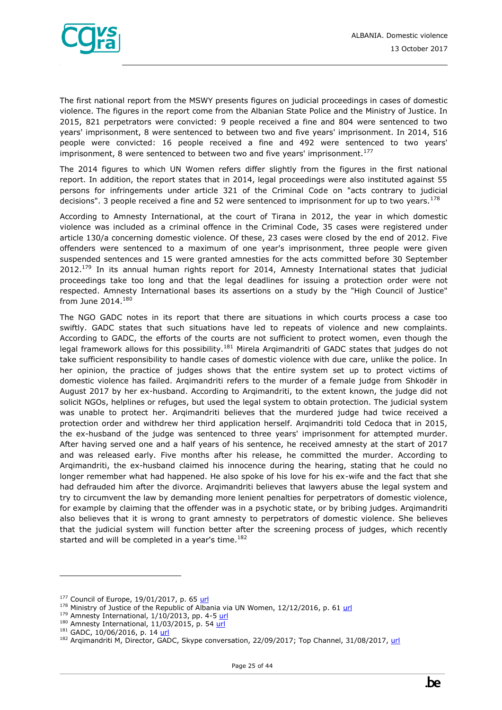

The first national report from the MSWY presents figures on judicial proceedings in cases of domestic violence. The figures in the report come from the Albanian State Police and the Ministry of Justice. In 2015, 821 perpetrators were convicted: 9 people received a fine and 804 were sentenced to two years' imprisonment, 8 were sentenced to between two and five years' imprisonment. In 2014, 516 people were convicted: 16 people received a fine and 492 were sentenced to two years' imprisonment, 8 were sentenced to between two and five years' imprisonment.<sup>177</sup>

The 2014 figures to which UN Women refers differ slightly from the figures in the first national report. In addition, the report states that in 2014, legal proceedings were also instituted against 55 persons for infringements under article 321 of the Criminal Code on "acts contrary to judicial decisions". 3 people received a fine and 52 were sentenced to imprisonment for up to two years.<sup>178</sup>

According to Amnesty International, at the court of Tirana in 2012, the year in which domestic violence was included as a criminal offence in the Criminal Code, 35 cases were registered under article 130/a concerning domestic violence. Of these, 23 cases were closed by the end of 2012. Five offenders were sentenced to a maximum of one year's imprisonment, three people were given suspended sentences and 15 were granted amnesties for the acts committed before 30 September  $2012.<sup>179</sup>$  In its annual human rights report for 2014, Amnesty International states that judicial proceedings take too long and that the legal deadlines for issuing a protection order were not respected. Amnesty International bases its assertions on a study by the "High Council of Justice" from June 2014. $^{180}$ 

The NGO GADC notes in its report that there are situations in which courts process a case too swiftly. GADC states that such situations have led to repeats of violence and new complaints. According to GADC, the efforts of the courts are not sufficient to protect women, even though the legal framework allows for this possibility.<sup>181</sup> Mirela Argimandriti of GADC states that judges do not take sufficient responsibility to handle cases of domestic violence with due care, unlike the police. In her opinion, the practice of judges shows that the entire system set up to protect victims of domestic violence has failed. Arqimandriti refers to the murder of a female judge from Shkodër in August 2017 by her ex-husband. According to Arqimandriti, to the extent known, the judge did not solicit NGOs, helplines or refuges, but used the legal system to obtain protection. The judicial system was unable to protect her. Arqimandriti believes that the murdered judge had twice received a protection order and withdrew her third application herself. Arqimandriti told Cedoca that in 2015, the ex-husband of the judge was sentenced to three years' imprisonment for attempted murder. After having served one and a half years of his sentence, he received amnesty at the start of 2017 and was released early. Five months after his release, he committed the murder. According to Arqimandriti, the ex-husband claimed his innocence during the hearing, stating that he could no longer remember what had happened. He also spoke of his love for his ex-wife and the fact that she had defrauded him after the divorce. Arqimandriti believes that lawyers abuse the legal system and try to circumvent the law by demanding more lenient penalties for perpetrators of domestic violence, for example by claiming that the offender was in a psychotic state, or by bribing judges. Arqimandriti also believes that it is wrong to grant amnesty to perpetrators of domestic violence. She believes that the judicial system will function better after the screening process of judges, which recently started and will be completed in a year's time.<sup>182</sup>

<sup>177</sup> Council of Europe, 19/01/2017, p. 65 [url](https://rm.coe.int/16806dd216)

 $178$  Ministry of Justice of the Republic of Albania via UN Women,  $12/12/2016$ , p. 6[1 url](https://un.org.al/sites/default/files/CEDAW-Avokati-EN.PDF)

 $179$  Amnesty International,  $1/10/2013$ , pp. 4-[5 url](https://www.amnesty.org/en/documents/eur11/004/2013/en/)

 $180$  Amnesty International, 11/03/2015, p. 54  $url$ </u>

<sup>&</sup>lt;sup>181</sup> GADC, 10/06/2016, p. 14 [url](http://tbinternet.ohchr.org/Treaties/CEDAW/Shared%20Documents/ALB/INT_CEDAW_NGO_ALB_24256_E.pdf)

<sup>182</sup> Arqimandriti M, Director, GADC, Skype conversation, 22/09/2017; Top Channel, 31/08/2017[, url](http://m.top-channel.tv/lajme/english/artikull.php?id=20798)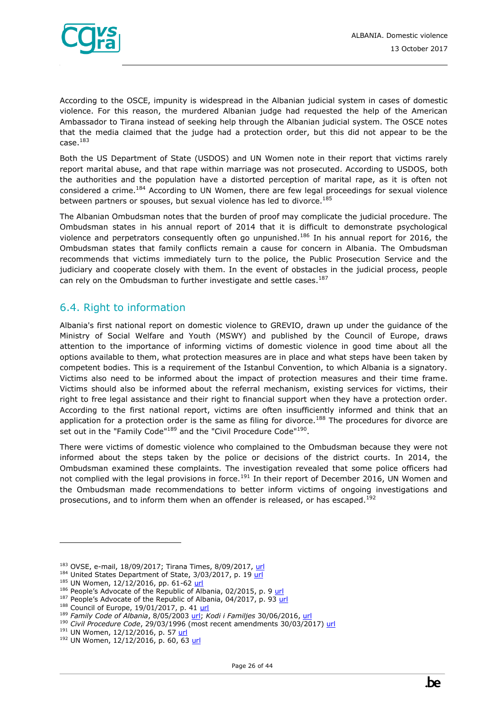

According to the OSCE, impunity is widespread in the Albanian judicial system in cases of domestic violence. For this reason, the murdered Albanian judge had requested the help of the American Ambassador to Tirana instead of seeking help through the Albanian judicial system. The OSCE notes that the media claimed that the judge had a protection order, but this did not appear to be the  $case.<sup>183</sup>$ 

Both the US Department of State (USDOS) and UN Women note in their report that victims rarely report marital abuse, and that rape within marriage was not prosecuted. According to USDOS, both the authorities and the population have a distorted perception of marital rape, as it is often not considered a crime.<sup>184</sup> According to UN Women, there are few legal proceedings for sexual violence between partners or spouses, but sexual violence has led to divorce.<sup>185</sup>

The Albanian Ombudsman notes that the burden of proof may complicate the judicial procedure. The Ombudsman states in his annual report of 2014 that it is difficult to demonstrate psychological violence and perpetrators consequently often go unpunished.<sup>186</sup> In his annual report for 2016, the Ombudsman states that family conflicts remain a cause for concern in Albania. The Ombudsman recommends that victims immediately turn to the police, the Public Prosecution Service and the judiciary and cooperate closely with them. In the event of obstacles in the judicial process, people can rely on the Ombudsman to further investigate and settle cases.<sup>187</sup>

## <span id="page-25-0"></span>6.4. Right to information

Albania's first national report on domestic violence to GREVIO, drawn up under the guidance of the Ministry of Social Welfare and Youth (MSWY) and published by the Council of Europe, draws attention to the importance of informing victims of domestic violence in good time about all the options available to them, what protection measures are in place and what steps have been taken by competent bodies. This is a requirement of the Istanbul Convention, to which Albania is a signatory. Victims also need to be informed about the impact of protection measures and their time frame. Victims should also be informed about the referral mechanism, existing services for victims, their right to free legal assistance and their right to financial support when they have a protection order. According to the first national report, victims are often insufficiently informed and think that an application for a protection order is the same as filing for divorce.<sup>188</sup> The procedures for divorce are set out in the "Family Code"<sup>189</sup> and the "Civil Procedure Code"<sup>190</sup>.

There were victims of domestic violence who complained to the Ombudsman because they were not informed about the steps taken by the police or decisions of the district courts. In 2014, the Ombudsman examined these complaints. The investigation revealed that some police officers had not complied with the legal provisions in force.<sup>191</sup> In their report of December 2016, UN Women and the Ombudsman made recommendations to better inform victims of ongoing investigations and prosecutions, and to inform them when an offender is released, or has escaped.<sup>192</sup>

ł

<sup>187</sup> People's Advocate of the Republic of Albania, 04/2017, p. 93 [url](http://www.avokatipopullit.gov.al/sites/default/files/RAPORTET/RAPORTET_VJETORE/Report_2016.pdf)

<sup>183</sup> OVSE, e-mail, 18/09/2017; Tirana Times, 8/09/2017, [url](http://www.tiranatimes.com/?p=133709)

<sup>&</sup>lt;sup>184</sup> United States Department of State, 3/03/2017, p. 19 [url](https://www.state.gov/j/drl/rls/hrrpt/2016/eur/265388.htm)

<sup>185</sup> UN Women, 12/12/2016, pp. 61-62 [url](https://un.org.al/sites/default/files/CEDAW-Avokati-EN.PDF)

<sup>&</sup>lt;sup>186</sup> People's Advocate of the Republic of Albania, 02/2015, p. 9 url

<sup>188</sup> Council of Europe, 19/01/2017, p. 41 [url](https://rm.coe.int/16806dd216)

<sup>189</sup> *Family Code of Albania*, 8/05/2003 [url;](https://www.ilo.org/dyn/natlex/docs/ELECTRONIC/65148/89474/F1958881334/ALB65148%20(English).pdf) *Kodi i Familjes* 30/06/2016, [url](http://www.qbz.gov.al/botime/Kodi%20i%20Familjes-%20i%20azhurnuar%202016.pdf) 

<sup>190</sup> *Civil Procedure Code*, 29/03/1996 (most recent amendments 30/03/2017) [url](http://www.euralius.eu/index.php/en/library/albanian-legislation/send/51-civil-procedure/101-civil-procedure-code-en)

<sup>191</sup> UN Women, 12/12/2016, p. 57 [url](https://un.org.al/sites/default/files/CEDAW-Avokati-EN.PDF)

<sup>192</sup> UN Women, 12/12/2016, p. 60, 63 [url](https://un.org.al/sites/default/files/CEDAW-Avokati-EN.PDF)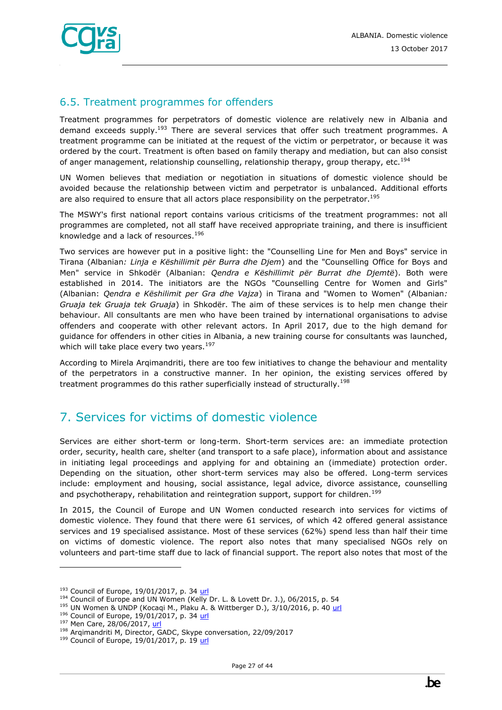

## <span id="page-26-0"></span>6.5. Treatment programmes for offenders

Treatment programmes for perpetrators of domestic violence are relatively new in Albania and demand exceeds supply.<sup>193</sup> There are several services that offer such treatment programmes. A treatment programme can be initiated at the request of the victim or perpetrator, or because it was ordered by the court. Treatment is often based on family therapy and mediation, but can also consist of anger management, relationship counselling, relationship therapy, group therapy, etc.<sup>194</sup>

UN Women believes that mediation or negotiation in situations of domestic violence should be avoided because the relationship between victim and perpetrator is unbalanced. Additional efforts are also required to ensure that all actors place responsibility on the perpetrator.<sup>195</sup>

The MSWY's first national report contains various criticisms of the treatment programmes: not all programmes are completed, not all staff have received appropriate training, and there is insufficient knowledge and a lack of resources.<sup>196</sup>

Two services are however put in a positive light: the "Counselling Line for Men and Boys" service in Tirana (Albanian*: Linja e Këshillimit për Burra dhe Djem*) and the "Counselling Office for Boys and Men" service in Shkodër (Albanian: *Qendra e Këshillimit për Burrat dhe Djemtë*). Both were established in 2014. The initiators are the NGOs "Counselling Centre for Women and Girls" (Albanian: *Qendra e Këshilimit per Gra dhe Vajza*) in Tirana and "Women to Women" (Albanian*: Gruaja tek Gruaja tek Gruaja*) in Shkodër. The aim of these services is to help men change their behaviour. All consultants are men who have been trained by international organisations to advise offenders and cooperate with other relevant actors. In April 2017, due to the high demand for guidance for offenders in other cities in Albania, a new training course for consultants was launched, which will take place every two years. $197$ 

According to Mirela Arqimandriti, there are too few initiatives to change the behaviour and mentality of the perpetrators in a constructive manner. In her opinion, the existing services offered by treatment programmes do this rather superficially instead of structurally.<sup>198</sup>

# <span id="page-26-1"></span>7. Services for victims of domestic violence

Services are either short-term or long-term. Short-term services are: an immediate protection order, security, health care, shelter (and transport to a safe place), information about and assistance in initiating legal proceedings and applying for and obtaining an (immediate) protection order. Depending on the situation, other short-term services may also be offered. Long-term services include: employment and housing, social assistance, legal advice, divorce assistance, counselling and psychotherapy, rehabilitation and reintegration support, support for children.<sup>199</sup>

In 2015, the Council of Europe and UN Women conducted research into services for victims of domestic violence. They found that there were 61 services, of which 42 offered general assistance services and 19 specialised assistance. Most of these services (62%) spend less than half their time on victims of domestic violence. The report also notes that many specialised NGOs rely on volunteers and part-time staff due to lack of financial support. The report also notes that most of the

<sup>&</sup>lt;sup>193</sup> Council of Europe, 19/01/2017, p. 34 [url](https://rm.coe.int/16806dd216)

<sup>194</sup> Council of Europe and UN Women (Kelly Dr. L. & Lovett Dr. J.), 06/2015, p. 54

<sup>&</sup>lt;sup>195</sup> UN Women & UNDP (Kocaqi M., Plaku A. & Wittberger D.), 3/10/2016, p. 40 [url](https://un.org.al/publications/albania-gender-brief-%E2%80%93-2016)

<sup>&</sup>lt;sup>196</sup> Council of Europe, 19/01/2017, p. 34 [url](https://rm.coe.int/16806dd216)

<sup>197</sup> Men Care, 28/06/2017[, url](http://men-care.org/2017/06/28/treatment-perpetrators-domestic-violence-counseling-help-perpetrators-change-violent-behavior-family/)

<sup>&</sup>lt;sup>198</sup> Arqimandriti M, Director, GADC, Skype conversation, 22/09/2017

<sup>199</sup> Council of Europe, 19/01/2017, p. 19 [url](https://rm.coe.int/16806dd216)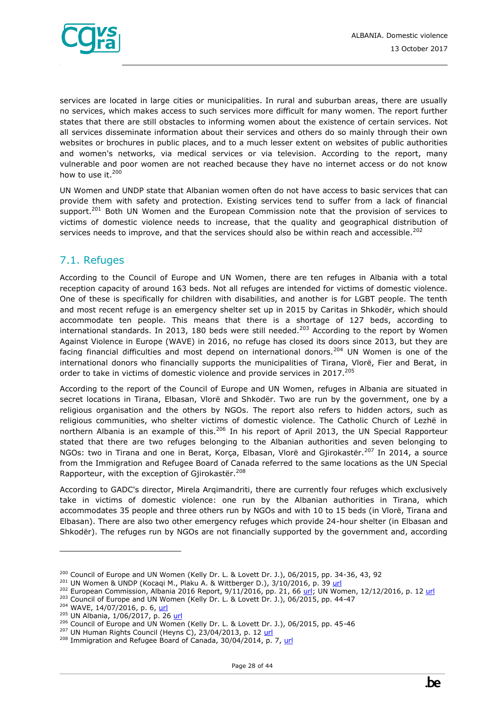

services are located in large cities or municipalities. In rural and suburban areas, there are usually no services, which makes access to such services more difficult for many women. The report further states that there are still obstacles to informing women about the existence of certain services. Not all services disseminate information about their services and others do so mainly through their own websites or brochures in public places, and to a much lesser extent on websites of public authorities and women's networks, via medical services or via television. According to the report, many vulnerable and poor women are not reached because they have no internet access or do not know how to use it.<sup>200</sup>

UN Women and UNDP state that Albanian women often do not have access to basic services that can provide them with safety and protection. Existing services tend to suffer from a lack of financial support.<sup>201</sup> Both UN Women and the European Commission note that the provision of services to victims of domestic violence needs to increase, that the quality and geographical distribution of services needs to improve, and that the services should also be within reach and accessible.<sup>202</sup>

## <span id="page-27-0"></span>7.1. Refuges

According to the Council of Europe and UN Women, there are ten refuges in Albania with a total reception capacity of around 163 beds. Not all refuges are intended for victims of domestic violence. One of these is specifically for children with disabilities, and another is for LGBT people. The tenth and most recent refuge is an emergency shelter set up in 2015 by Caritas in Shkodër, which should accommodate ten people. This means that there is a shortage of 127 beds, according to international standards. In 2013, 180 beds were still needed.<sup>203</sup> According to the report by Women Against Violence in Europe (WAVE) in 2016, no refuge has closed its doors since 2013, but they are facing financial difficulties and most depend on international donors.<sup>204</sup> UN Women is one of the international donors who financially supports the municipalities of Tirana, Vlorë, Fier and Berat, in order to take in victims of domestic violence and provide services in 2017.<sup>205</sup>

According to the report of the Council of Europe and UN Women, refuges in Albania are situated in secret locations in Tirana, Elbasan, Vlorë and Shkodër. Two are run by the government, one by a religious organisation and the others by NGOs. The report also refers to hidden actors, such as religious communities, who shelter victims of domestic violence. The Catholic Church of Lezhë in northern Albania is an example of this.<sup>206</sup> In his report of April 2013, the UN Special Rapporteur stated that there are two refuges belonging to the Albanian authorities and seven belonging to NGOs: two in Tirana and one in Berat, Korça, Elbasan, Vlorë and Gjirokastër.<sup>207</sup> In 2014, a source from the Immigration and Refugee Board of Canada referred to the same locations as the UN Special Rapporteur, with the exception of Gjirokastër.<sup>208</sup>

According to GADC's director, Mirela Arqimandriti, there are currently four refuges which exclusively take in victims of domestic violence: one run by the Albanian authorities in Tirana, which accommodates 35 people and three others run by NGOs and with 10 to 15 beds (in Vlorë, Tirana and Elbasan). There are also two other emergency refuges which provide 24-hour shelter (in Elbasan and Shkodër). The refuges run by NGOs are not financially supported by the government and, according

 $200$  Council of Europe and UN Women (Kelly Dr. L. & Lovett Dr. J.), 06/2015, pp. 34-36, 43, 92

 $201$  UN Women & UNDP (Kocaqi M., Plaku A. & Wittberger D.), 3/10/2016, p. 39 [url](https://un.org.al/publications/albania-gender-brief-%E2%80%93-2016)

<sup>&</sup>lt;sup>202</sup> European Commission, Albania 2016 Report, 9/11/2016, pp. 21, 66 [url;](https://ec.europa.eu/neighbourhood-enlargement/sites/near/files/pdf/key_documents/2016/20161109_report_albania.pdf) UN Women, 12/12/2016, p. 12 [url](https://un.org.al/sites/default/files/CEDAW-Avokati-EN.PDF)

<sup>&</sup>lt;sup>203</sup> Council of Europe and UN Women (Kelly Dr. L. & Lovett Dr. J.), 06/2015, pp. 44-47

<sup>&</sup>lt;sup>204</sup> WAVE, 14/07/2016, p. 6, [url](http://fileserver.wave-network.org/researchreports/WAVEReport2015_Compilation_Country_Profiles.pdf)

<sup>205</sup> UN Albania, 1/06/2017, p. 26 [url](http://un.org.al/sites/default/files/UN_junweb.pdf)

<sup>&</sup>lt;sup>206</sup> Council of Europe and UN Women (Kelly Dr. L. & Lovett Dr. J.), 06/2015, pp. 45-46

 $207$  UN Human Rights Council (Heyns C), 23/04/2013, p. 12 [url](http://www.ohchr.org/Documents/HRBodies/HRCouncil/RegularSession/Session23/A.HRC.23.47.Add.4_EN.pdf)

<sup>&</sup>lt;sup>208</sup> Immigration and Refugee Board of Canada, 30/04/2014, p. 7[, url](http://www.refworld.org/docid/537db1d64.html)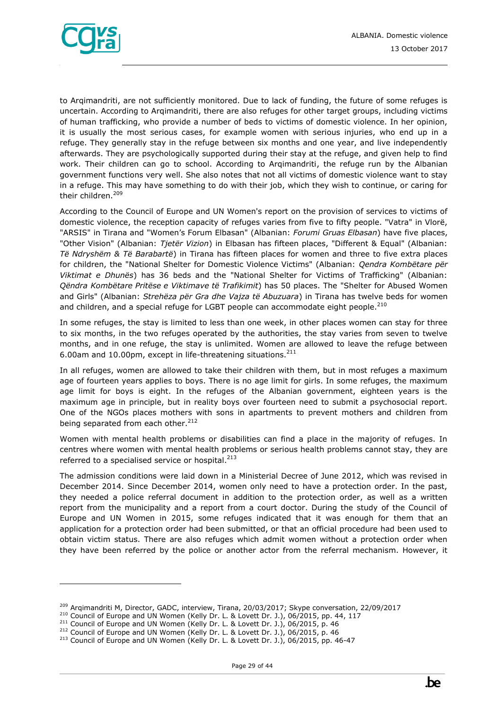

to Arqimandriti, are not sufficiently monitored. Due to lack of funding, the future of some refuges is uncertain. According to Arqimandriti, there are also refuges for other target groups, including victims of human trafficking, who provide a number of beds to victims of domestic violence. In her opinion, it is usually the most serious cases, for example women with serious injuries, who end up in a refuge. They generally stay in the refuge between six months and one year, and live independently afterwards. They are psychologically supported during their stay at the refuge, and given help to find work. Their children can go to school. According to Arqimandriti, the refuge run by the Albanian government functions very well. She also notes that not all victims of domestic violence want to stay in a refuge. This may have something to do with their job, which they wish to continue, or caring for their children.<sup>209</sup>

According to the Council of Europe and UN Women's report on the provision of services to victims of domestic violence, the reception capacity of refuges varies from five to fifty people. "Vatra" in Vlorë, "ARSIS" in Tirana and "Women's Forum Elbasan" (Albanian: *Forumi Gruas Elbasan*) have five places, "Other Vision" (Albanian: *Tjetër Vizion*) in Elbasan has fifteen places, "Different & Equal" (Albanian: *Të Ndryshëm & Të Barabartë*) in Tirana has fifteen places for women and three to five extra places for children, the "National Shelter for Domestic Violence Victims" (Albanian: *Qendra Kombëtare për Viktimat e Dhunës*) has 36 beds and the "National Shelter for Victims of Trafficking" (Albanian: *Qëndra Kombëtare Pritëse e Viktimave të Trafikimit*) has 50 places. The "Shelter for Abused Women and Girls" (Albanian: *Strehëza për Gra dhe Vajza të Abuzuara*) in Tirana has twelve beds for women and children, and a special refuge for LGBT people can accommodate eight people.<sup>210</sup>

In some refuges, the stay is limited to less than one week, in other places women can stay for three to six months, in the two refuges operated by the authorities, the stay varies from seven to twelve months, and in one refuge, the stay is unlimited. Women are allowed to leave the refuge between 6.00am and 10.00pm, except in life-threatening situations.<sup>211</sup>

In all refuges, women are allowed to take their children with them, but in most refuges a maximum age of fourteen years applies to boys. There is no age limit for girls. In some refuges, the maximum age limit for boys is eight. In the refuges of the Albanian government, eighteen years is the maximum age in principle, but in reality boys over fourteen need to submit a psychosocial report. One of the NGOs places mothers with sons in apartments to prevent mothers and children from being separated from each other.<sup>212</sup>

Women with mental health problems or disabilities can find a place in the majority of refuges. In centres where women with mental health problems or serious health problems cannot stay, they are referred to a specialised service or hospital.<sup>213</sup>

The admission conditions were laid down in a Ministerial Decree of June 2012, which was revised in December 2014. Since December 2014, women only need to have a protection order. In the past, they needed a police referral document in addition to the protection order, as well as a written report from the municipality and a report from a court doctor. During the study of the Council of Europe and UN Women in 2015, some refuges indicated that it was enough for them that an application for a protection order had been submitted, or that an official procedure had been used to obtain victim status. There are also refuges which admit women without a protection order when they have been referred by the police or another actor from the referral mechanism. However, it

<sup>&</sup>lt;sup>209</sup> Argimandriti M, Director, GADC, interview, Tirana, 20/03/2017; Skype conversation, 22/09/2017

<sup>&</sup>lt;sup>210</sup> Council of Europe and UN Women (Kelly Dr. L. & Lovett Dr. J.), 06/2015, pp. 44, 117

<sup>&</sup>lt;sup>211</sup> Council of Europe and UN Women (Kelly Dr. L. & Lovett Dr. J.), 06/2015, p. 46

 $212$  Council of Europe and UN Women (Kelly Dr. L. & Lovett Dr. J.), 06/2015, p. 46

<sup>213</sup> Council of Europe and UN Women (Kelly Dr. L. & Lovett Dr. J.), 06/2015, pp. 46-47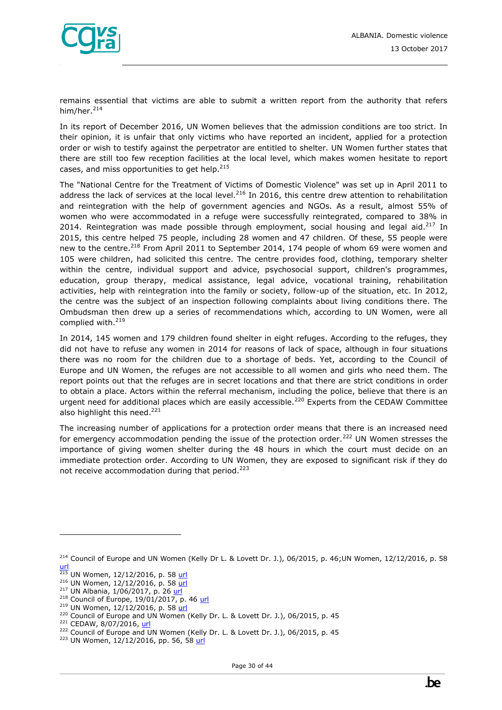

remains essential that victims are able to submit a written report from the authority that refers him/her.<sup>214</sup>

In its report of December 2016, UN Women believes that the admission conditions are too strict. In their opinion, it is unfair that only victims who have reported an incident, applied for a protection order or wish to testify against the perpetrator are entitled to shelter. UN Women further states that there are still too few reception facilities at the local level, which makes women hesitate to report cases, and miss opportunities to get help.<sup>215</sup>

The "National Centre for the Treatment of Victims of Domestic Violence" was set up in April 2011 to address the lack of services at the local level.<sup>216</sup> In 2016, this centre drew attention to rehabilitation and reintegration with the help of government agencies and NGOs. As a result, almost 55% of women who were accommodated in a refuge were successfully reintegrated, compared to 38% in 2014. Reintegration was made possible through employment, social housing and legal aid. $217$  In 2015, this centre helped 75 people, including 28 women and 47 children. Of these, 55 people were new to the centre.<sup>218</sup> From April 2011 to September 2014, 174 people of whom 69 were women and 105 were children, had solicited this centre. The centre provides food, clothing, temporary shelter within the centre, individual support and advice, psychosocial support, children's programmes, education, group therapy, medical assistance, legal advice, vocational training, rehabilitation activities, help with reintegration into the family or society, follow-up of the situation, etc. In 2012, the centre was the subject of an inspection following complaints about living conditions there. The Ombudsman then drew up a series of recommendations which, according to UN Women, were all complied with.<sup>219</sup>

In 2014, 145 women and 179 children found shelter in eight refuges. According to the refuges, they did not have to refuse any women in 2014 for reasons of lack of space, although in four situations there was no room for the children due to a shortage of beds. Yet, according to the Council of Europe and UN Women, the refuges are not accessible to all women and girls who need them. The report points out that the refuges are in secret locations and that there are strict conditions in order to obtain a place. Actors within the referral mechanism, including the police, believe that there is an urgent need for additional places which are easily accessible.<sup>220</sup> Experts from the CEDAW Committee also highlight this need.<sup>221</sup>

The increasing number of applications for a protection order means that there is an increased need for emergency accommodation pending the issue of the protection order.<sup>222</sup> UN Women stresses the importance of giving women shelter during the 48 hours in which the court must decide on an immediate protection order. According to UN Women, they are exposed to significant risk if they do not receive accommodation during that period. $223$ 

<sup>&</sup>lt;sup>214</sup> Council of Europe and UN Women (Kelly Dr L. & Lovett Dr. J.), 06/2015, p. 46;UN Women, 12/12/2016, p. 58 [url](https://un.org.al/sites/default/files/CEDAW-Avokati-EN.PDF)

<sup>&</sup>lt;sup>215</sup> UN Women, 12/12/2016, p. 58 <u>url</u>

<sup>&</sup>lt;sup>216</sup> UN Women, 12/12/2016, p. 58 [url](https://un.org.al/sites/default/files/CEDAW-Avokati-EN.PDF)

<sup>&</sup>lt;sup>217</sup> UN Albania, 1/06/2017, p. 26 [url](http://un.org.al/sites/default/files/UN_junweb.pdf)

 $218$  Council of Europe, 19/01/2017, p. 46 [url](https://rm.coe.int/16806dd216)

<sup>&</sup>lt;sup>219</sup> UN Women, 12/12/2016, p. 58 [url](https://un.org.al/sites/default/files/CEDAW-Avokati-EN.PDF)

<sup>&</sup>lt;sup>220</sup> Council of Europe and UN Women (Kelly Dr. L. & Lovett Dr. J.), 06/2015, p. 45

<sup>&</sup>lt;sup>221</sup> CEDAW, 8/07/2016, [url](http://www.ohchr.org/EN/NewsEvents/Pages/DisplayNews.aspx?NewsID=20263&LangID=E)

<sup>&</sup>lt;sup>222</sup> Council of Europe and UN Women (Kelly Dr. L. & Lovett Dr. J.), 06/2015, p. 45

<sup>&</sup>lt;sup>223</sup> UN Women, 12/12/2016, pp. 56, 58 [url](https://un.org.al/sites/default/files/CEDAW-Avokati-EN.PDF)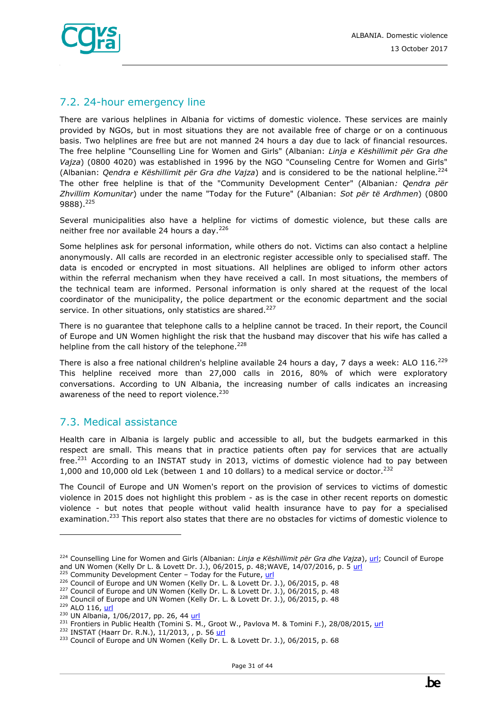

# <span id="page-30-0"></span>7.2. 24-hour emergency line

There are various helplines in Albania for victims of domestic violence. These services are mainly provided by NGOs, but in most situations they are not available free of charge or on a continuous basis. Two helplines are free but are not manned 24 hours a day due to lack of financial resources. The free helpline "Counselling Line for Women and Girls" (Albanian: *Linja e Këshillimit për Gra dhe Vajza*) (0800 4020) was established in 1996 by the NGO "Counseling Centre for Women and Girls" (Albanian: *Qendra e Këshillimit për Gra dhe Vajza*) and is considered to be the national helpline.<sup>224</sup> The other free helpline is that of the "Community Development Center" (Albanian*: Qendra për Zhvillim Komunitar*) under the name "Today for the Future" (Albanian: *Sot për të Ardhmen*) (0800 9888).<sup>225</sup>

Several municipalities also have a helpline for victims of domestic violence, but these calls are neither free nor available 24 hours a day.<sup>226</sup>

Some helplines ask for personal information, while others do not. Victims can also contact a helpline anonymously. All calls are recorded in an electronic register accessible only to specialised staff. The data is encoded or encrypted in most situations. All helplines are obliged to inform other actors within the referral mechanism when they have received a call. In most situations, the members of the technical team are informed. Personal information is only shared at the request of the local coordinator of the municipality, the police department or the economic department and the social service. In other situations, only statistics are shared.<sup>227</sup>

There is no guarantee that telephone calls to a helpline cannot be traced. In their report, the Council of Europe and UN Women highlight the risk that the husband may discover that his wife has called a helpline from the call history of the telephone.<sup>228</sup>

There is also a free national children's helpline available 24 hours a day, 7 days a week: ALO  $116.^{229}$ This helpline received more than 27,000 calls in 2016, 80% of which were exploratory conversations. According to UN Albania, the increasing number of calls indicates an increasing awareness of the need to report violence.<sup>230</sup>

## <span id="page-30-1"></span>7.3. Medical assistance

Health care in Albania is largely public and accessible to all, but the budgets earmarked in this respect are small. This means that in practice patients often pay for services that are actually  $free.^{231}$  According to an INSTAT study in 2013, victims of domestic violence had to pay between 1,000 and 10,000 old Lek (between 1 and 10 dollars) to a medical service or doctor.<sup>232</sup>

The Council of Europe and UN Women's report on the provision of services to victims of domestic violence in 2015 does not highlight this problem - as is the case in other recent reports on domestic violence - but notes that people without valid health insurance have to pay for a specialised examination.<sup>233</sup> This report also states that there are no obstacles for victims of domestic violence to

<sup>224</sup> Counselling Line for Women and Girls (Albanian: *Linja e Këshillimit për Gra dhe Vajza*), [url;](http://www.hotlinealbania.org/) Council of Europe and UN Women (Kelly Dr L. & Lovett Dr. J.), 06/2015, p. 48;WAVE, 14/07/2016, p. 5 [url](http://fileserver.wave-network.org/researchreports/WAVEReport2015_Compilation_Country_Profiles.pdf)

 $225$  Community Development Center - Today for the Future, [url](http://www.cdc-tff.org/web/en/gender-equality-and-services-for-victimes-of-domestic-violence/)

<sup>&</sup>lt;sup>226</sup> Council of Europe and UN Women (Kelly Dr. L. & Lovett Dr. J.), 06/2015, p. 48

<sup>&</sup>lt;sup>227</sup> Council of Europe and UN Women (Kelly Dr. L. & Lovett Dr. J.), 06/2015, p. 48

<sup>&</sup>lt;sup>228</sup> Council of Europe and UN Women (Kelly Dr. L. & Lovett Dr. J.), 06/2015, p. 48

<sup>&</sup>lt;sup>229</sup> ALO 116, [url](http://www.alo116.al/en)

<sup>&</sup>lt;sup>230</sup> UN Albania, 1/06/2017, pp. 26, 44 [url](http://un.org.al/sites/default/files/UN_junweb.pdf)

<sup>&</sup>lt;sup>231</sup> Frontiers in Public Health (Tomini S. M., Groot W., Pavlova M. & Tomini F.), 28/08/2015, [url](https://www.ncbi.nlm.nih.gov/pmc/articles/PMC4551817/)

<sup>&</sup>lt;sup>232</sup> INSTAT (Haarr Dr. R.N.), 11/2013, , p. 56 [url](http://www.instat.gov.al/media/225815/domestic_violence_in_albania_2013.pdf)

<sup>&</sup>lt;sup>233</sup> Council of Europe and UN Women (Kelly Dr. L. & Lovett Dr. J.), 06/2015, p. 68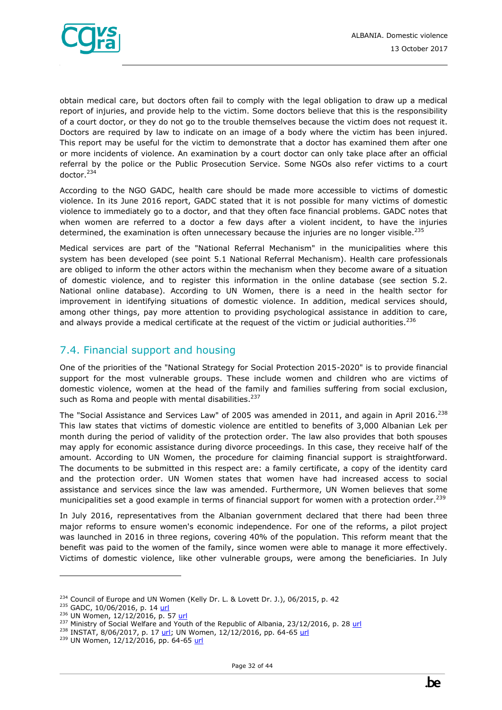obtain medical care, but doctors often fail to comply with the legal obligation to draw up a medical report of injuries, and provide help to the victim. Some doctors believe that this is the responsibility of a court doctor, or they do not go to the trouble themselves because the victim does not request it. Doctors are required by law to indicate on an image of a body where the victim has been injured. This report may be useful for the victim to demonstrate that a doctor has examined them after one or more incidents of violence. An examination by a court doctor can only take place after an official referral by the police or the Public Prosecution Service. Some NGOs also refer victims to a court doctor.<sup>234</sup>

According to the NGO GADC, health care should be made more accessible to victims of domestic violence. In its June 2016 report, GADC stated that it is not possible for many victims of domestic violence to immediately go to a doctor, and that they often face financial problems. GADC notes that when women are referred to a doctor a few days after a violent incident, to have the injuries determined, the examination is often unnecessary because the injuries are no longer visible.<sup>235</sup>

Medical services are part of the "National Referral Mechanism" in the municipalities where this system has been developed (see point 5.1 National Referral Mechanism). Health care professionals are obliged to inform the other actors within the mechanism when they become aware of a situation of domestic violence, and to register this information in the online database (see section 5.2. National online database). According to UN Women, there is a need in the health sector for improvement in identifying situations of domestic violence. In addition, medical services should, among other things, pay more attention to providing psychological assistance in addition to care, and always provide a medical certificate at the request of the victim or judicial authorities.<sup>236</sup>

# <span id="page-31-0"></span>7.4. Financial support and housing

One of the priorities of the "National Strategy for Social Protection 2015-2020" is to provide financial support for the most vulnerable groups. These include women and children who are victims of domestic violence, women at the head of the family and families suffering from social exclusion, such as Roma and people with mental disabilities.<sup>237</sup>

The "Social Assistance and Services Law" of 2005 was amended in 2011, and again in April 2016.<sup>238</sup> This law states that victims of domestic violence are entitled to benefits of 3,000 Albanian Lek per month during the period of validity of the protection order. The law also provides that both spouses may apply for economic assistance during divorce proceedings. In this case, they receive half of the amount. According to UN Women, the procedure for claiming financial support is straightforward. The documents to be submitted in this respect are: a family certificate, a copy of the identity card and the protection order. UN Women states that women have had increased access to social assistance and services since the law was amended. Furthermore, UN Women believes that some municipalities set a good example in terms of financial support for women with a protection order.<sup>239</sup>

In July 2016, representatives from the Albanian government declared that there had been three major reforms to ensure women's economic independence. For one of the reforms, a pilot project was launched in 2016 in three regions, covering 40% of the population. This reform meant that the benefit was paid to the women of the family, since women were able to manage it more effectively. Victims of domestic violence, like other vulnerable groups, were among the beneficiaries. In July

<sup>&</sup>lt;sup>234</sup> Council of Europe and UN Women (Kelly Dr. L. & Lovett Dr. J.), 06/2015, p. 42

<sup>&</sup>lt;sup>235</sup> GADC, 10/06/2016, p. 14 [url](http://tbinternet.ohchr.org/Treaties/CEDAW/Shared%20Documents/ALB/INT_CEDAW_NGO_ALB_24256_E.pdf)

<sup>236</sup> UN Women, 12/12/2016, p. 57 [url](https://un.org.al/sites/default/files/CEDAW-Avokati-EN.PDF)

<sup>&</sup>lt;sup>237</sup> Ministry of Social Welfare and Youth of the Republic of Albania, 23/12/2016, p. 28 [url](https://www.unicef.org/albania/National_Strategy_for_Social_Protection2015-2020_en.pdf)

<sup>&</sup>lt;sup>238</sup> INSTAT, 8/06/2017, p. 17 [url;](http://www.instat.gov.al/media/393214/burrat_dhe_grat__ne_shqiperi_2017_libri.pdf) UN Women, 12/12/2016, pp. 64-6[5 url](https://un.org.al/sites/default/files/CEDAW-Avokati-EN.PDF)

<sup>239</sup> UN Women, 12/12/2016, pp. 64-65 [url](https://un.org.al/sites/default/files/CEDAW-Avokati-EN.PDF)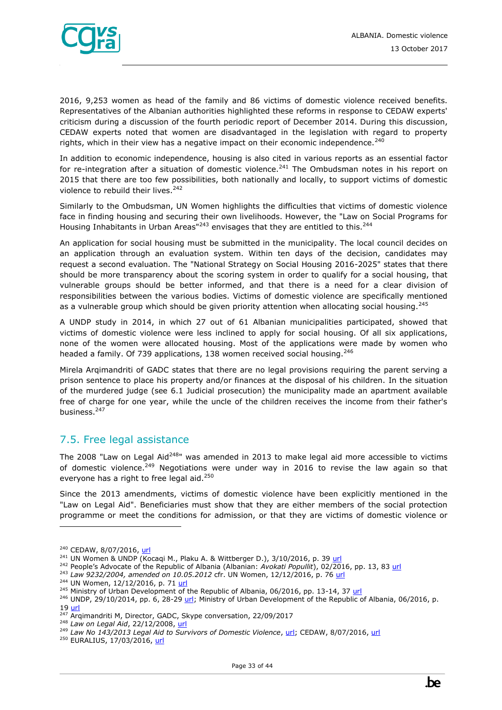

2016, 9,253 women as head of the family and 86 victims of domestic violence received benefits. Representatives of the Albanian authorities highlighted these reforms in response to CEDAW experts' criticism during a discussion of the fourth periodic report of December 2014. During this discussion, CEDAW experts noted that women are disadvantaged in the legislation with regard to property rights, which in their view has a negative impact on their economic independence. $240$ 

In addition to economic independence, housing is also cited in various reports as an essential factor for re-integration after a situation of domestic violence.<sup>241</sup> The Ombudsman notes in his report on 2015 that there are too few possibilities, both nationally and locally, to support victims of domestic violence to rebuild their lives.<sup>242</sup>

Similarly to the Ombudsman, UN Women highlights the difficulties that victims of domestic violence face in finding housing and securing their own livelihoods. However, the "Law on Social Programs for Housing Inhabitants in Urban Areas" $243$  envisages that they are entitled to this. $244$ 

An application for social housing must be submitted in the municipality. The local council decides on an application through an evaluation system. Within ten days of the decision, candidates may request a second evaluation. The "National Strategy on Social Housing 2016-2025" states that there should be more transparency about the scoring system in order to qualify for a social housing, that vulnerable groups should be better informed, and that there is a need for a clear division of responsibilities between the various bodies. Victims of domestic violence are specifically mentioned as a vulnerable group which should be given priority attention when allocating social housing.<sup>245</sup>

A UNDP study in 2014, in which 27 out of 61 Albanian municipalities participated, showed that victims of domestic violence were less inclined to apply for social housing. Of all six applications, none of the women were allocated housing. Most of the applications were made by women who headed a family. Of 739 applications, 138 women received social housing.<sup>246</sup>

Mirela Arqimandriti of GADC states that there are no legal provisions requiring the parent serving a prison sentence to place his property and/or finances at the disposal of his children. In the situation of the murdered judge (see 6.1 Judicial prosecution) the municipality made an apartment available free of charge for one year, while the uncle of the children receives the income from their father's business.<sup>247</sup>

## <span id="page-32-0"></span>7.5. Free legal assistance

The 2008 "Law on Legal Aid<sup>248</sup>" was amended in 2013 to make legal aid more accessible to victims of domestic violence.<sup>249</sup> Negotiations were under way in 2016 to revise the law again so that everyone has a right to free legal aid.<sup>250</sup>

Since the 2013 amendments, victims of domestic violence have been explicitly mentioned in the "Law on Legal Aid". Beneficiaries must show that they are either members of the social protection programme or meet the conditions for admission, or that they are victims of domestic violence or

<sup>&</sup>lt;sup>240</sup> CEDAW, 8/07/2016, [url](http://www.ohchr.org/EN/NewsEvents/Pages/DisplayNews.aspx?NewsID=20263&LangID=E)

 $241$  UN Women & UNDP (Kocagi M., Plaku A. & Wittberger D.), 3/10/2016, p. 39 [url](https://un.org.al/publications/albania-gender-brief-%E2%80%93-2016)

<sup>&</sup>lt;sup>242</sup> People's Advocate of the Republic of Albania (Albanian: Avokati Popullit), 02/2016, pp. 13, 83 [url](http://www.avokatipopullit.gov.al/sites/default/files/ctools/REPORT%20ENGLISH%202015.pdf)

<sup>243</sup> *Law 9232/2004, amended on 10.05.2012* cfr. UN Women, 12/12/2016, p. 76 [url](https://un.org.al/sites/default/files/CEDAW-Avokati-EN.PDF)

<sup>&</sup>lt;sup>244</sup> UN Women, 12/12/2016, p. 71 [url](https://un.org.al/sites/default/files/CEDAW-Avokati-EN.PDF)

<sup>&</sup>lt;sup>245</sup> Ministry of Urban Development of the Republic of Albania, 06/2016, pp. 13-14, 37 [url](http://www.al.undp.org/content/albania/en/home/library/poverty/social-housing-strategy-2016---2025.html)

<sup>&</sup>lt;sup>246</sup> UNDP, 29/10/2014, pp. 6, 28-29  $url$ ; Ministry of Urban Development of the Republic of Albania, 06/2016, p.</u> 19 <u>url</u>

<sup>&</sup>lt;sup>247</sup> Arqimandriti M, Director, GADC, Skype conversation, 22/09/2017

<sup>248</sup> *Law on Legal Aid*, 22/12/2008[, url](http://www.euralius.eu/pdf/13.Law%20on%20Legal%20Aid,%20promulgated%20on%2012_01_2009_en.pdf)

<sup>&</sup>lt;sup>248</sup> Law on Legal Aid, 22/12/2008, <u>urlective sof Domestic Violence, [url](http://www.ohchr.org/EN/NewsEvents/Pages/DisplayNews.aspx?NewsID=20263&LangID=E)</u>; CEDAW, 8/07/2016, <u>url.</u><br><sup>249</sup> Law No 143/2013 Legal Aid to Survivors of Domestic Violence, <u>url</u>; CEDAW, 8/07/2016, <u>url.</u>

<sup>&</sup>lt;sup>250</sup> EURALIUS, 17/03/2016[, url](http://www.euralius.eu/index.php/en/news/211-abolishment-of-state-commission-for-legal-aid)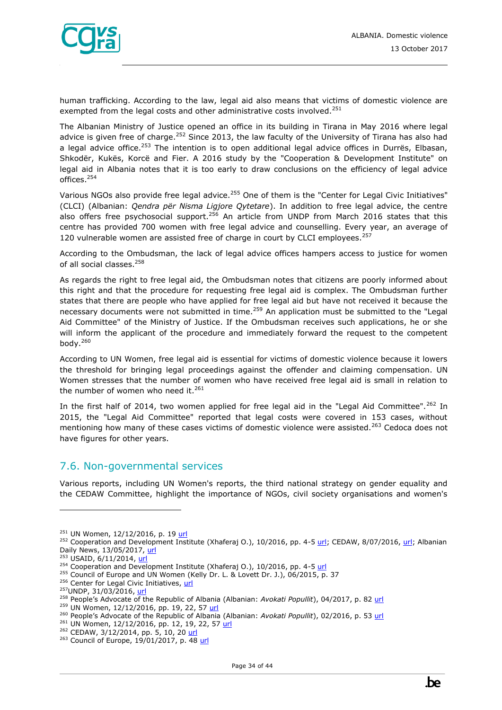

human trafficking. According to the law, legal aid also means that victims of domestic violence are exempted from the legal costs and other administrative costs involved.<sup>251</sup>

The Albanian Ministry of Justice opened an office in its building in Tirana in May 2016 where legal advice is given free of charge.<sup>252</sup> Since 2013, the law faculty of the University of Tirana has also had a legal advice office.<sup>253</sup> The intention is to open additional legal advice offices in Durrës, Elbasan, Shkodër, Kukës, Korcë and Fier. A 2016 study by the "Cooperation & Development Institute" on legal aid in Albania notes that it is too early to draw conclusions on the efficiency of legal advice offices.<sup>254</sup>

Various NGOs also provide free legal advice.<sup>255</sup> One of them is the "Center for Legal Civic Initiatives" (CLCI) (Albanian: *Qendra për Nisma Ligjore Qytetare*). In addition to free legal advice, the centre also offers free psychosocial support.<sup>256</sup> An article from UNDP from March 2016 states that this centre has provided 700 women with free legal advice and counselling. Every year, an average of 120 vulnerable women are assisted free of charge in court by CLCI employees.<sup>257</sup>

According to the Ombudsman, the lack of legal advice offices hampers access to justice for women of all social classes.<sup>258</sup>

As regards the right to free legal aid, the Ombudsman notes that citizens are poorly informed about this right and that the procedure for requesting free legal aid is complex. The Ombudsman further states that there are people who have applied for free legal aid but have not received it because the necessary documents were not submitted in time.<sup>259</sup> An application must be submitted to the "Legal Aid Committee" of the Ministry of Justice. If the Ombudsman receives such applications, he or she will inform the applicant of the procedure and immediately forward the request to the competent body. $260$ 

According to UN Women, free legal aid is essential for victims of domestic violence because it lowers the threshold for bringing legal proceedings against the offender and claiming compensation. UN Women stresses that the number of women who have received free legal aid is small in relation to the number of women who need it. $^{261}$ 

In the first half of 2014, two women applied for free legal aid in the "Legal Aid Committee".<sup>262</sup> In 2015, the "Legal Aid Committee" reported that legal costs were covered in 153 cases, without mentioning how many of these cases victims of domestic violence were assisted.<sup>263</sup> Cedoca does not have figures for other years.

#### <span id="page-33-0"></span>7.6. Non-governmental services

Various reports, including UN Women's reports, the third national strategy on gender equality and the CEDAW Committee, highlight the importance of NGOs, civil society organisations and women's

<sup>251</sup> UN Women, 12/12/2016, p. 19 [url](https://un.org.al/sites/default/files/CEDAW-Avokati-EN.PDF)

<sup>&</sup>lt;sup>252</sup> Cooperation and Development Institute (Xhaferaj O.), 10/2016, pp. 4-5 [url;](http://www.ohchr.org/EN/NewsEvents/Pages/DisplayNews.aspx?NewsID=20263&LangID=E) CEDAW, 8/07/2016, url; Albanian Daily News, 13/05/2017, [url](http://www.albaniannews.com/index.php?idm=5970&mod=2)

 $253$  USAID,  $6/11/2014$ , [url](https://www.usaid.gov/albania/news-information/press-releases/legal-clinic-tirana-university-law-faculty-celebrates-1st)

<sup>&</sup>lt;sup>254</sup> Cooperation and Development Institute (Xhaferaj O.), 10/2016, pp. 4-5 [url](https://dgap.org/sites/default/files/article_downloads/cooperation_and_development_institute_empowering_roma_and_egyptian_communities.pdf)

 $255$  Council of Europe and UN Women (Kelly Dr. L. & Lovett Dr. J.), 06/2015, p. 37

<sup>&</sup>lt;sup>256</sup> Center for Legal Civic Initiatives, [url](http://www.qag-al.org/ang/html/about.htm)

<sup>&</sup>lt;sup>257</sup>UNDP, 31/03/2016[, url](http://www.al.undp.org/content/albania/en/home/ourwork/povertyreduction/successstories/free-legal-aid-helps-women-forge-ahead-in-albania-.html)

<sup>258</sup> People's Advocate of the Republic of Albania (Albanian: *Avokati Popullit*), 04/2017, p. 82 [url](http://www.avokatipopullit.gov.al/sites/default/files/RAPORTET/RAPORTET_VJETORE/Report_2016.pdf)

<sup>259</sup> UN Women, 12/12/2016, pp. 19, 22, 57 [url](https://un.org.al/sites/default/files/CEDAW-Avokati-EN.PDF)

<sup>260</sup> People's Advocate of the Republic of Albania (Albanian: *Avokati Popullit*), 02/2016, p. 53 [url](http://www.avokatipopullit.gov.al/sites/default/files/RAPORTET/RAPORTET_VJETORE/Report_2016.pdf)

<sup>&</sup>lt;sup>261</sup> UN Women, 12/12/2016, pp. 12, 19, 22, 57 [url](https://un.org.al/sites/default/files/CEDAW-Avokati-EN.PDF)

<sup>&</sup>lt;sup>262</sup> CEDAW, 3/12/2014, pp. 5, 10, 20 [url](http://undocs.org/CEDAW/C/ALB/4)

<sup>&</sup>lt;sup>263</sup> Council of Europe, 19/01/2017, p. 48 [url](https://rm.coe.int/16806dd216)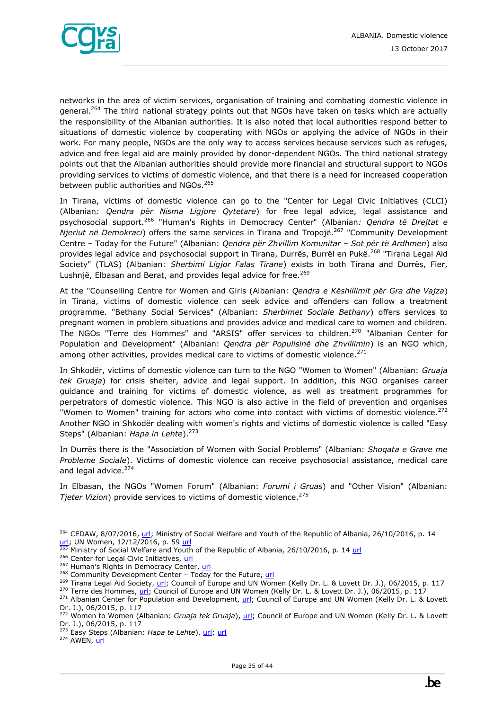

networks in the area of victim services, organisation of training and combating domestic violence in general.<sup>264</sup> The third national strategy points out that NGOs have taken on tasks which are actually the responsibility of the Albanian authorities. It is also noted that local authorities respond better to situations of domestic violence by cooperating with NGOs or applying the advice of NGOs in their work. For many people, NGOs are the only way to access services because services such as refuges, advice and free legal aid are mainly provided by donor-dependent NGOs. The third national strategy points out that the Albanian authorities should provide more financial and structural support to NGOs providing services to victims of domestic violence, and that there is a need for increased cooperation between public authorities and NGOs.<sup>265</sup>

In Tirana, victims of domestic violence can go to the "Center for Legal Civic Initiatives (CLCI) (Albanian*: Qendra për Nisma Ligjore Qytetare*) for free legal advice, legal assistance and psychosocial support.<sup>266</sup> "Human's Rights in Democracy Center" (Albanian*: Qendra të Drejtat e Njeriut në Demokraci*) offers the same services in Tirana and Tropojë.<sup>267</sup> "Community Development Centre – Today for the Future" (Albanian: *Qendra për Zhvillim Komunitar* – *Sot për të Ardhmen*) also provides legal advice and psychosocial support in Tirana, Durrës, Burrël en Pukë.<sup>268</sup> "Tirana Legal Aid Society" (TLAS) (Albanian: *Sherbimi Ligjor Falas Tirane*) exists in both Tirana and Durrës, Fier, Lushnjë, Elbasan and Berat, and provides legal advice for free.<sup>269</sup>

At the "Counselling Centre for Women and Girls (Albanian: *Qendra e Këshillimit për Gra dhe Vajza*) in Tirana, victims of domestic violence can seek advice and offenders can follow a treatment programme. "Bethany Social Services" (Albanian: *Sherbimet Sociale Bethany*) offers services to pregnant women in problem situations and provides advice and medical care to women and children. The NGOs "Terre des Hommes" and "ARSIS" offer services to children.<sup>270</sup> "Albanian Center for Population and Development" (Albanian: *Qendra për Popullsinë dhe Zhvillimin*) is an NGO which, among other activities, provides medical care to victims of domestic violence. $^{271}$ 

In Shkodër, victims of domestic violence can turn to the NGO "Women to Women" (Albanian: *Gruaja tek Gruaja*) for crisis shelter, advice and legal support. In addition, this NGO organises career guidance and training for victims of domestic violence, as well as treatment programmes for perpetrators of domestic violence. This NGO is also active in the field of prevention and organises "Women to Women" training for actors who come into contact with victims of domestic violence.<sup>272</sup> Another NGO in Shkodër dealing with women's rights and victims of domestic violence is called "Easy Steps" (Albanian: *Hapa in Lehte*).<sup>273</sup>

In Durrës there is the "Association of Women with Social Problems" (Albanian: *Shoqata e Grave me Probleme Sociale*). Victims of domestic violence can receive psychosocial assistance, medical care and legal advice.<sup>274</sup>

In Elbasan, the NGOs "Women Forum" (Albanian: *Forumi i Gruas*) and "Other Vision" (Albanian: *Tjeter Vizion*) provide services to victims of domestic violence.<sup>275</sup>

<sup>&</sup>lt;sup>264</sup> CEDAW, 8/07/2016, [url;](http://www.ohchr.org/EN/NewsEvents/Pages/DisplayNews.aspx?NewsID=20263&LangID=E) Ministry of Social Welfare and Youth of the Republic of Albania, 26/10/2016, p. 14 [url;](http://www.legislationline.org/download/action/download/id/7343/file/Albania_National_strategy_action_plan_gender_equality_2016-2020_en.pdf) UN Women, 12/12/2016, p. 59 [url](https://un.org.al/sites/default/files/CEDAW-Avokati-EN.PDF)

 $\frac{265}{100}$  Ministry of Social Welfare and Youth of the Republic of Albania, 26/10/2016, p. 14 [url](http://www.legislationline.org/download/action/download/id/7343/file/Albania_National_strategy_action_plan_gender_equality_2016-2020_en.pdf)

<sup>&</sup>lt;sup>266</sup> Center for Legal Civic Initiatives, [url](http://www.qag-al.org/ang/html/about.htm)

<sup>&</sup>lt;sup>267</sup> Human's Rights in Democracy Center, [url](http://hrdc.al/lang/en/index.html)

 $268$  Community Development Center – Today for the Future, [url](http://www.cdc-tff.org/web/en/gender-equality-and-services-for-victimes-of-domestic-violence/)

<sup>&</sup>lt;sup>269</sup> Tirana Legal Aid Society, [url;](http://www.tlas.org.al/en) Council of Europe and UN Women (Kelly Dr. L. & Lovett Dr. J.), 06/2015, p. 117

<sup>&</sup>lt;sup>270</sup> Terre des Hommes, [url;](https://www.tdh.ch/en/our-interventions/albania) Council of Europe and UN Women (Kelly Dr. L. & Lovett Dr. J.), 06/2015, p. 117 <sup>271</sup> Albanian Center for Population and Development, [url;](http://acpd.org.al/kreu-eng/) Council of Europe and UN Women (Kelly Dr. L. & Lovett

Dr. J.), 06/2015, p. 117

<sup>272</sup> Women to Women (Albanian: *Gruaja tek Gruaja*), [url;](http://www.gruajatekgruaja.com/index.php/en/) Council of Europe and UN Women (Kelly Dr. L. & Lovett Dr. J.), 06/2015, p. 117

<sup>273</sup> Easy Steps (Albanian: *Hapa te Lehte*)[, url;](http://hapatelehte.org/) [url](https://www.facebook.com/qendrasociale.telehte?lst=100018047321329%3A100002476259203%3A1505738294) 

 $274$  AWEN,  $url$ </u>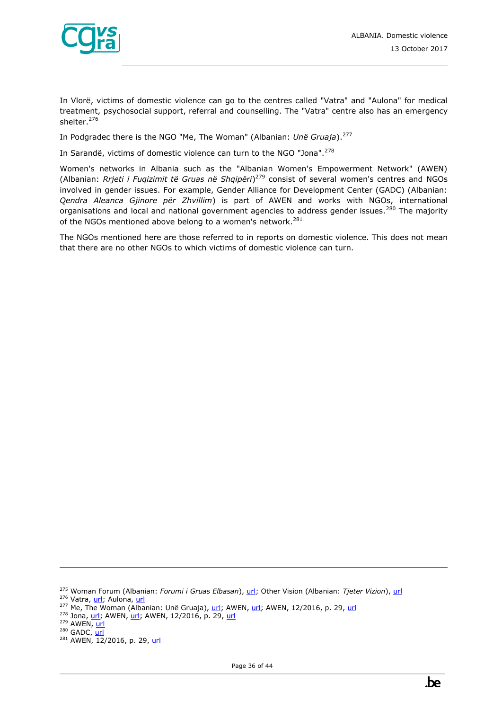

In Vlorë, victims of domestic violence can go to the centres called "Vatra" and "Aulona" for medical treatment, psychosocial support, referral and counselling. The "Vatra" centre also has an emergency shelter.<sup>276</sup>

In Podgradec there is the NGO "Me, The Woman" (Albanian: *Unë Gruaja*).<sup>277</sup>

In Sarandë, victims of domestic violence can turn to the NGO "Jona".<sup>278</sup>

Women's networks in Albania such as the "Albanian Women's Empowerment Network" (AWEN) (Albanian: *Rrjeti i Fuqizimit të Gruas në Shqipëri*) <sup>279</sup> consist of several women's centres and NGOs involved in gender issues. For example, Gender Alliance for Development Center (GADC) (Albanian: *Qendra Aleanca Gjinore për Zhvillim*) is part of AWEN and works with NGOs, international organisations and local and national government agencies to address gender issues.<sup>280</sup> The majority of the NGOs mentioned above belong to a women's network.<sup>281</sup>

The NGOs mentioned here are those referred to in reports on domestic violence. This does not mean that there are no other NGOs to which victims of domestic violence can turn.

<sup>276</sup> Vatra[, url;](http://www.qendravatra.org.al/) Aulona, [url](https://www.facebook.com/qendra.aulona)

<sup>275</sup> Woman Forum (Albanian: *Forumi i Gruas Elbasan*), [url;](http://www.forumigruaselbasan.org/) Other Vision (Albanian: *Tjeter Vizion*), [url](http://tjetervizion.org/)

 $277$  Me, The Woman (Albanian: Unë Gruaja), [url;](http://awenetwork.org/en/Network/me-the-woman-pogradec/) AWEN, [url](http://awenetwork.org/wp-content/uploads/2017/01/Draft-Istanbul-Convention-Monitoring-Report.pdf); AWEN, 12/2016, p. 29, url

<sup>&</sup>lt;sup>278</sup> Jona, [url;](https://www.facebook.com/ShoqataJona/) AWEN[, url;](http://awenetwork.org/en/Network/jona-association-saranda/) AWEN, 12/2016, p. 29, [url](http://awenetwork.org/wp-content/uploads/2017/01/Draft-Istanbul-Convention-Monitoring-Report.pdf)

 $279$  AWEN,  $url$ </u>

 $280$  GADC,  $url$ </u>

<sup>&</sup>lt;sup>281</sup> AWEN, 12/2016, p. 29, [url](http://awenetwork.org/wp-content/uploads/2017/01/Draft-Istanbul-Convention-Monitoring-Report.pdf)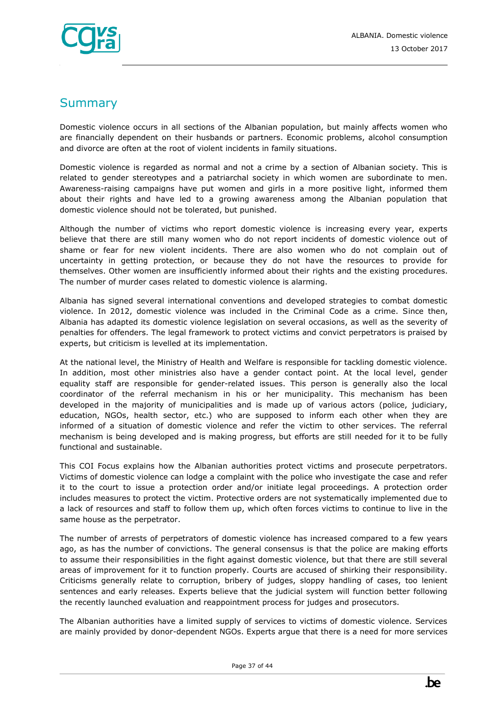

# <span id="page-36-0"></span>**Summary**

Domestic violence occurs in all sections of the Albanian population, but mainly affects women who are financially dependent on their husbands or partners. Economic problems, alcohol consumption and divorce are often at the root of violent incidents in family situations.

Domestic violence is regarded as normal and not a crime by a section of Albanian society. This is related to gender stereotypes and a patriarchal society in which women are subordinate to men. Awareness-raising campaigns have put women and girls in a more positive light, informed them about their rights and have led to a growing awareness among the Albanian population that domestic violence should not be tolerated, but punished.

Although the number of victims who report domestic violence is increasing every year, experts believe that there are still many women who do not report incidents of domestic violence out of shame or fear for new violent incidents. There are also women who do not complain out of uncertainty in getting protection, or because they do not have the resources to provide for themselves. Other women are insufficiently informed about their rights and the existing procedures. The number of murder cases related to domestic violence is alarming.

Albania has signed several international conventions and developed strategies to combat domestic violence. In 2012, domestic violence was included in the Criminal Code as a crime. Since then, Albania has adapted its domestic violence legislation on several occasions, as well as the severity of penalties for offenders. The legal framework to protect victims and convict perpetrators is praised by experts, but criticism is levelled at its implementation.

At the national level, the Ministry of Health and Welfare is responsible for tackling domestic violence. In addition, most other ministries also have a gender contact point. At the local level, gender equality staff are responsible for gender-related issues. This person is generally also the local coordinator of the referral mechanism in his or her municipality. This mechanism has been developed in the majority of municipalities and is made up of various actors (police, judiciary, education, NGOs, health sector, etc.) who are supposed to inform each other when they are informed of a situation of domestic violence and refer the victim to other services. The referral mechanism is being developed and is making progress, but efforts are still needed for it to be fully functional and sustainable.

This COI Focus explains how the Albanian authorities protect victims and prosecute perpetrators. Victims of domestic violence can lodge a complaint with the police who investigate the case and refer it to the court to issue a protection order and/or initiate legal proceedings. A protection order includes measures to protect the victim. Protective orders are not systematically implemented due to a lack of resources and staff to follow them up, which often forces victims to continue to live in the same house as the perpetrator.

The number of arrests of perpetrators of domestic violence has increased compared to a few years ago, as has the number of convictions. The general consensus is that the police are making efforts to assume their responsibilities in the fight against domestic violence, but that there are still several areas of improvement for it to function properly. Courts are accused of shirking their responsibility. Criticisms generally relate to corruption, bribery of judges, sloppy handling of cases, too lenient sentences and early releases. Experts believe that the judicial system will function better following the recently launched evaluation and reappointment process for judges and prosecutors.

The Albanian authorities have a limited supply of services to victims of domestic violence. Services are mainly provided by donor-dependent NGOs. Experts argue that there is a need for more services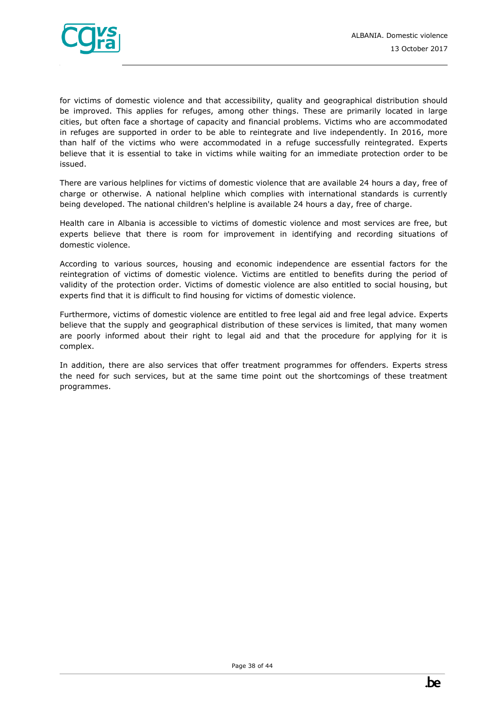

for victims of domestic violence and that accessibility, quality and geographical distribution should be improved. This applies for refuges, among other things. These are primarily located in large cities, but often face a shortage of capacity and financial problems. Victims who are accommodated in refuges are supported in order to be able to reintegrate and live independently. In 2016, more than half of the victims who were accommodated in a refuge successfully reintegrated. Experts believe that it is essential to take in victims while waiting for an immediate protection order to be issued.

There are various helplines for victims of domestic violence that are available 24 hours a day, free of charge or otherwise. A national helpline which complies with international standards is currently being developed. The national children's helpline is available 24 hours a day, free of charge.

Health care in Albania is accessible to victims of domestic violence and most services are free, but experts believe that there is room for improvement in identifying and recording situations of domestic violence.

According to various sources, housing and economic independence are essential factors for the reintegration of victims of domestic violence. Victims are entitled to benefits during the period of validity of the protection order. Victims of domestic violence are also entitled to social housing, but experts find that it is difficult to find housing for victims of domestic violence.

Furthermore, victims of domestic violence are entitled to free legal aid and free legal advice. Experts believe that the supply and geographical distribution of these services is limited, that many women are poorly informed about their right to legal aid and that the procedure for applying for it is complex.

In addition, there are also services that offer treatment programmes for offenders. Experts stress the need for such services, but at the same time point out the shortcomings of these treatment programmes.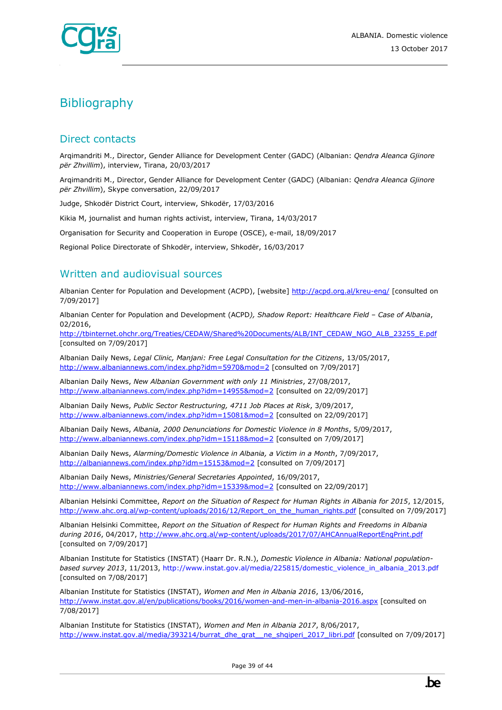

# <span id="page-38-0"></span>**Bibliography**

# Direct contacts

Arqimandriti M., Director, Gender Alliance for Development Center (GADC) (Albanian: *Qendra Aleanca Gjinore për Zhvillim*), interview, Tirana, 20/03/2017

Arqimandriti M., Director, Gender Alliance for Development Center (GADC) (Albanian: *Qendra Aleanca Gjinore për Zhvillim*), Skype conversation, 22/09/2017

Judge, Shkodër District Court, interview, Shkodër, 17/03/2016

Kikia M, journalist and human rights activist, interview, Tirana, 14/03/2017

Organisation for Security and Cooperation in Europe (OSCE), e-mail, 18/09/2017

Regional Police Directorate of Shkodër, interview, Shkodër, 16/03/2017

## Written and audiovisual sources

Albanian Center for Population and Development (ACPD), [website]<http://acpd.org.al/kreu-eng/> [consulted on 7/09/2017]

Albanian Center for Population and Development (ACPD*), Shadow Report: Healthcare Field – Case of Albania*, 02/2016,

[http://tbinternet.ohchr.org/Treaties/CEDAW/Shared%20Documents/ALB/INT\\_CEDAW\\_NGO\\_ALB\\_23255\\_E.pdf](http://tbinternet.ohchr.org/Treaties/CEDAW/Shared%20Documents/ALB/INT_CEDAW_NGO_ALB_23255_E.pdf) [consulted on 7/09/2017]

Albanian Daily News, *Legal Clinic, Manjani: Free Legal Consultation for the Citizens*, 13/05/2017, <http://www.albaniannews.com/index.php?idm=5970&mod=2> [consulted on 7/09/2017]

Albanian Daily News, *New Albanian Government with only 11 Ministries*, 27/08/2017, <http://www.albaniannews.com/index.php?idm=14955&mod=2> [consulted on 22/09/2017]

Albanian Daily News, *Public Sector Restructuring, 4711 Job Places at Risk*, 3/09/2017, <http://www.albaniannews.com/index.php?idm=15081&mod=2> [consulted on 22/09/2017]

Albanian Daily News, *Albania, 2000 Denunciations for Domestic Violence in 8 Months*, 5/09/2017, <http://www.albaniannews.com/index.php?idm=15118&mod=2> [consulted on 7/09/2017]

Albanian Daily News, *Alarming/Domestic Violence in Albania, a Victim in a Month*, 7/09/2017, <http://albaniannews.com/index.php?idm=15153&mod=2> [consulted on 7/09/2017]

Albanian Daily News, *Ministries/General Secretaries Appointed*, 16/09/2017, <http://www.albaniannews.com/index.php?idm=15339&mod=2> [consulted on 22/09/2017]

Albanian Helsinki Committee, *Report on the Situation of Respect for Human Rights in Albania for 2015*, 12/2015, [http://www.ahc.org.al/wp-content/uploads/2016/12/Report\\_on\\_the\\_human\\_rights.pdf](http://www.ahc.org.al/wp-content/uploads/2016/12/Report_on_the_human_rights.pdf) [consulted on 7/09/2017]

Albanian Helsinki Committee, *Report on the Situation of Respect for Human Rights and Freedoms in Albania during 2016*, 04/2017,<http://www.ahc.org.al/wp-content/uploads/2017/07/AHCAnnualReportEngPrint.pdf> [consulted on 7/09/2017]

Albanian Institute for Statistics (INSTAT) (Haarr Dr. R.N.), *Domestic Violence in Albania: National populationbased survey 2013*, 11/2013, http://www.instat.gov.al/media/225815/domestic\_violence\_in\_albania\_2013.pdf [consulted on 7/08/2017]

Albanian Institute for Statistics (INSTAT), *Women and Men in Albania 2016*, 13/06/2016, <http://www.instat.gov.al/en/publications/books/2016/women-and-men-in-albania-2016.aspx> [consulted on 7/08/2017]

Albanian Institute for Statistics (INSTAT), *Women and Men in Albania 2017*, 8/06/2017, [http://www.instat.gov.al/media/393214/burrat\\_dhe\\_grat\\_\\_ne\\_shqiperi\\_2017\\_libri.pdf](http://www.instat.gov.al/media/393214/burrat_dhe_grat__ne_shqiperi_2017_libri.pdf) [consulted on 7/09/2017]

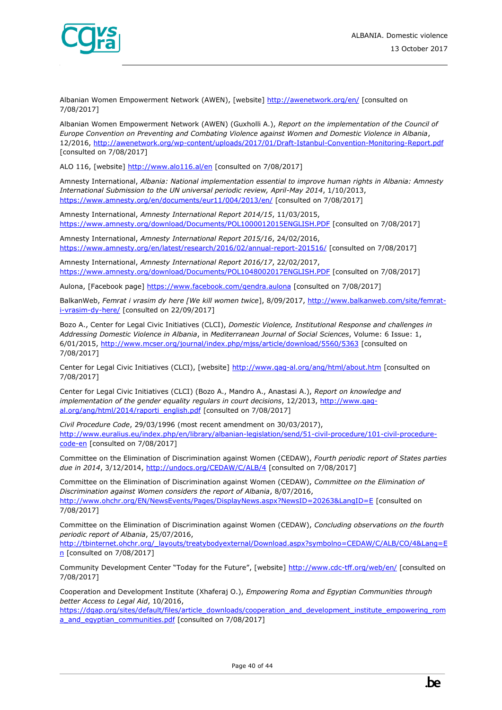

Albanian Women Empowerment Network (AWEN), [website]<http://awenetwork.org/en/> [consulted on 7/08/2017]

Albanian Women Empowerment Network (AWEN) (Guxholli A.), *Report on the implementation of the Council of Europe Convention on Preventing and Combating Violence against Women and Domestic Violence in Albania*, 12/2016,<http://awenetwork.org/wp-content/uploads/2017/01/Draft-Istanbul-Convention-Monitoring-Report.pdf> [consulted on 7/08/2017]

ALO 116, [website]<http://www.alo116.al/en> [consulted on 7/08/2017]

Amnesty International, *Albania: National implementation essential to improve human rights in Albania: Amnesty International Submission to the UN universal periodic review, April-May 2014*, 1/10/2013, <https://www.amnesty.org/en/documents/eur11/004/2013/en/> [consulted on 7/08/2017]

Amnesty International, *Amnesty International Report 2014/15*, 11/03/2015, <https://www.amnesty.org/download/Documents/POL1000012015ENGLISH.PDF> [consulted on 7/08/2017]

Amnesty International, *Amnesty International Report 2015/16*, 24/02/2016, <https://www.amnesty.org/en/latest/research/2016/02/annual-report-201516/> [consulted on 7/08/2017]

Amnesty International, *Amnesty International Report 2016/17*, 22/02/2017, <https://www.amnesty.org/download/Documents/POL1048002017ENGLISH.PDF> [consulted on 7/08/2017]

Aulona, [Facebook page] https://www.facebook.com/gendra.aulona [consulted on 7/08/2017]

BalkanWeb, *Femrat i vrasim dy here [We kill women twice*], 8/09/2017, [http://www.balkanweb.com/site/femrat](http://www.balkanweb.com/site/femrat-i-vrasim-dy-here/)[i-vrasim-dy-here/](http://www.balkanweb.com/site/femrat-i-vrasim-dy-here/) [consulted on 22/09/2017]

Bozo A., Center for Legal Civic Initiatives (CLCI), *Domestic Violence, Institutional Response and challenges in Addressing Domestic Violence in Albania*, in *Mediterranean Journal of Social Sciences*, Volume: 6 Issue: 1, 6/01/2015,<http://www.mcser.org/journal/index.php/mjss/article/download/5560/5363> [consulted on 7/08/2017]

Center for Legal Civic Initiatives (CLCI), [website] http://www.qaq-al.org/ang/html/about.htm [consulted on 7/08/2017]

Center for Legal Civic Initiatives (CLCI) (Bozo A., Mandro A., Anastasi A.), *Report on knowledge and*  implementation of the gender equality regulars in court decisions, 12/2013, http://www.qaq[al.org/ang/html/2014/raporti\\_english.pdf](http://www.qag-al.org/ang/html/2014/raporti_english.pdf) [consulted on 7/08/2017]

*Civil Procedure Code*, 29/03/1996 (most recent amendment on 30/03/2017), [http://www.euralius.eu/index.php/en/library/albanian-legislation/send/51-civil-procedure/101-civil-procedure](http://www.euralius.eu/index.php/en/library/albanian-legislation/send/51-civil-procedure/101-civil-procedure-code-en)[code-en](http://www.euralius.eu/index.php/en/library/albanian-legislation/send/51-civil-procedure/101-civil-procedure-code-en) [consulted on 7/08/2017]

Committee on the Elimination of Discrimination against Women (CEDAW), *Fourth periodic report of States parties due in 2014*, 3/12/2014,<http://undocs.org/CEDAW/C/ALB/4> [consulted on 7/08/2017]

Committee on the Elimination of Discrimination against Women (CEDAW), *Committee on the Elimination of Discrimination against Women considers the report of Albania*, 8/07/2016, <http://www.ohchr.org/EN/NewsEvents/Pages/DisplayNews.aspx?NewsID=20263&LangID=E> [consulted on 7/08/2017]

Committee on the Elimination of Discrimination against Women (CEDAW), *Concluding observations on the fourth periodic report of Albania*, 25/07/2016,

[http://tbinternet.ohchr.org/\\_layouts/treatybodyexternal/Download.aspx?symbolno=CEDAW/C/ALB/CO/4&Lang=E](http://tbinternet.ohchr.org/_layouts/treatybodyexternal/Download.aspx?symbolno=CEDAW/C/ALB/CO/4&Lang=En) [n](http://tbinternet.ohchr.org/_layouts/treatybodyexternal/Download.aspx?symbolno=CEDAW/C/ALB/CO/4&Lang=En) [consulted on 7/08/2017]

Community Development Center "Today for the Future", [website] <http://www.cdc-tff.org/web/en/> [consulted on 7/08/2017]

Cooperation and Development Institute (Xhaferaj O.), *Empowering Roma and Egyptian Communities through better Access to Legal Aid*, 10/2016,

[https://dgap.org/sites/default/files/article\\_downloads/cooperation\\_and\\_development\\_institute\\_empowering\\_rom](https://dgap.org/sites/default/files/article_downloads/cooperation_and_development_institute_empowering_roma_and_egyptian_communities.pdf) [a\\_and\\_egyptian\\_communities.pdf](https://dgap.org/sites/default/files/article_downloads/cooperation_and_development_institute_empowering_roma_and_egyptian_communities.pdf) [consulted on 7/08/2017]

Page 40 of 44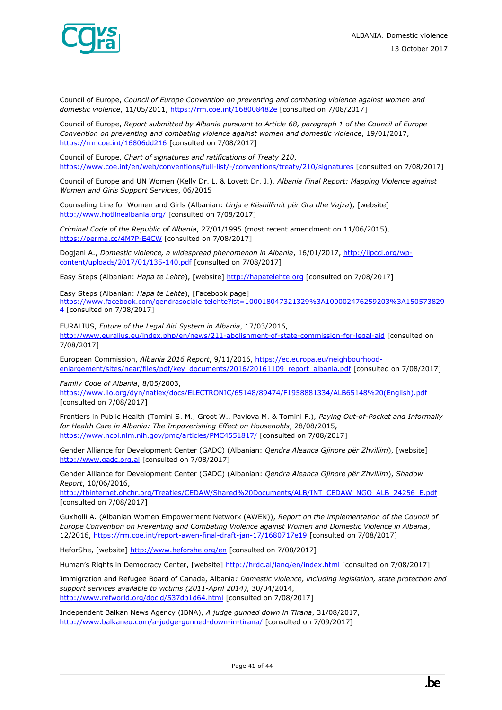

Council of Europe, *Council of Europe Convention on preventing and combating violence against women and domestic violence*, 11/05/2011,<https://rm.coe.int/168008482e> [consulted on 7/08/2017]

Council of Europe, *Report submitted by Albania pursuant to Article 68, paragraph 1 of the Council of Europe Convention on preventing and combating violence against women and domestic violence*, 19/01/2017, <https://rm.coe.int/16806dd216> [consulted on 7/08/2017]

Council of Europe, *Chart of signatures and ratifications of Treaty 210*, <https://www.coe.int/en/web/conventions/full-list/-/conventions/treaty/210/signatures> [consulted on 7/08/2017]

Council of Europe and UN Women (Kelly Dr. L. & Lovett Dr. J.), *Albania Final Report: Mapping Violence against Women and Girls Support Services*, 06/2015

Counseling Line for Women and Girls (Albanian: *Linja e Këshillimit për Gra dhe Vajza*), [website] <http://www.hotlinealbania.org/> [consulted on 7/08/2017]

*Criminal Code of the Republic of Albania*, 27/01/1995 (most recent amendment on 11/06/2015), <https://perma.cc/4M7P-E4CW> [consulted on 7/08/2017]

Dogjani A., *Domestic violence, a widespread phenomenon in Albania*, 16/01/2017, [http://iipccl.org/wp](http://iipccl.org/wp-content/uploads/2017/01/135-140.pdf)[content/uploads/2017/01/135-140.pdf](http://iipccl.org/wp-content/uploads/2017/01/135-140.pdf) [consulted on 7/08/2017]

Easy Steps (Albanian: *Hapa te Lehte*), [website] [http://hapatelehte.org](http://hapatelehte.org/) [consulted on 7/08/2017]

Easy Steps (Albanian: *Hapa te Lehte*), [Facebook page] [https://www.facebook.com/qendrasociale.telehte?lst=100018047321329%3A100002476259203%3A150573829](https://www.facebook.com/qendrasociale.telehte?lst=100018047321329%3A100002476259203%3A1505738294) [4](https://www.facebook.com/qendrasociale.telehte?lst=100018047321329%3A100002476259203%3A1505738294) [consulted on 7/08/2017]

EURALIUS, *Future of the Legal Aid System in Albania*, 17/03/2016, <http://www.euralius.eu/index.php/en/news/211-abolishment-of-state-commission-for-legal-aid> [consulted on 7/08/2017]

European Commission, *Albania 2016 Report*, 9/11/2016, [https://ec.europa.eu/neighbourhood](https://ec.europa.eu/neighbourhood-enlargement/sites/near/files/pdf/key_documents/2016/20161109_report_albania.pdf)[enlargement/sites/near/files/pdf/key\\_documents/2016/20161109\\_report\\_albania.pdf](https://ec.europa.eu/neighbourhood-enlargement/sites/near/files/pdf/key_documents/2016/20161109_report_albania.pdf) [consulted on 7/08/2017]

*Family Code of Albania*, 8/05/2003,

[https://www.ilo.org/dyn/natlex/docs/ELECTRONIC/65148/89474/F1958881334/ALB65148%20\(English\).pdf](https://www.ilo.org/dyn/natlex/docs/ELECTRONIC/65148/89474/F1958881334/ALB65148%20(English).pdf) [consulted on 7/08/2017]

Frontiers in Public Health (Tomini S. M., Groot W., Pavlova M. & Tomini F.), *Paying Out-of-Pocket and Informally for Health Care in Albania: The Impoverishing Effect on Households*, 28/08/2015, <https://www.ncbi.nlm.nih.gov/pmc/articles/PMC4551817/> [consulted on 7/08/2017]

Gender Alliance for Development Center (GADC) (Albanian: *Qendra Aleanca Gjinore për Zhvillim*), [website] [http://www.gadc.org.al](http://www.gadc.org.al/) [consulted on 7/08/2017]

Gender Alliance for Development Center (GADC) (Albanian: *Qendra Aleanca Gjinore për Zhvillim*), *Shadow Report*, 10/06/2016,

[http://tbinternet.ohchr.org/Treaties/CEDAW/Shared%20Documents/ALB/INT\\_CEDAW\\_NGO\\_ALB\\_24256\\_E.pdf](http://tbinternet.ohchr.org/Treaties/CEDAW/Shared%20Documents/ALB/INT_CEDAW_NGO_ALB_24256_E.pdf) [consulted on 7/08/2017]

Guxholli A. (Albanian Women Empowerment Network (AWEN)), *Report on the implementation of the Council of Europe Convention on Preventing and Combating Violence against Women and Domestic Violence in Albania*, 12/2016,<https://rm.coe.int/report-awen-final-draft-jan-17/1680717e19> [consulted on 7/08/2017]

HeforShe, [website]<http://www.heforshe.org/en> [consulted on 7/08/2017]

Human's Rights in Democracy Center, [website] <http://hrdc.al/lang/en/index.html> [consulted on 7/08/2017]

Immigration and Refugee Board of Canada, Albania*: Domestic violence, including legislation, state protection and support services available to victims (2011-April 2014)*, 30/04/2014, <http://www.refworld.org/docid/537db1d64.html> [consulted on 7/08/2017]

Independent Balkan News Agency (IBNA), *A judge gunned down in Tirana*, 31/08/2017, <http://www.balkaneu.com/a-judge-gunned-down-in-tirana/> [consulted on 7/09/2017]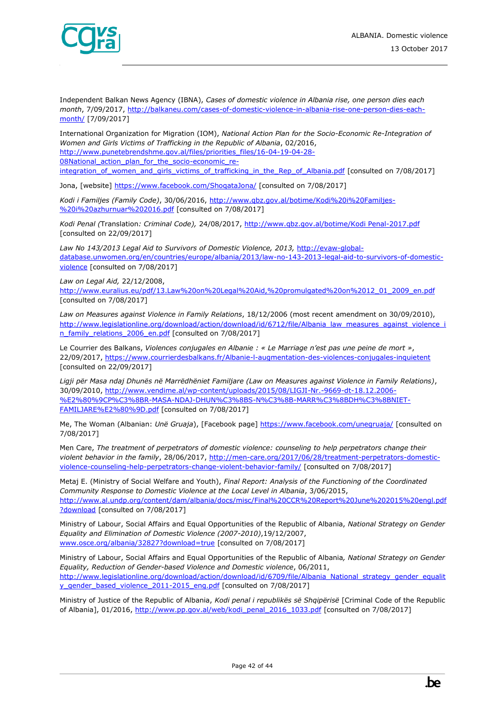

Independent Balkan News Agency (IBNA), *Cases of domestic violence in Albania rise, one person dies each month*, 7/09/2017, [http://balkaneu.com/cases-of-domestic-violence-in-albania-rise-one-person-dies-each](http://balkaneu.com/cases-of-domestic-violence-in-albania-rise-one-person-dies-each-month/)[month/](http://balkaneu.com/cases-of-domestic-violence-in-albania-rise-one-person-dies-each-month/) [7/09/2017]

International Organization for Migration (IOM), *National Action Plan for the Socio-Economic Re-Integration of Women and Girls Victims of Trafficking in the Republic of Albania*, 02/2016, [http://www.punetebrendshme.gov.al/files/priorities\\_files/16-04-19-04-28-](http://www.punetebrendshme.gov.al/files/priorities_files/16-04-19-04-28-08National_action_plan_for_the_socio-economic_re-integration_of_women_and_girls_victims_of_trafficking_in_the_Rep_of_Albania.pdf) 08National action plan for the socio-economic reintegration of women and girls victims of trafficking in the Rep of Albania.pdf [consulted on 7/08/2017]

Jona, [website]<https://www.facebook.com/ShoqataJona/> [consulted on 7/08/2017]

*Kodi i Familjes (Family Code)*, 30/06/2016, [http://www.qbz.gov.al/botime/Kodi%20i%20Familjes-](http://www.qbz.gov.al/botime/Kodi%20i%20Familjes-%20i%20azhurnuar%202016.pdf) [%20i%20azhurnuar%202016.pdf](http://www.qbz.gov.al/botime/Kodi%20i%20Familjes-%20i%20azhurnuar%202016.pdf) [consulted on 7/08/2017]

*Kodi Penal (*Translation*: Criminal Code),* 24/08/2017, [http://www.qbz.gov.al/botime/Kodi Penal-2017.pdf](http://www.qbz.gov.al/botime/Kodi%20Penal-2017.pdf) [consulted on 22/09/2017]

Law No 143/2013 Legal Aid to Survivors of Domestic Violence, 2013, [http://evaw-global](http://evaw-global-database.unwomen.org/en/countries/europe/albania/2013/law-no-143-2013-legal-aid-to-survivors-of-domestic-violence)[database.unwomen.org/en/countries/europe/albania/2013/law-no-143-2013-legal-aid-to-survivors-of-domestic](http://evaw-global-database.unwomen.org/en/countries/europe/albania/2013/law-no-143-2013-legal-aid-to-survivors-of-domestic-violence)[violence](http://evaw-global-database.unwomen.org/en/countries/europe/albania/2013/law-no-143-2013-legal-aid-to-survivors-of-domestic-violence) [consulted on 7/08/2017]

*Law on Legal Aid,* 22/12/2008,

[http://www.euralius.eu/pdf/13.Law%20on%20Legal%20Aid,%20promulgated%20on%2012\\_01\\_2009\\_en.pdf](http://www.euralius.eu/pdf/13.Law%20on%20Legal%20Aid,%20promulgated%20on%2012_01_2009_en.pdf) [consulted on 7/08/2017]

*Law on Measures against Violence in Family Relations*, 18/12/2006 (most recent amendment on 30/09/2010), [http://www.legislationline.org/download/action/download/id/6712/file/Albania\\_law\\_measures\\_against\\_violence\\_i](http://www.legislationline.org/download/action/download/id/6712/file/Albania_law_measures_against_violence_in_family_relations_2006_en.pdf) [n\\_family\\_relations\\_2006\\_en.pdf](http://www.legislationline.org/download/action/download/id/6712/file/Albania_law_measures_against_violence_in_family_relations_2006_en.pdf) [consulted on 7/08/2017]

Le Courrier des Balkans, *Violences conjugales en Albanie : « Le Marriage n'est pas une peine de mort »*, 22/09/2017,<https://www.courrierdesbalkans.fr/Albanie-l-augmentation-des-violences-conjugales-inquietent> [consulted on 22/09/2017]

*Ligji për Masa ndaj Dhunës në Marrëdhëniet Familjare (Law on Measures against Violence in Family Relations)*, 30/09/2010, [http://www.vendime.al/wp-content/uploads/2015/08/LIGJI-Nr.-9669-dt-18.12.2006-](http://www.vendime.al/wp-content/uploads/2015/08/LIGJI-Nr.-9669-dt-18.12.2006-%E2%80%9CP%C3%8BR-MASA-NDAJ-DHUN%C3%8BS-N%C3%8B-MARR%C3%8BDH%C3%8BNIET-FAMILJARE%E2%80%9D.pdf) [%E2%80%9CP%C3%8BR-MASA-NDAJ-DHUN%C3%8BS-N%C3%8B-MARR%C3%8BDH%C3%8BNIET-](http://www.vendime.al/wp-content/uploads/2015/08/LIGJI-Nr.-9669-dt-18.12.2006-%E2%80%9CP%C3%8BR-MASA-NDAJ-DHUN%C3%8BS-N%C3%8B-MARR%C3%8BDH%C3%8BNIET-FAMILJARE%E2%80%9D.pdf)[FAMILJARE%E2%80%9D.pdf](http://www.vendime.al/wp-content/uploads/2015/08/LIGJI-Nr.-9669-dt-18.12.2006-%E2%80%9CP%C3%8BR-MASA-NDAJ-DHUN%C3%8BS-N%C3%8B-MARR%C3%8BDH%C3%8BNIET-FAMILJARE%E2%80%9D.pdf) [consulted on 7/08/2017]

Me, The Woman (Albanian: *Unë Gruaja*), [Facebook page[\] https://www.facebook.com/unegruaja/](https://www.facebook.com/unegruaja/) [consulted on 7/08/2017]

Men Care, *The treatment of perpetrators of domestic violence: counseling to help perpetrators change their violent behavior in the family*, 28/06/2017, [http://men-care.org/2017/06/28/treatment-perpetrators-domestic](http://men-care.org/2017/06/28/treatment-perpetrators-domestic-violence-counseling-help-perpetrators-change-violent-behavior-family/)[violence-counseling-help-perpetrators-change-violent-behavior-family/](http://men-care.org/2017/06/28/treatment-perpetrators-domestic-violence-counseling-help-perpetrators-change-violent-behavior-family/) [consulted on 7/08/2017]

Metaj E. (Ministry of Social Welfare and Youth), *Final Report: Analysis of the Functioning of the Coordinated Community Response to Domestic Violence at the Local Level in Albania*, 3/06/2015, [http://www.al.undp.org/content/dam/albania/docs/misc/Final%20CCR%20Report%20June%202015%20engl.pdf](http://www.al.undp.org/content/dam/albania/docs/misc/Final%20CCR%20Report%20June%202015%20engl.pdf?download) [?download](http://www.al.undp.org/content/dam/albania/docs/misc/Final%20CCR%20Report%20June%202015%20engl.pdf?download) [consulted on 7/08/2017]

Ministry of Labour, Social Affairs and Equal Opportunities of the Republic of Albania, *National Strategy on Gender Equality and Elimination of Domestic Violence (2007-2010)*,19/12/2007, [www.osce.org/albania/32827?download=true](http://www.osce.org/albania/32827?download=true) [consulted on 7/08/2017]

Ministry of Labour, Social Affairs and Equal Opportunities of the Republic of Albania*, National Strategy on Gender Equality, Reduction of Gender-based Violence and Domestic violence*, 06/2011, [http://www.legislationline.org/download/action/download/id/6709/file/Albania\\_National\\_strategy\\_gender\\_equalit](http://www.legislationline.org/download/action/download/id/6709/file/Albania_National_strategy_gender_equality_gender_based_violence_2011-2015_eng.pdf) [y\\_gender\\_based\\_violence\\_2011-2015\\_eng.pdf](http://www.legislationline.org/download/action/download/id/6709/file/Albania_National_strategy_gender_equality_gender_based_violence_2011-2015_eng.pdf) [consulted on 7/08/2017]

Ministry of Justice of the Republic of Albania, *Kodi penal i republikës së Shqipërisë* [Criminal Code of the Republic of Albania], 01/2016, [http://www.pp.gov.al/web/kodi\\_penal\\_2016\\_1033.pdf](http://www.pp.gov.al/web/kodi_penal_2016_1033.pdf) [consulted on 7/08/2017]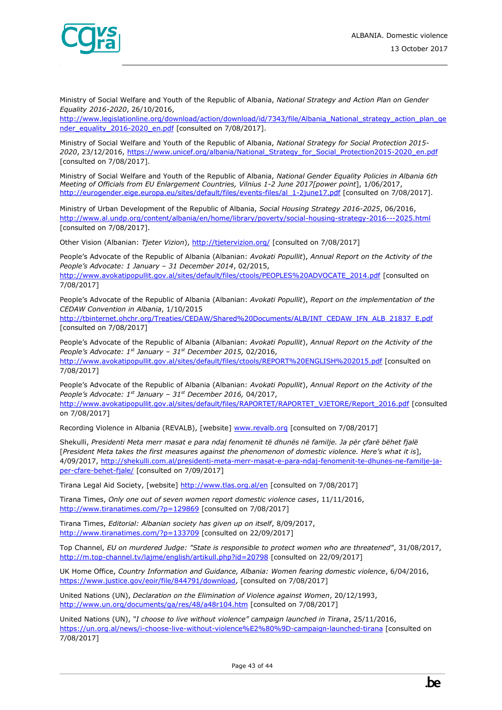

Ministry of Social Welfare and Youth of the Republic of Albania, *National Strategy and Action Plan on Gender Equality 2016-2020*, 26/10/2016,

[http://www.legislationline.org/download/action/download/id/7343/file/Albania\\_National\\_strategy\\_action\\_plan\\_ge](http://www.legislationline.org/download/action/download/id/7343/file/Albania_National_strategy_action_plan_gender_equality_2016-2020_en.pdf) [nder\\_equality\\_2016-2020\\_en.pdf](http://www.legislationline.org/download/action/download/id/7343/file/Albania_National_strategy_action_plan_gender_equality_2016-2020_en.pdf) [consulted on 7/08/2017].

Ministry of Social Welfare and Youth of the Republic of Albania, *National Strategy for Social Protection 2015- 2020*, 23/12/2016[, https://www.unicef.org/albania/National\\_Strategy\\_for\\_Social\\_Protection2015-2020\\_en.pdf](https://www.unicef.org/albania/National_Strategy_for_Social_Protection2015-2020_en.pdf) [consulted on 7/08/2017].

Ministry of Social Welfare and Youth of the Republic of Albania, *National Gender Equality Policies in Albania 6th Meeting of Officials from EU Enlargement Countries, Vilnius 1-2 June 2017[power point*], 1/06/2017[,](http://eurogender.eige.europa.eu/sites/default/files/events-files/al_1-2june17.pdf) [http://eurogender.eige.europa.eu/sites/default/files/events-files/al\\_1-2june17.pdf](http://eurogender.eige.europa.eu/sites/default/files/events-files/al_1-2june17.pdf) [consulted on 7/08/2017].

Ministry of Urban Development of the Republic of Albania, *Social Housing Strategy 2016-2025*, 06/2016[,](http://www.al.undp.org/content/albania/en/home/library/poverty/social-housing-strategy-2016---2025.html) <http://www.al.undp.org/content/albania/en/home/library/poverty/social-housing-strategy-2016---2025.html> [consulted on 7/08/2017].

Other Vision (Albanian: *Tjeter Vizion*)[, http://tjetervizion.org/](http://tjetervizion.org/) [consulted on 7/08/2017]

People's Advocate of the Republic of Albania (Albanian: *Avokati Popullit*), *Annual Report on the Activity of the People's Advocate: 1 January – 31 December 2014*, 02/2015,

[http://www.avokatipopullit.gov.al/sites/default/files/ctools/PEOPLES%20ADVOCATE\\_2014.pdf](http://www.avokatipopullit.gov.al/sites/default/files/ctools/PEOPLES%20ADVOCATE_2014.pdf) [consulted on 7/08/2017]

People's Advocate of the Republic of Albania (Albanian: *Avokati Popullit*), *Report on the implementation of the CEDAW Convention in Albania*, 1/10/2015

[http://tbinternet.ohchr.org/Treaties/CEDAW/Shared%20Documents/ALB/INT\\_CEDAW\\_IFN\\_ALB\\_21837\\_E.pdf](http://tbinternet.ohchr.org/Treaties/CEDAW/Shared%20Documents/ALB/INT_CEDAW_IFN_ALB_21837_E.pdf) [consulted on 7/08/2017]

People's Advocate of the Republic of Albania (Albanian: *Avokati Popullit*), *Annual Report on the Activity of the People's Advocate: 1st January – 31st December 2015,* 02/2016, <http://www.avokatipopullit.gov.al/sites/default/files/ctools/REPORT%20ENGLISH%202015.pdf> [consulted on 7/08/2017]

People's Advocate of the Republic of Albania (Albanian: *Avokati Popullit*), *Annual Report on the Activity of the People's Advocate: 1st January – 31st December 2016,* 04/2017, [http://www.avokatipopullit.gov.al/sites/default/files/RAPORTET/RAPORTET\\_VJETORE/Report\\_2016.pdf](http://www.avokatipopullit.gov.al/sites/default/files/RAPORTET/RAPORTET_VJETORE/Report_2016.pdf) [consulted on 7/08/2017]

Recording Violence in Albania (REVALB), [website] [www.revalb.org](http://www.revalb.org/) [consulted on 7/08/2017]

Shekulli, *Presidenti Meta merr masat e para ndaj fenomenit të dhunës në familje. Ja për çfarë bëhet fjalë* [*President Meta takes the first measures against the phenomenon of domestic violence. Here's what it is*], 4/09/2017, [http://shekulli.com.al/presidenti-meta-merr-masat-e-para-ndaj-fenomenit-te-dhunes-ne-familje-ja](http://shekulli.com.al/presidenti-meta-merr-masat-e-para-ndaj-fenomenit-te-dhunes-ne-familje-ja-per-cfare-behet-fjale/)[per-cfare-behet-fjale/](http://shekulli.com.al/presidenti-meta-merr-masat-e-para-ndaj-fenomenit-te-dhunes-ne-familje-ja-per-cfare-behet-fjale/) [consulted on 7/09/2017]

Tirana Legal Aid Society, [website]<http://www.tlas.org.al/en> [consulted on 7/08/2017]

Tirana Times, *Only one out of seven women report domestic violence cases*, 11/11/2016, <http://www.tiranatimes.com/?p=129869> [consulted on 7/08/2017]

Tirana Times, *Editorial: Albanian society has given up on itself*, 8/09/2017, <http://www.tiranatimes.com/?p=133709> [consulted on 22/09/2017]

Top Channel, *EU on murdered Judge: "State is responsible to protect women who are threatened"*, 31/08/2017, <http://m.top-channel.tv/lajme/english/artikull.php?id=20798> [consulted on 22/09/2017]

UK Home Office, *Country Information and Guidance, Albania: Women fearing domestic violence*, 6/04/2016, [https://www.justice.gov/eoir/file/844791/download,](https://www.justice.gov/eoir/file/844791/download) [consulted on 7/08/2017]

United Nations (UN), *Declaration on the Elimination of Violence against Women*, 20/12/1993, <http://www.un.org/documents/ga/res/48/a48r104.htm> [consulted on 7/08/2017]

United Nations (UN), *"I choose to live without violence" campaign launched in Tirana*, 25/11/2016, <https://un.org.al/news/i-choose-live-without-violence%E2%80%9D-campaign-launched-tirana> [consulted on 7/08/2017]